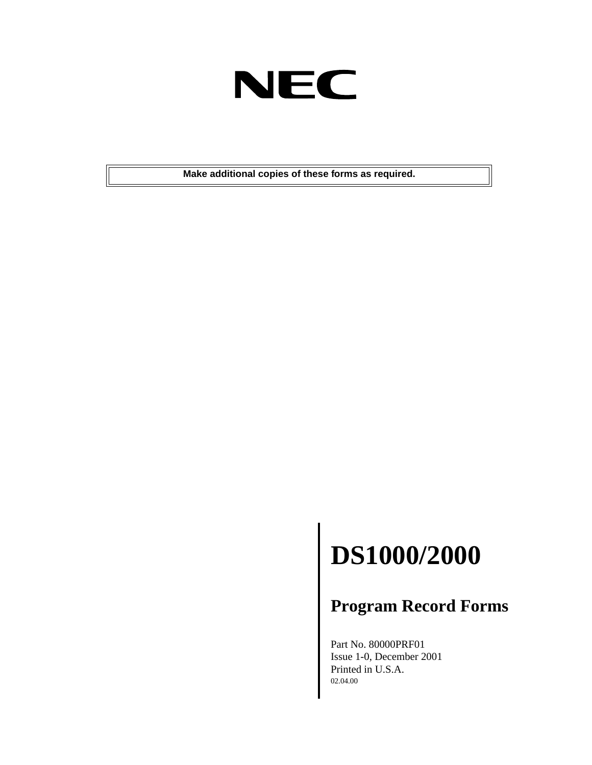

**Make additional copies of these forms as required.**

## **DS1000/2000**

#### **Program Record Forms**

Part No. 80000PRF01 Issue 1-0, December 2001 Printed in U.S.A. 02.04.00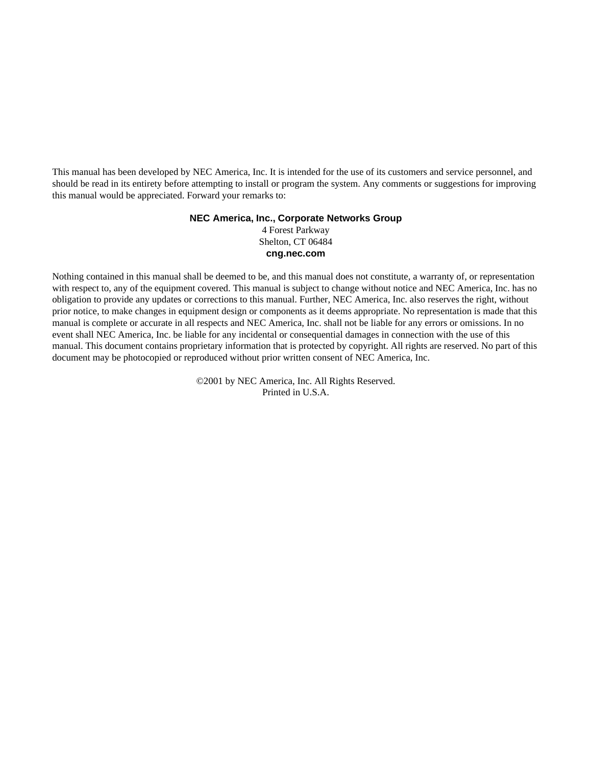This manual has been developed by NEC America, Inc. It is intended for the use of its customers and service personnel, and should be read in its entirety before attempting to install or program the system. Any comments or suggestions for improving this manual would be appreciated. Forward your remarks to:

#### **NEC America, Inc., Corporate Networks Group** 4 Forest Parkway Shelton, CT 06484

**cng.nec.com**

Nothing contained in this manual shall be deemed to be, and this manual does not constitute, a warranty of, or representation with respect to, any of the equipment covered. This manual is subject to change without notice and NEC America, Inc. has no obligation to provide any updates or corrections to this manual. Further, NEC America, Inc. also reserves the right, without prior notice, to make changes in equipment design or components as it deems appropriate. No representation is made that this manual is complete or accurate in all respects and NEC America, Inc. shall not be liable for any errors or omissions. In no event shall NEC America, Inc. be liable for any incidental or consequential damages in connection with the use of this manual. This document contains proprietary information that is protected by copyright. All rights are reserved. No part of this document may be photocopied or reproduced without prior written consent of NEC America, Inc.

> ©2001 by NEC America, Inc. All Rights Reserved. Printed in U.S.A.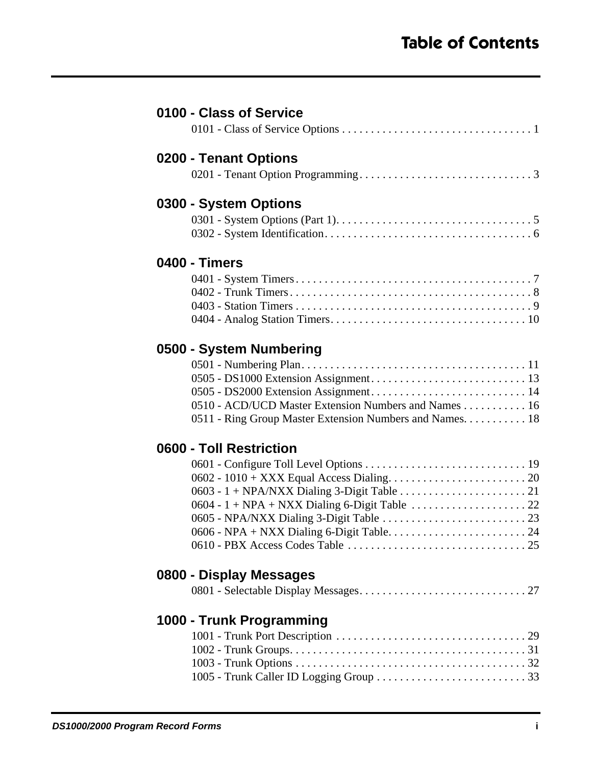| 0100 - Class of Service                                 |
|---------------------------------------------------------|
|                                                         |
| 0200 - Tenant Options                                   |
|                                                         |
| 0300 - System Options                                   |
|                                                         |
|                                                         |
| 0400 - Timers                                           |
|                                                         |
|                                                         |
|                                                         |
|                                                         |
| 0500 - System Numbering                                 |
|                                                         |
|                                                         |
|                                                         |
| 0510 - ACD/UCD Master Extension Numbers and Names 16    |
| 0511 - Ring Group Master Extension Numbers and Names 18 |
| 0600 - Toll Restriction                                 |
|                                                         |
|                                                         |
|                                                         |
|                                                         |
|                                                         |
|                                                         |
| 0800 - Display Messages                                 |
|                                                         |
|                                                         |
| 1000 - Trunk Programming                                |
|                                                         |
|                                                         |
|                                                         |
|                                                         |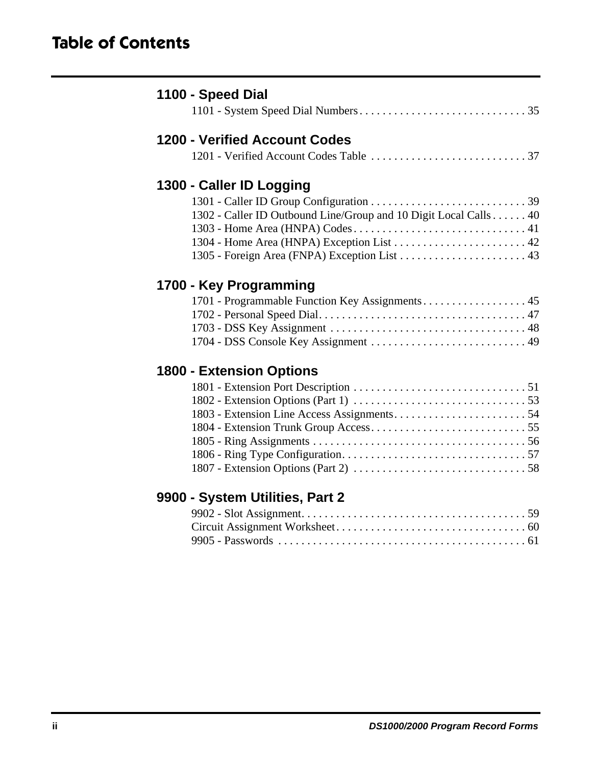### **Table of Contents**

| <b>1200 - Verified Account Codes</b>                             |
|------------------------------------------------------------------|
|                                                                  |
| 1300 - Caller ID Logging                                         |
|                                                                  |
| 1302 - Caller ID Outbound Line/Group and 10 Digit Local Calls 40 |
|                                                                  |
|                                                                  |
|                                                                  |
| 1700 - Key Programming                                           |
|                                                                  |
|                                                                  |
|                                                                  |
|                                                                  |
| <b>1800 - Extension Options</b>                                  |
|                                                                  |
|                                                                  |
|                                                                  |
|                                                                  |
|                                                                  |
|                                                                  |
|                                                                  |
| 9900 - System Utilities, Part 2                                  |
|                                                                  |
|                                                                  |
|                                                                  |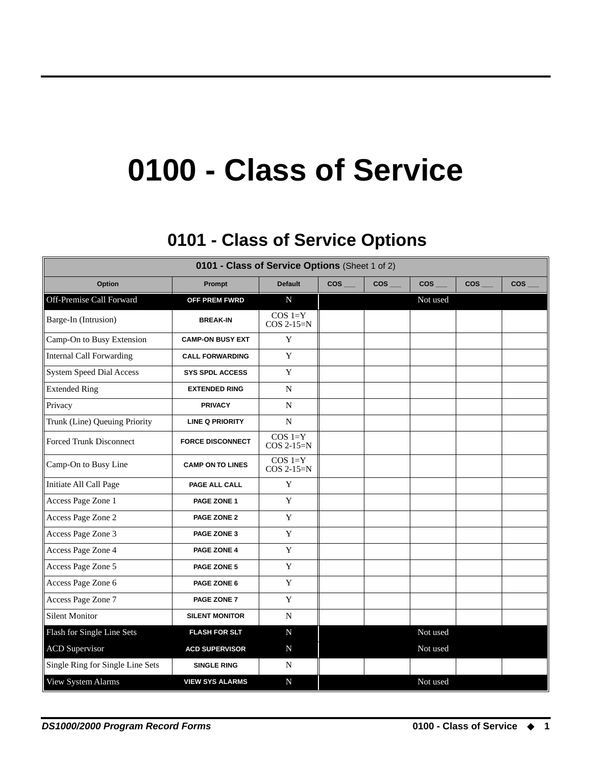## **0100 - Class of Service**

## **0101 - Class of Service Options 0101 - Class of Service Options**

<span id="page-4-1"></span><span id="page-4-0"></span>

| 0101 - Class of Service Options (Sheet 1 of 2) |                         |                           |        |            |            |            |            |
|------------------------------------------------|-------------------------|---------------------------|--------|------------|------------|------------|------------|
| Option                                         | Prompt                  | <b>Default</b>            | $cos-$ | <b>COS</b> | <b>COS</b> | <b>COS</b> | <b>COS</b> |
| Off-Premise Call Forward                       | OFF PREM FWRD           | $\mathbf N$               |        |            | Not used   |            |            |
| Barge-In (Intrusion)                           | <b>BREAK-IN</b>         | $COS 1=Y$<br>$COS 2-15=N$ |        |            |            |            |            |
| Camp-On to Busy Extension                      | <b>CAMP-ON BUSY EXT</b> | Y                         |        |            |            |            |            |
| <b>Internal Call Forwarding</b>                | <b>CALL FORWARDING</b>  | Y                         |        |            |            |            |            |
| <b>System Speed Dial Access</b>                | <b>SYS SPDL ACCESS</b>  | Y                         |        |            |            |            |            |
| <b>Extended Ring</b>                           | <b>EXTENDED RING</b>    | N                         |        |            |            |            |            |
| Privacy                                        | <b>PRIVACY</b>          | N                         |        |            |            |            |            |
| Trunk (Line) Queuing Priority                  | <b>LINE Q PRIORITY</b>  | ${\bf N}$                 |        |            |            |            |            |
| <b>Forced Trunk Disconnect</b>                 | <b>FORCE DISCONNECT</b> | $COS 1=Y$<br>$COS 2-15=N$ |        |            |            |            |            |
| Camp-On to Busy Line                           | <b>CAMP ON TO LINES</b> | $COS 1=Y$<br>COS 2-15=N   |        |            |            |            |            |
| Initiate All Call Page                         | PAGE ALL CALL           | Y                         |        |            |            |            |            |
| Access Page Zone 1                             | PAGE ZONE 1             | Y                         |        |            |            |            |            |
| Access Page Zone 2                             | PAGE ZONE 2             | Y                         |        |            |            |            |            |
| Access Page Zone 3                             | PAGE ZONE 3             | $\mathbf Y$               |        |            |            |            |            |
| Access Page Zone 4                             | PAGE ZONE 4             | $\mathbf Y$               |        |            |            |            |            |
| Access Page Zone 5                             | PAGE ZONE 5             | Y                         |        |            |            |            |            |
| Access Page Zone 6                             | PAGE ZONE 6             | Y                         |        |            |            |            |            |
| Access Page Zone 7                             | PAGE ZONE 7             | Y                         |        |            |            |            |            |
| <b>Silent Monitor</b>                          | <b>SILENT MONITOR</b>   | $\mathbf N$               |        |            |            |            |            |
| Flash for Single Line Sets                     | <b>FLASH FOR SLT</b>    | ${\bf N}$                 |        |            | Not used   |            |            |
| <b>ACD</b> Supervisor                          | <b>ACD SUPERVISOR</b>   | ${\bf N}$                 |        |            | Not used   |            |            |
| Single Ring for Single Line Sets               | <b>SINGLE RING</b>      | N                         |        |            |            |            |            |
| View System Alarms                             | <b>VIEW SYS ALARMS</b>  | $\mathbf N$               |        |            | Not used   |            |            |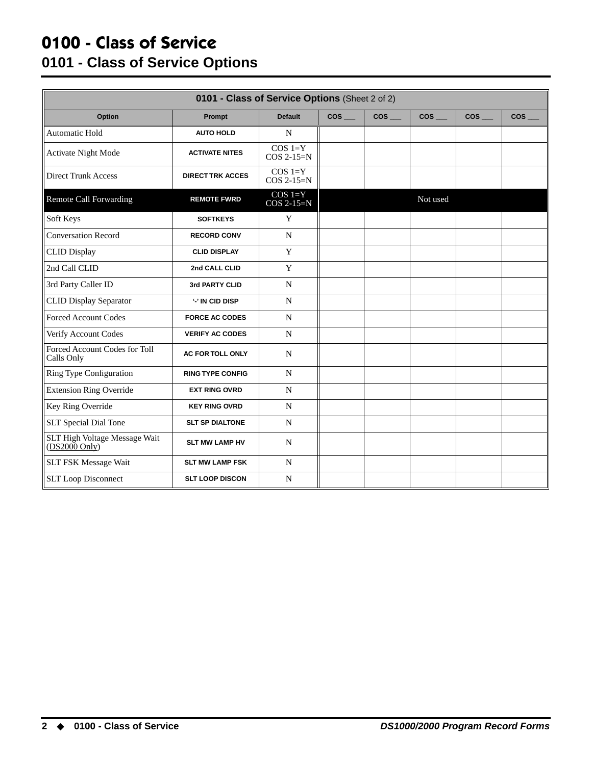#### **0100 - Class of Service 0101 - Class of Service Options**

| 0101 - Class of Service Options (Sheet 2 of 2)   |                         |                           |                    |                 |                |        |        |
|--------------------------------------------------|-------------------------|---------------------------|--------------------|-----------------|----------------|--------|--------|
| Option                                           | Prompt                  | <b>Default</b>            | $cos$ <sub>—</sub> | $\cos$ $\qquad$ | $cos$ $\qquad$ | $\cos$ | $\cos$ |
| Automatic Hold                                   | <b>AUTO HOLD</b>        | N                         |                    |                 |                |        |        |
| <b>Activate Night Mode</b>                       | <b>ACTIVATE NITES</b>   | $COS 1=Y$<br>$COS 2-15=N$ |                    |                 |                |        |        |
| <b>Direct Trunk Access</b>                       | <b>DIRECT TRK ACCES</b> | $COS 1=Y$<br>$COS 2-15=N$ |                    |                 |                |        |        |
| <b>Remote Call Forwarding</b>                    | <b>REMOTE FWRD</b>      | $COS 1=Y$<br>COS 2-15=N   |                    |                 | Not used       |        |        |
| Soft Keys                                        | <b>SOFTKEYS</b>         | Y                         |                    |                 |                |        |        |
| <b>Conversation Record</b>                       | <b>RECORD CONV</b>      | $\mathbf N$               |                    |                 |                |        |        |
| <b>CLID Display</b>                              | <b>CLID DISPLAY</b>     | Y                         |                    |                 |                |        |        |
| 2nd Call CLID                                    | 2nd CALL CLID           | Y                         |                    |                 |                |        |        |
| 3rd Party Caller ID                              | 3rd PARTY CLID          | $\mathbf N$               |                    |                 |                |        |        |
| <b>CLID Display Separator</b>                    | <b>'-' IN CID DISP</b>  | N                         |                    |                 |                |        |        |
| <b>Forced Account Codes</b>                      | <b>FORCE AC CODES</b>   | N                         |                    |                 |                |        |        |
| Verify Account Codes                             | <b>VERIFY AC CODES</b>  | N                         |                    |                 |                |        |        |
| Forced Account Codes for Toll<br>Calls Only      | <b>AC FOR TOLL ONLY</b> | N                         |                    |                 |                |        |        |
| Ring Type Configuration                          | <b>RING TYPE CONFIG</b> | N                         |                    |                 |                |        |        |
| <b>Extension Ring Override</b>                   | <b>EXT RING OVRD</b>    | N                         |                    |                 |                |        |        |
| Key Ring Override                                | <b>KEY RING OVRD</b>    | N                         |                    |                 |                |        |        |
| <b>SLT Special Dial Tone</b>                     | <b>SLT SP DIALTONE</b>  | N                         |                    |                 |                |        |        |
| SLT High Voltage Message Wait<br>$(DS2000$ Only) | <b>SLT MW LAMP HV</b>   | $\mathbf N$               |                    |                 |                |        |        |
| <b>SLT FSK Message Wait</b>                      | <b>SLT MW LAMP FSK</b>  | N                         |                    |                 |                |        |        |
| <b>SLT Loop Disconnect</b>                       | <b>SLT LOOP DISCON</b>  | N                         |                    |                 |                |        |        |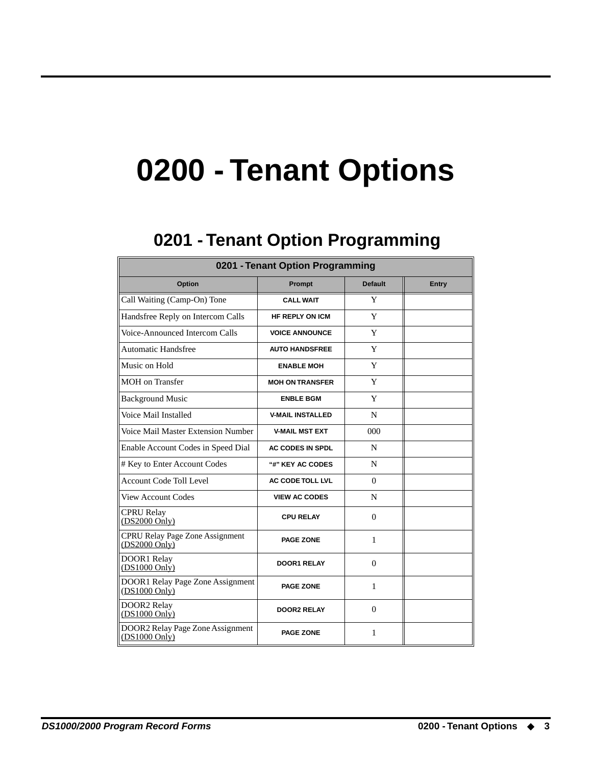## **0200 - Tenant Options**

### **0201 - Tenant Option Programming 0201 - Tenant Option Programming**

<span id="page-6-1"></span><span id="page-6-0"></span>

| 0201 - Tenant Option Programming                          |                         |                |              |  |  |  |  |
|-----------------------------------------------------------|-------------------------|----------------|--------------|--|--|--|--|
| Option                                                    | Prompt                  | <b>Default</b> | <b>Entry</b> |  |  |  |  |
| Call Waiting (Camp-On) Tone                               | <b>CALL WAIT</b>        | Y              |              |  |  |  |  |
| Handsfree Reply on Intercom Calls                         | <b>HF REPLY ON ICM</b>  | Y              |              |  |  |  |  |
| Voice-Announced Intercom Calls                            | <b>VOICE ANNOUNCE</b>   | Y              |              |  |  |  |  |
| <b>Automatic Handsfree</b>                                | <b>AUTO HANDSFREE</b>   | Y              |              |  |  |  |  |
| Music on Hold                                             | <b>ENABLE MOH</b>       | Y              |              |  |  |  |  |
| <b>MOH</b> on Transfer                                    | <b>MOH ON TRANSFER</b>  | Y              |              |  |  |  |  |
| <b>Background Music</b>                                   | <b>ENBLE BGM</b>        | Y              |              |  |  |  |  |
| Voice Mail Installed                                      | <b>V-MAIL INSTALLED</b> | N              |              |  |  |  |  |
| Voice Mail Master Extension Number                        | <b>V-MAIL MST EXT</b>   | 000            |              |  |  |  |  |
| Enable Account Codes in Speed Dial                        | <b>AC CODES IN SPDL</b> | N              |              |  |  |  |  |
| # Key to Enter Account Codes                              | "#" KEY AC CODES        | N              |              |  |  |  |  |
| <b>Account Code Toll Level</b>                            | <b>AC CODE TOLL LVL</b> | $\Omega$       |              |  |  |  |  |
| <b>View Account Codes</b>                                 | <b>VIEW AC CODES</b>    | N              |              |  |  |  |  |
| <b>CPRU Relay</b><br>(DS2000 Only)                        | <b>CPU RELAY</b>        | $\Omega$       |              |  |  |  |  |
| <b>CPRU Relay Page Zone Assignment</b><br>$(DS2000$ Only) | <b>PAGE ZONE</b>        | 1              |              |  |  |  |  |
| DOOR1 Relay<br>$(DS1000 \text{ Only})$                    | <b>DOOR1 RELAY</b>      | $\Omega$       |              |  |  |  |  |
| DOOR1 Relay Page Zone Assignment<br>(DS1000 Only)         | <b>PAGE ZONE</b>        | 1              |              |  |  |  |  |
| DOOR2 Relay<br>(DS1000 Ohly)                              | <b>DOOR2 RELAY</b>      | $\Omega$       |              |  |  |  |  |
| DOOR2 Relay Page Zone Assignment<br>$(DS1000$ Only)       | <b>PAGE ZONE</b>        | 1              |              |  |  |  |  |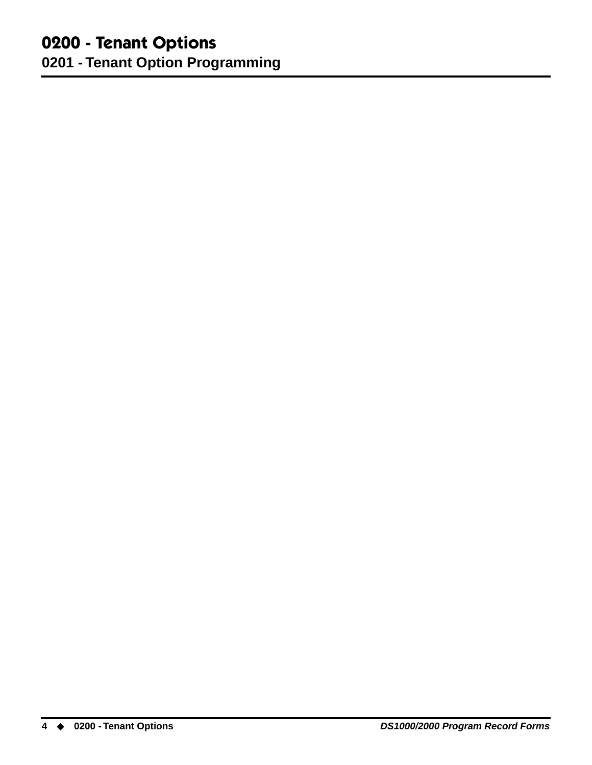## **0200 - Tenant Options**

**0201 - Tenant Option Programming**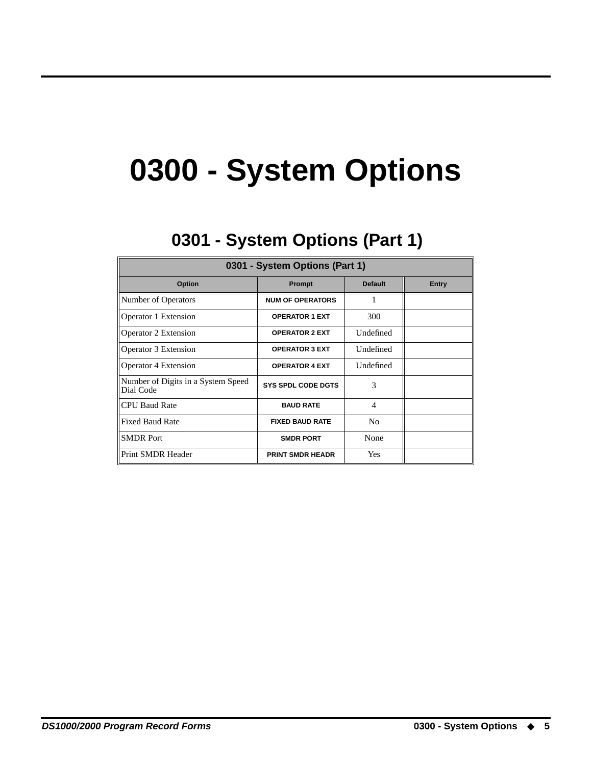## **0300 - System Options**

## **0301 - System Options (Part 1) 0301 - System Options (Part 1)**

<span id="page-8-1"></span><span id="page-8-0"></span>

| 0301 - System Options (Part 1)                  |                           |                          |       |  |  |  |  |
|-------------------------------------------------|---------------------------|--------------------------|-------|--|--|--|--|
| <b>Option</b>                                   | <b>Prompt</b>             | <b>Default</b>           | Entry |  |  |  |  |
| Number of Operators                             | <b>NUM OF OPERATORS</b>   | 1                        |       |  |  |  |  |
| Operator 1 Extension                            | <b>OPERATOR 1 EXT</b>     | 300                      |       |  |  |  |  |
| Operator 2 Extension                            | <b>OPERATOR 2 EXT</b>     | Undefined                |       |  |  |  |  |
| Operator 3 Extension                            | <b>OPERATOR 3 EXT</b>     | Undefined                |       |  |  |  |  |
| <b>Operator 4 Extension</b>                     | <b>OPERATOR 4 EXT</b>     | Undefined                |       |  |  |  |  |
| Number of Digits in a System Speed<br>Dial Code | <b>SYS SPDL CODE DGTS</b> | 3                        |       |  |  |  |  |
| <b>CPU Baud Rate</b>                            | <b>BAUD RATE</b>          | $\overline{\mathcal{A}}$ |       |  |  |  |  |
| <b>Fixed Baud Rate</b>                          | <b>FIXED BAUD RATE</b>    | N <sub>0</sub>           |       |  |  |  |  |
| <b>SMDR</b> Port                                | <b>SMDR PORT</b>          | None                     |       |  |  |  |  |
| Print SMDR Header                               | <b>PRINT SMDR HEADR</b>   | Yes                      |       |  |  |  |  |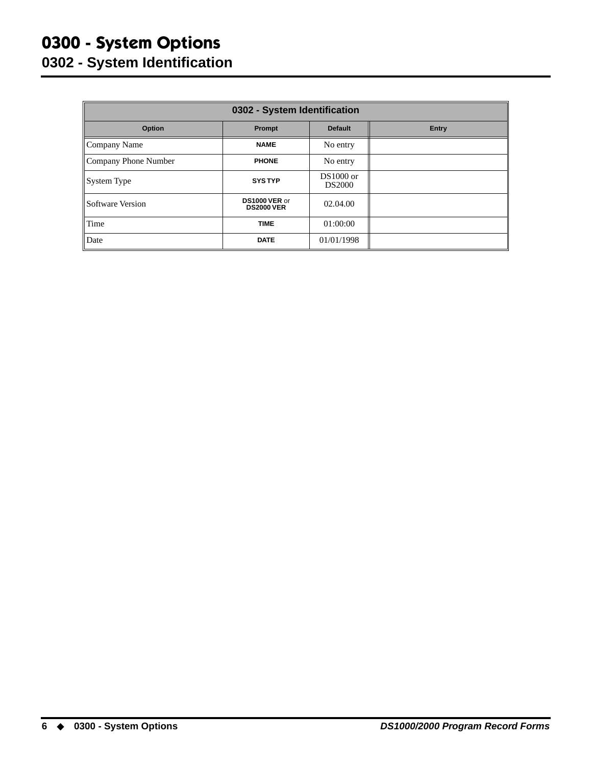### **0300 - System Options 0302 - System Identification**

<span id="page-9-0"></span>

| 0302 - System Identification |                                    |                              |              |  |  |
|------------------------------|------------------------------------|------------------------------|--------------|--|--|
| Option                       | Prompt                             | <b>Default</b>               | <b>Entry</b> |  |  |
| Company Name                 | <b>NAME</b>                        | No entry                     |              |  |  |
| Company Phone Number         | <b>PHONE</b>                       | No entry                     |              |  |  |
| System Type                  | <b>SYSTYP</b>                      | $DS1000$ or<br><b>DS2000</b> |              |  |  |
| Software Version             | DS1000 VER or<br><b>DS2000 VER</b> | 02.04.00                     |              |  |  |
| Time                         | <b>TIME</b>                        | 01:00:00                     |              |  |  |
| Date                         | <b>DATE</b>                        | 01/01/1998                   |              |  |  |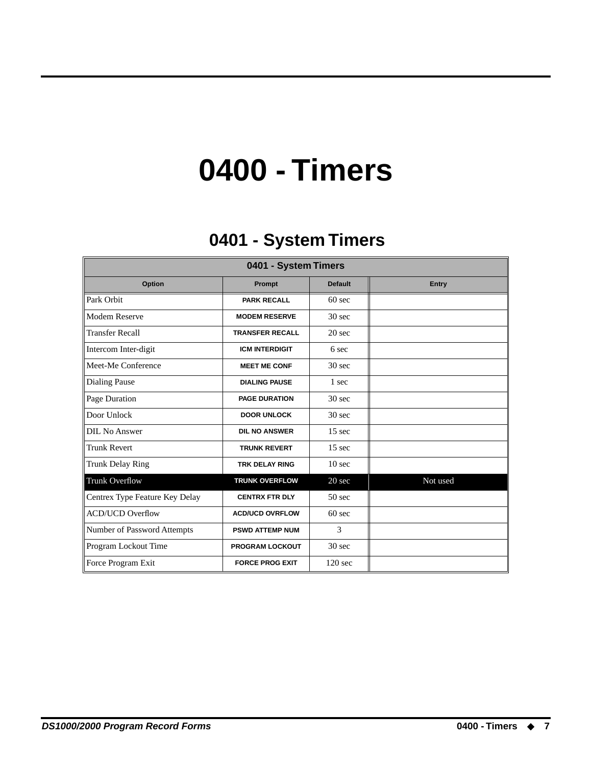## **0400 - Timers**

## **0401 - System Timers 0401 - System Timers**

<span id="page-10-1"></span><span id="page-10-0"></span>

| 0401 - System Timers           |                        |                   |          |  |  |
|--------------------------------|------------------------|-------------------|----------|--|--|
| Option                         | Prompt                 | <b>Default</b>    | Entry    |  |  |
| Park Orbit                     | <b>PARK RECALL</b>     | $60$ sec          |          |  |  |
| Modem Reserve                  | <b>MODEM RESERVE</b>   | 30 <sub>sec</sub> |          |  |  |
| <b>Transfer Recall</b>         | <b>TRANSFER RECALL</b> | 20 <sub>sec</sub> |          |  |  |
| Intercom Inter-digit           | <b>ICM INTERDIGIT</b>  | 6 sec             |          |  |  |
| Meet-Me Conference             | <b>MEET ME CONF</b>    | 30 sec            |          |  |  |
| <b>Dialing Pause</b>           | <b>DIALING PAUSE</b>   | 1 sec             |          |  |  |
| Page Duration                  | <b>PAGE DURATION</b>   | 30 <sub>sec</sub> |          |  |  |
| Door Unlock                    | <b>DOOR UNLOCK</b>     | 30 <sub>sec</sub> |          |  |  |
| DIL No Answer                  | <b>DIL NO ANSWER</b>   | $15 \text{ sec}$  |          |  |  |
| <b>Trunk Revert</b>            | <b>TRUNK REVERT</b>    | 15 <sub>sec</sub> |          |  |  |
| <b>Trunk Delay Ring</b>        | <b>TRK DELAY RING</b>  | 10 <sub>sec</sub> |          |  |  |
| Trunk Overflow                 | <b>TRUNK OVERFLOW</b>  | 20 sec            | Not used |  |  |
| Centrex Type Feature Key Delay | <b>CENTRX FTR DLY</b>  | $50$ sec          |          |  |  |
| <b>ACD/UCD Overflow</b>        | <b>ACD/UCD OVRFLOW</b> | $60$ sec          |          |  |  |
| Number of Password Attempts    | <b>PSWD ATTEMP NUM</b> | 3                 |          |  |  |
| Program Lockout Time           | <b>PROGRAM LOCKOUT</b> | 30 <sub>sec</sub> |          |  |  |
| Force Program Exit             | <b>FORCE PROG EXIT</b> | $120$ sec         |          |  |  |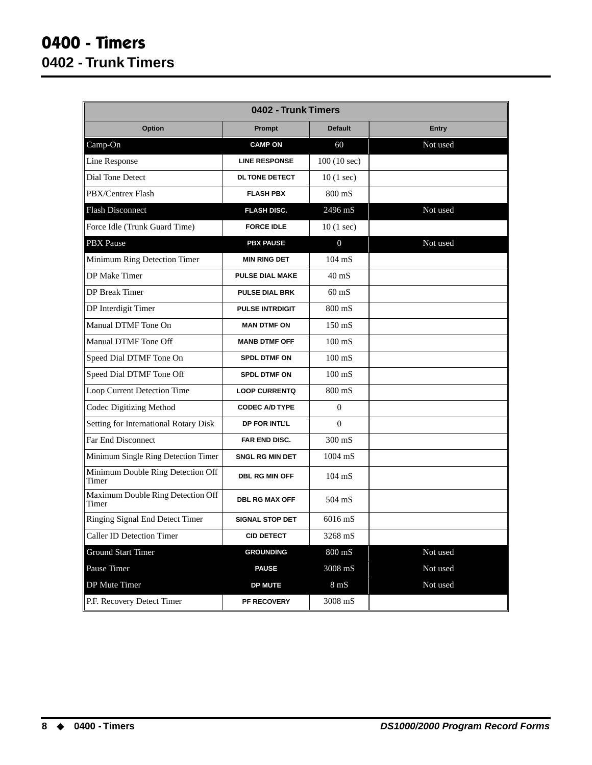<span id="page-11-0"></span>

| 0402 - Trunk Timers                        |                        |                      |              |  |  |
|--------------------------------------------|------------------------|----------------------|--------------|--|--|
| <b>Option</b>                              | Prompt                 | <b>Default</b>       | <b>Entry</b> |  |  |
| Camp-On                                    | <b>CAMP ON</b>         | 60                   | Not used     |  |  |
| Line Response                              | <b>LINE RESPONSE</b>   | 100(10 sec)          |              |  |  |
| Dial Tone Detect                           | <b>DL TONE DETECT</b>  | 10(1 sec)            |              |  |  |
| PBX/Centrex Flash                          | <b>FLASH PBX</b>       | 800 mS               |              |  |  |
| <b>Flash Disconnect</b>                    | <b>FLASH DISC.</b>     | 2496 mS              | Not used     |  |  |
| Force Idle (Trunk Guard Time)              | <b>FORCE IDLE</b>      | 10(1 sec)            |              |  |  |
| <b>PBX</b> Pause                           | <b>PBX PAUSE</b>       | $\overline{0}$       | Not used     |  |  |
| Minimum Ring Detection Timer               | <b>MIN RING DET</b>    | $104 \text{ mS}$     |              |  |  |
| DP Make Timer                              | <b>PULSE DIAL MAKE</b> | $40$ mS              |              |  |  |
| <b>DP</b> Break Timer                      | <b>PULSE DIAL BRK</b>  | $60 \text{ mS}$      |              |  |  |
| DP Interdigit Timer                        | <b>PULSE INTRDIGIT</b> | 800 mS               |              |  |  |
| Manual DTMF Tone On                        | <b>MAN DTMF ON</b>     | $150 \text{ mS}$     |              |  |  |
| Manual DTMF Tone Off                       | <b>MANB DTMF OFF</b>   | $100 \text{ mS}$     |              |  |  |
| Speed Dial DTMF Tone On                    | <b>SPDL DTMF ON</b>    | $100 \text{ mS}$     |              |  |  |
| Speed Dial DTMF Tone Off                   | <b>SPDL DTMF ON</b>    | $100 \text{ mS}$     |              |  |  |
| Loop Current Detection Time                | <b>LOOP CURRENTQ</b>   | $800 \text{ mS}$     |              |  |  |
| Codec Digitizing Method                    | <b>CODEC A/D TYPE</b>  | $\Omega$             |              |  |  |
| Setting for International Rotary Disk      | DP FOR INTL'L          | $\Omega$             |              |  |  |
| Far End Disconnect                         | FAR END DISC.          | $300 \text{ mS}$     |              |  |  |
| Minimum Single Ring Detection Timer        | <b>SNGL RG MIN DET</b> | 1004 mS              |              |  |  |
| Minimum Double Ring Detection Off<br>Timer | <b>DBL RG MIN OFF</b>  | $104 \text{ mS}$     |              |  |  |
| Maximum Double Ring Detection Off<br>Timer | <b>DBL RG MAX OFF</b>  | 504 mS               |              |  |  |
| Ringing Signal End Detect Timer            | <b>SIGNAL STOP DET</b> | 6016 mS              |              |  |  |
| Caller ID Detection Timer                  | <b>CID DETECT</b>      | 3268 mS              |              |  |  |
| Ground Start Timer                         | <b>GROUNDING</b>       | $800\ \mathrm{mS}$   | Not used     |  |  |
| Pause Timer                                | <b>PAUSE</b>           | $3008 \ \mathrm{mS}$ | Not used     |  |  |
| DP Mute Timer                              | <b>DP MUTE</b>         | $8 \text{ mS}$       | Not used     |  |  |
| P.F. Recovery Detect Timer                 | PF RECOVERY            | $3008 \text{ mS}$    |              |  |  |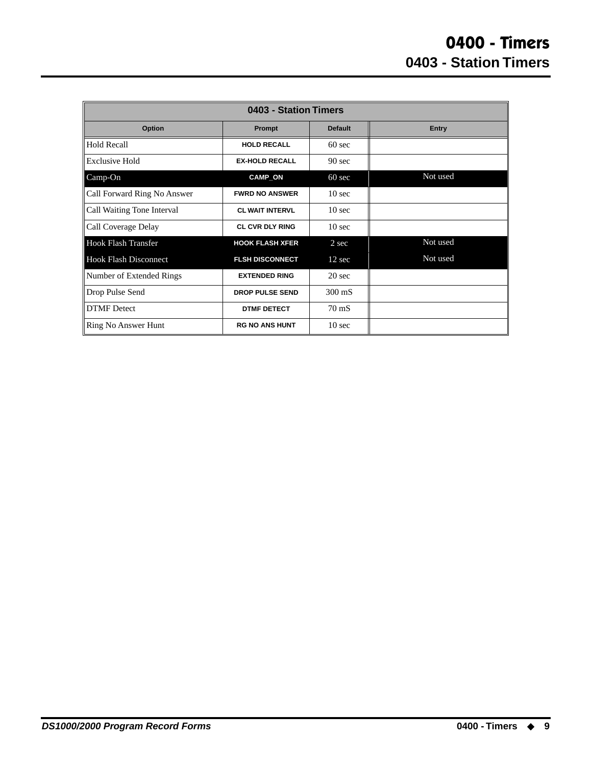<span id="page-12-0"></span>

| 0403 - Station Timers        |                        |                   |              |  |  |
|------------------------------|------------------------|-------------------|--------------|--|--|
| Option                       | Prompt                 | <b>Default</b>    | <b>Entry</b> |  |  |
| <b>Hold Recall</b>           | <b>HOLD RECALL</b>     | $60 \text{ sec}$  |              |  |  |
| Exclusive Hold               | <b>EX-HOLD RECALL</b>  | 90 <sub>sec</sub> |              |  |  |
| Camp-On                      | <b>CAMP_ON</b>         | $60 \text{ sec}$  | Not used     |  |  |
| Call Forward Ring No Answer  | <b>FWRD NO ANSWER</b>  | $10 \text{ sec}$  |              |  |  |
| Call Waiting Tone Interval   | <b>CL WAIT INTERVL</b> | 10 <sub>sec</sub> |              |  |  |
| Call Coverage Delay          | <b>CL CVR DLY RING</b> | 10 <sub>sec</sub> |              |  |  |
| <b>Hook Flash Transfer</b>   | <b>HOOK FLASH XFER</b> | 2 sec             | Not used     |  |  |
| <b>Hook Flash Disconnect</b> | <b>FLSH DISCONNECT</b> | $12 \text{ sec}$  | Not used     |  |  |
| Number of Extended Rings     | <b>EXTENDED RING</b>   | $20 \text{ sec}$  |              |  |  |
| Drop Pulse Send              | <b>DROP PULSE SEND</b> | $300 \text{ mS}$  |              |  |  |
| <b>DTMF</b> Detect           | <b>DTMF DETECT</b>     | $70 \text{ mS}$   |              |  |  |
| Ring No Answer Hunt          | <b>RG NO ANS HUNT</b>  | 10 <sub>sec</sub> |              |  |  |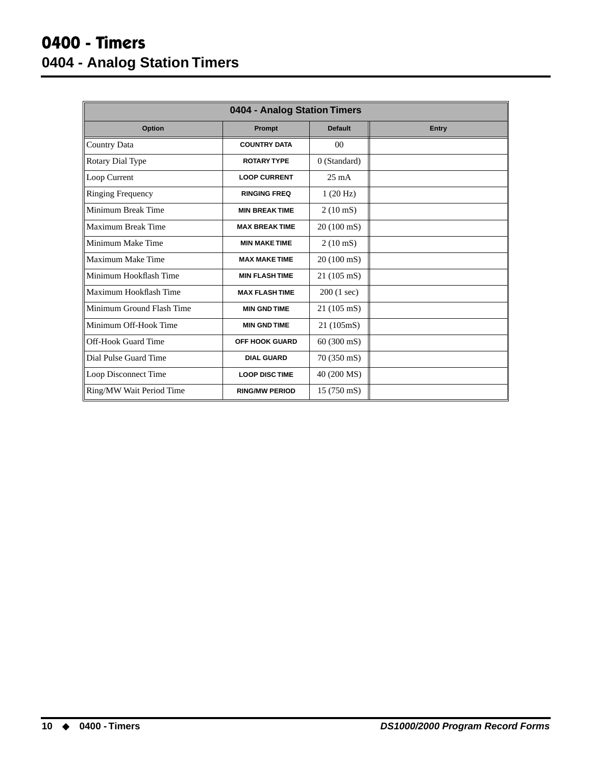### **0400 - Timers 0404 - Analog Station Timers**

<span id="page-13-0"></span>

| 0404 - Analog Station Timers |                       |                      |       |  |  |
|------------------------------|-----------------------|----------------------|-------|--|--|
| Option                       | Prompt                | <b>Default</b>       | Entry |  |  |
| Country Data                 | <b>COUNTRY DATA</b>   | 00 <sup>2</sup>      |       |  |  |
| Rotary Dial Type             | <b>ROTARY TYPE</b>    | 0 (Standard)         |       |  |  |
| Loop Current                 | <b>LOOP CURRENT</b>   | $25 \text{ mA}$      |       |  |  |
| <b>Ringing Frequency</b>     | <b>RINGING FREQ</b>   | 1(20 Hz)             |       |  |  |
| Minimum Break Time           | <b>MIN BREAK TIME</b> | $2(10 \text{ mS})$   |       |  |  |
| Maximum Break Time           | <b>MAX BREAKTIME</b>  | 20 (100 mS)          |       |  |  |
| Minimum Make Time            | <b>MIN MAKE TIME</b>  | $2(10 \text{ mS})$   |       |  |  |
| Maximum Make Time            | <b>MAX MAKE TIME</b>  | 20 (100 mS)          |       |  |  |
| Minimum Hookflash Time       | <b>MIN FLASH TIME</b> | $21(105 \text{ mS})$ |       |  |  |
| Maximum Hookflash Time       | <b>MAX FLASH TIME</b> | 200 (1 sec)          |       |  |  |
| Minimum Ground Flash Time    | <b>MIN GND TIME</b>   | 21 (105 mS)          |       |  |  |
| Minimum Off-Hook Time        | <b>MIN GND TIME</b>   | 21 (105mS)           |       |  |  |
| Off-Hook Guard Time          | <b>OFF HOOK GUARD</b> | $60(300 \text{ mS})$ |       |  |  |
| Dial Pulse Guard Time        | <b>DIAL GUARD</b>     | 70 (350 mS)          |       |  |  |
| Loop Disconnect Time         | <b>LOOP DISC TIME</b> | 40 (200 MS)          |       |  |  |
| Ring/MW Wait Period Time     | <b>RING/MW PERIOD</b> | $15(750 \text{ mS})$ |       |  |  |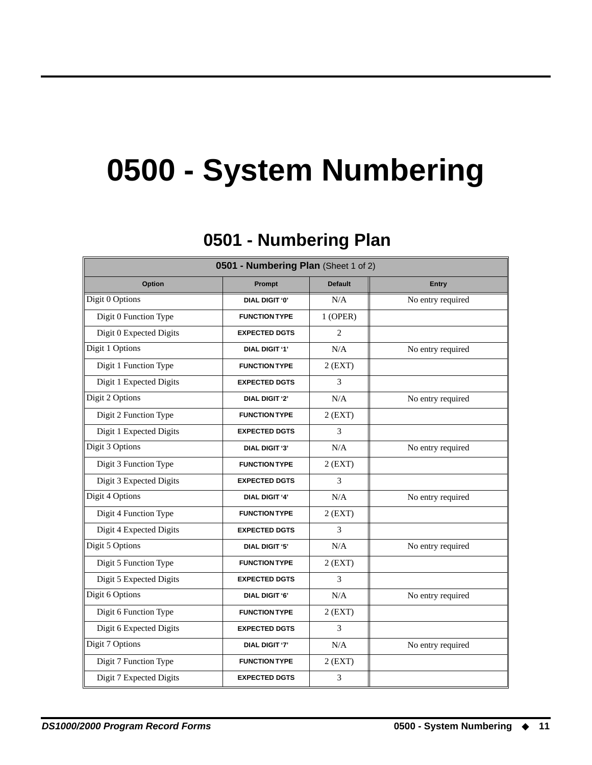## **0500 - System Numbering**

## **0501 - Numbering Plan 0501 - Numbering Plan**

<span id="page-14-1"></span><span id="page-14-0"></span>

| 0501 - Numbering Plan (Sheet 1 of 2) |                       |                |                   |  |  |
|--------------------------------------|-----------------------|----------------|-------------------|--|--|
| <b>Option</b>                        | Prompt                | <b>Default</b> | <b>Entry</b>      |  |  |
| Digit 0 Options                      | DIAL DIGIT '0'        | N/A            | No entry required |  |  |
| Digit 0 Function Type                | <b>FUNCTION TYPE</b>  | $1$ (OPER)     |                   |  |  |
| Digit 0 Expected Digits              | <b>EXPECTED DGTS</b>  | $\overline{2}$ |                   |  |  |
| Digit 1 Options                      | <b>DIAL DIGIT '1'</b> | N/A            | No entry required |  |  |
| Digit 1 Function Type                | <b>FUNCTION TYPE</b>  | $2$ (EXT)      |                   |  |  |
| Digit 1 Expected Digits              | <b>EXPECTED DGTS</b>  | 3              |                   |  |  |
| Digit 2 Options                      | <b>DIAL DIGIT '2'</b> | N/A            | No entry required |  |  |
| Digit 2 Function Type                | <b>FUNCTION TYPE</b>  | $2$ (EXT)      |                   |  |  |
| Digit 1 Expected Digits              | <b>EXPECTED DGTS</b>  | 3              |                   |  |  |
| Digit 3 Options                      | <b>DIAL DIGIT '3'</b> | N/A            | No entry required |  |  |
| Digit 3 Function Type                | <b>FUNCTION TYPE</b>  | $2$ (EXT)      |                   |  |  |
| Digit 3 Expected Digits              | <b>EXPECTED DGTS</b>  | 3              |                   |  |  |
| Digit 4 Options                      | <b>DIAL DIGIT '4'</b> | N/A            | No entry required |  |  |
| Digit 4 Function Type                | <b>FUNCTION TYPE</b>  | $2$ (EXT)      |                   |  |  |
| Digit 4 Expected Digits              | <b>EXPECTED DGTS</b>  | 3              |                   |  |  |
| Digit 5 Options                      | <b>DIAL DIGIT '5'</b> | N/A            | No entry required |  |  |
| Digit 5 Function Type                | <b>FUNCTION TYPE</b>  | $2$ (EXT)      |                   |  |  |
| Digit 5 Expected Digits              | <b>EXPECTED DGTS</b>  | 3              |                   |  |  |
| Digit 6 Options                      | <b>DIAL DIGIT '6'</b> | N/A            | No entry required |  |  |
| Digit 6 Function Type                | <b>FUNCTION TYPE</b>  | $2$ (EXT)      |                   |  |  |
| Digit 6 Expected Digits              | <b>EXPECTED DGTS</b>  | 3              |                   |  |  |
| Digit 7 Options                      | <b>DIAL DIGIT '7'</b> | N/A            | No entry required |  |  |
| Digit 7 Function Type                | <b>FUNCTION TYPE</b>  | $2$ (EXT)      |                   |  |  |
| Digit 7 Expected Digits              | <b>EXPECTED DGTS</b>  | 3              |                   |  |  |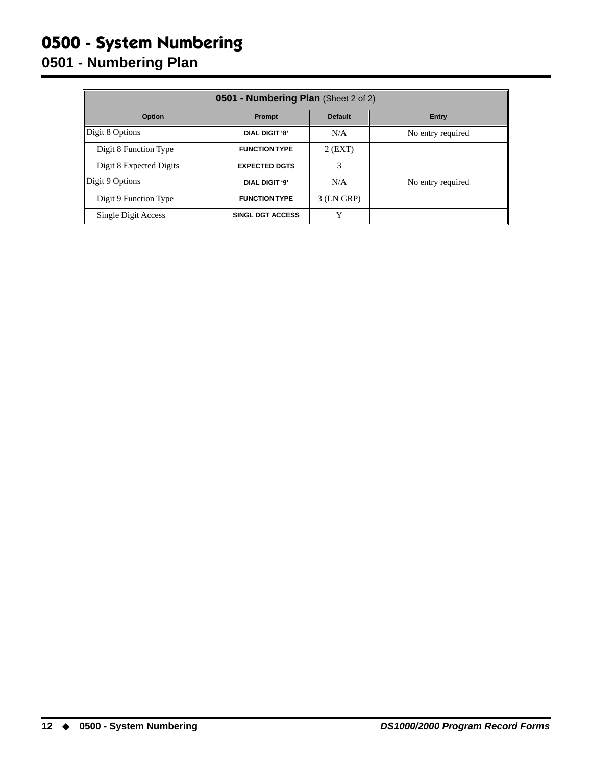### **0500 - System Numbering 0501 - Numbering Plan**

| 0501 - Numbering Plan (Sheet 2 of 2)               |                         |              |                   |  |  |  |
|----------------------------------------------------|-------------------------|--------------|-------------------|--|--|--|
| <b>Option</b><br><b>Default</b><br>Prompt<br>Entry |                         |              |                   |  |  |  |
| Digit 8 Options                                    | <b>DIAL DIGIT '8'</b>   | N/A          | No entry required |  |  |  |
| Digit 8 Function Type                              | <b>FUNCTION TYPE</b>    | $2$ (EXT)    |                   |  |  |  |
| Digit 8 Expected Digits                            | <b>EXPECTED DGTS</b>    | 3            |                   |  |  |  |
| Digit 9 Options                                    | DIAL DIGIT '9'          | N/A          | No entry required |  |  |  |
| Digit 9 Function Type                              | <b>FUNCTION TYPE</b>    | $3$ (LN GRP) |                   |  |  |  |
| Single Digit Access                                | <b>SINGL DGT ACCESS</b> | v            |                   |  |  |  |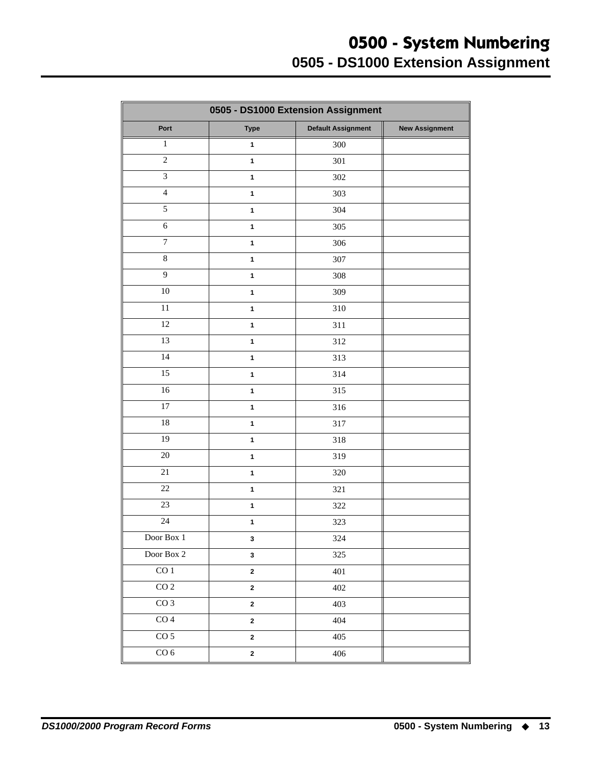<span id="page-16-0"></span>

| 0505 - DS1000 Extension Assignment |                                          |     |  |  |  |
|------------------------------------|------------------------------------------|-----|--|--|--|
| Port                               | <b>Default Assignment</b><br><b>Type</b> |     |  |  |  |
| $\mathbf{1}$                       | $\mathbf{1}$                             | 300 |  |  |  |
| $\overline{c}$                     | $\mathbf{1}$                             | 301 |  |  |  |
| $\overline{3}$                     | $\mathbf{1}$                             | 302 |  |  |  |
| $\overline{\mathbf{4}}$            | $\mathbf{1}$                             | 303 |  |  |  |
| 5                                  | $\mathbf{1}$                             | 304 |  |  |  |
| $\sqrt{6}$                         | $\mathbf{1}$                             | 305 |  |  |  |
| $\boldsymbol{7}$                   | $\mathbf{1}$                             | 306 |  |  |  |
| $8\,$                              | $\mathbf{1}$                             | 307 |  |  |  |
| $\overline{9}$                     | $\mathbf{1}$                             | 308 |  |  |  |
| 10                                 | $\mathbf{1}$                             | 309 |  |  |  |
| 11                                 | $\mathbf{1}$                             | 310 |  |  |  |
| $\overline{12}$                    | $\mathbf{1}$                             | 311 |  |  |  |
| 13                                 | $\mathbf{1}$                             | 312 |  |  |  |
| 14                                 | $\mathbf{1}$                             | 313 |  |  |  |
| 15                                 | $\mathbf{1}$                             | 314 |  |  |  |
| 16                                 | $\mathbf{1}$                             | 315 |  |  |  |
| 17                                 | $\mathbf{1}$                             | 316 |  |  |  |
| $\overline{18}$                    | $\mathbf{1}$                             | 317 |  |  |  |
| 19                                 | $\mathbf{1}$                             | 318 |  |  |  |
| 20                                 | $\mathbf{1}$                             | 319 |  |  |  |
| 21                                 | $\mathbf{1}$                             | 320 |  |  |  |
| 22                                 | $\mathbf{1}$                             | 321 |  |  |  |
| 23                                 | $\mathbf{1}$                             | 322 |  |  |  |
| 24                                 | $\mathbf{1}$                             | 323 |  |  |  |
| Door Box $1\,$                     | $\mathbf 3$                              | 324 |  |  |  |
| Door Box 2                         | $\mathbf{3}$                             | 325 |  |  |  |
| $\overline{CO1}$                   | $\mathbf 2$                              | 401 |  |  |  |
| CO <sub>2</sub>                    | $\mathbf 2$                              | 402 |  |  |  |
| CO <sub>3</sub>                    | $\mathbf{2}$                             | 403 |  |  |  |
| $\overline{CO4}$                   | $\bf 2$                                  | 404 |  |  |  |
| CO <sub>5</sub>                    | $\mathbf{2}$                             | 405 |  |  |  |
| CO <sub>6</sub>                    | $\boldsymbol{2}$                         | 406 |  |  |  |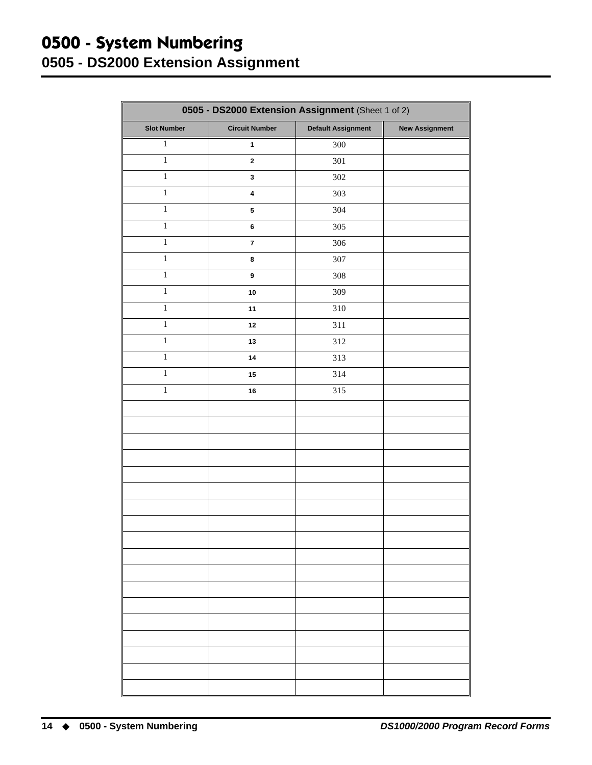#### <span id="page-17-0"></span>**0500 - System Numbering 0505 - DS2000 Extension Assignment**

| 0505 - DS2000 Extension Assignment (Sheet 1 of 2) |                         |                           |                       |  |  |
|---------------------------------------------------|-------------------------|---------------------------|-----------------------|--|--|
| <b>Slot Number</b>                                | <b>Circuit Number</b>   | <b>Default Assignment</b> | <b>New Assignment</b> |  |  |
| $\mathbf{1}$                                      | $\mathbf{1}$            | 300                       |                       |  |  |
| $\overline{1}$                                    | $\mathbf 2$             | 301                       |                       |  |  |
| $\mathbf 1$                                       | $\mathbf 3$             | 302                       |                       |  |  |
| $\,1\,$                                           | $\pmb{4}$               | 303                       |                       |  |  |
| $\,1$                                             | ${\bf 5}$               | 304                       |                       |  |  |
| $\,1$                                             | 6                       | 305                       |                       |  |  |
| $\,1$                                             | $\overline{\mathbf{7}}$ | 306                       |                       |  |  |
| $\,1$                                             | 8                       | 307                       |                       |  |  |
| $\,1$                                             | $\boldsymbol{9}$        | 308                       |                       |  |  |
| $\,1\,$                                           | 10                      | 309                       |                       |  |  |
| $\,1$                                             | 11                      | 310                       |                       |  |  |
| $\mathbf 1$                                       | 12                      | 311                       |                       |  |  |
| $\mathbf{1}$                                      | 13                      | 312                       |                       |  |  |
| $\overline{1}$                                    | 14                      | 313                       |                       |  |  |
| $\mathbf 1$                                       | 15                      | 314                       |                       |  |  |
| $\,1$                                             | 16                      | 315                       |                       |  |  |
|                                                   |                         |                           |                       |  |  |
|                                                   |                         |                           |                       |  |  |
|                                                   |                         |                           |                       |  |  |
|                                                   |                         |                           |                       |  |  |
|                                                   |                         |                           |                       |  |  |
|                                                   |                         |                           |                       |  |  |
|                                                   |                         |                           |                       |  |  |
|                                                   |                         |                           |                       |  |  |
|                                                   |                         |                           |                       |  |  |
|                                                   |                         |                           |                       |  |  |
|                                                   |                         |                           |                       |  |  |
|                                                   |                         |                           |                       |  |  |
|                                                   |                         |                           |                       |  |  |
|                                                   |                         |                           |                       |  |  |
|                                                   |                         |                           |                       |  |  |
|                                                   |                         |                           |                       |  |  |
|                                                   |                         |                           |                       |  |  |
|                                                   |                         |                           |                       |  |  |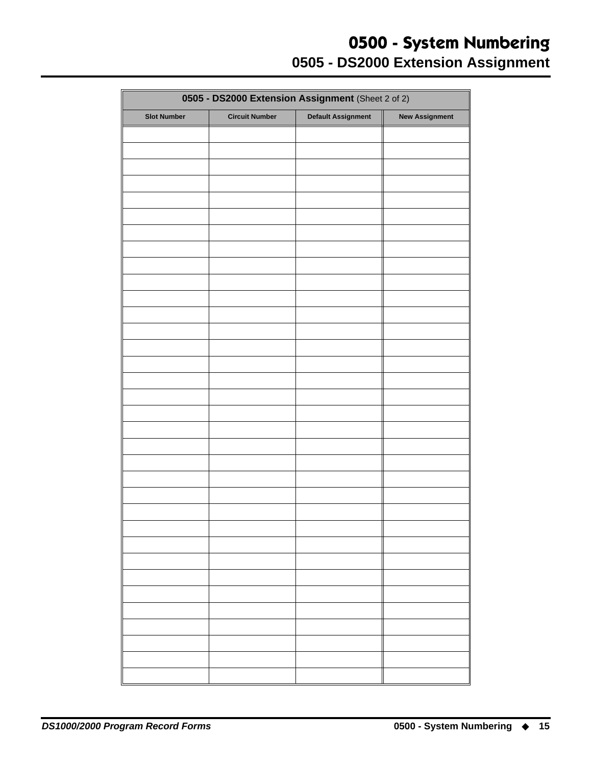#### **0500 - System Numbering 0505 - DS2000 Extension Assignment**

| 0505 - DS2000 Extension Assignment (Sheet 2 of 2) |                       |                           |                       |  |  |
|---------------------------------------------------|-----------------------|---------------------------|-----------------------|--|--|
| <b>Slot Number</b>                                | <b>Circuit Number</b> | <b>Default Assignment</b> | <b>New Assignment</b> |  |  |
|                                                   |                       |                           |                       |  |  |
|                                                   |                       |                           |                       |  |  |
|                                                   |                       |                           |                       |  |  |
|                                                   |                       |                           |                       |  |  |
|                                                   |                       |                           |                       |  |  |
|                                                   |                       |                           |                       |  |  |
|                                                   |                       |                           |                       |  |  |
|                                                   |                       |                           |                       |  |  |
|                                                   |                       |                           |                       |  |  |
|                                                   |                       |                           |                       |  |  |
|                                                   |                       |                           |                       |  |  |
|                                                   |                       |                           |                       |  |  |
|                                                   |                       |                           |                       |  |  |
|                                                   |                       |                           |                       |  |  |
|                                                   |                       |                           |                       |  |  |
|                                                   |                       |                           |                       |  |  |
|                                                   |                       |                           |                       |  |  |
|                                                   |                       |                           |                       |  |  |
|                                                   |                       |                           |                       |  |  |
|                                                   |                       |                           |                       |  |  |
|                                                   |                       |                           |                       |  |  |
|                                                   |                       |                           |                       |  |  |
|                                                   |                       |                           |                       |  |  |
|                                                   |                       |                           |                       |  |  |
|                                                   |                       |                           |                       |  |  |
|                                                   |                       |                           |                       |  |  |
|                                                   |                       |                           |                       |  |  |
|                                                   |                       |                           |                       |  |  |
|                                                   |                       |                           |                       |  |  |
|                                                   |                       |                           |                       |  |  |
|                                                   |                       |                           |                       |  |  |
|                                                   |                       |                           |                       |  |  |
|                                                   |                       |                           |                       |  |  |
|                                                   |                       |                           |                       |  |  |
|                                                   |                       |                           |                       |  |  |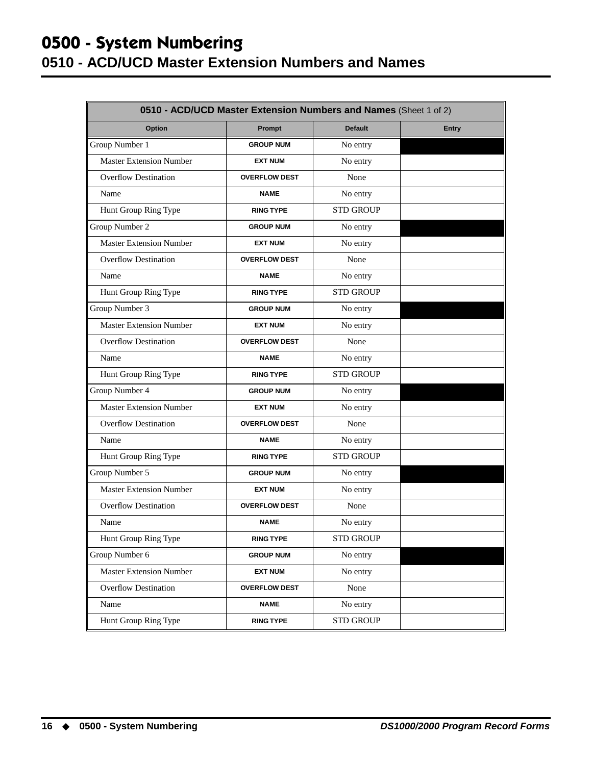#### **0500 - System Numbering 0510 - ACD/UCD Master Extension Numbers and Names**

<span id="page-19-0"></span>

| 0510 - ACD/UCD Master Extension Numbers and Names (Sheet 1 of 2) |                      |                  |              |  |
|------------------------------------------------------------------|----------------------|------------------|--------------|--|
| Option                                                           | Prompt               | <b>Default</b>   | <b>Entry</b> |  |
| Group Number 1                                                   | <b>GROUP NUM</b>     | No entry         |              |  |
| <b>Master Extension Number</b>                                   | <b>EXT NUM</b>       | No entry         |              |  |
| <b>Overflow Destination</b>                                      | <b>OVERFLOW DEST</b> | None             |              |  |
| Name                                                             | <b>NAME</b>          | No entry         |              |  |
| Hunt Group Ring Type                                             | <b>RING TYPE</b>     | <b>STD GROUP</b> |              |  |
| Group Number 2                                                   | <b>GROUP NUM</b>     | No entry         |              |  |
| <b>Master Extension Number</b>                                   | <b>EXT NUM</b>       | No entry         |              |  |
| <b>Overflow Destination</b>                                      | <b>OVERFLOW DEST</b> | None             |              |  |
| Name                                                             | <b>NAME</b>          | No entry         |              |  |
| Hunt Group Ring Type                                             | <b>RING TYPE</b>     | <b>STD GROUP</b> |              |  |
| Group Number 3                                                   | <b>GROUP NUM</b>     | No entry         |              |  |
| <b>Master Extension Number</b>                                   | <b>EXT NUM</b>       | No entry         |              |  |
| <b>Overflow Destination</b>                                      | <b>OVERFLOW DEST</b> | None             |              |  |
| Name                                                             | <b>NAME</b>          | No entry         |              |  |
| Hunt Group Ring Type                                             | <b>RING TYPE</b>     | <b>STD GROUP</b> |              |  |
| Group Number 4                                                   | <b>GROUP NUM</b>     | No entry         |              |  |
| <b>Master Extension Number</b>                                   | <b>EXT NUM</b>       | No entry         |              |  |
| <b>Overflow Destination</b>                                      | <b>OVERFLOW DEST</b> | None             |              |  |
| Name                                                             | <b>NAME</b>          | No entry         |              |  |
| Hunt Group Ring Type                                             | <b>RING TYPE</b>     | <b>STD GROUP</b> |              |  |
| Group Number 5                                                   | <b>GROUP NUM</b>     | No entry         |              |  |
| <b>Master Extension Number</b>                                   | <b>EXT NUM</b>       | No entry         |              |  |
| <b>Overflow Destination</b>                                      | <b>OVERFLOW DEST</b> | None             |              |  |
| Name                                                             | <b>NAME</b>          | No entry         |              |  |
| Hunt Group Ring Type                                             | <b>RING TYPE</b>     | <b>STD GROUP</b> |              |  |
| Group Number 6                                                   | <b>GROUP NUM</b>     | No entry         |              |  |
| <b>Master Extension Number</b>                                   | <b>EXT NUM</b>       | No entry         |              |  |
| Overflow Destination                                             | <b>OVERFLOW DEST</b> | None             |              |  |
| Name                                                             | <b>NAME</b>          | No entry         |              |  |
| Hunt Group Ring Type                                             | <b>RING TYPE</b>     | <b>STD GROUP</b> |              |  |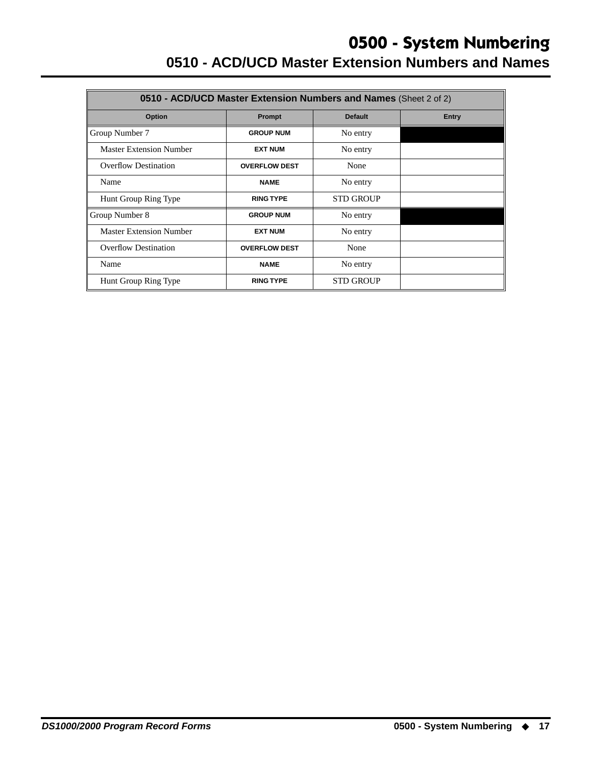#### **0500 - System Numbering 0510 - ACD/UCD Master Extension Numbers and Names**

| 0510 - ACD/UCD Master Extension Numbers and Names (Sheet 2 of 2) |                      |                  |       |  |  |
|------------------------------------------------------------------|----------------------|------------------|-------|--|--|
| Option                                                           | Prompt               | <b>Default</b>   | Entry |  |  |
| Group Number 7                                                   | <b>GROUP NUM</b>     | No entry         |       |  |  |
| <b>Master Extension Number</b>                                   | <b>EXT NUM</b>       | No entry         |       |  |  |
| Overflow Destination                                             | <b>OVERFLOW DEST</b> | None             |       |  |  |
| Name                                                             | <b>NAME</b>          | No entry         |       |  |  |
| Hunt Group Ring Type                                             | <b>RING TYPE</b>     | <b>STD GROUP</b> |       |  |  |
| Group Number 8                                                   | <b>GROUP NUM</b>     | No entry         |       |  |  |
| <b>Master Extension Number</b>                                   | <b>EXT NUM</b>       | No entry         |       |  |  |
| <b>Overflow Destination</b>                                      | <b>OVERFLOW DEST</b> | None             |       |  |  |
| Name                                                             | <b>NAME</b>          | No entry         |       |  |  |
| Hunt Group Ring Type                                             | <b>RING TYPE</b>     | <b>STD GROUP</b> |       |  |  |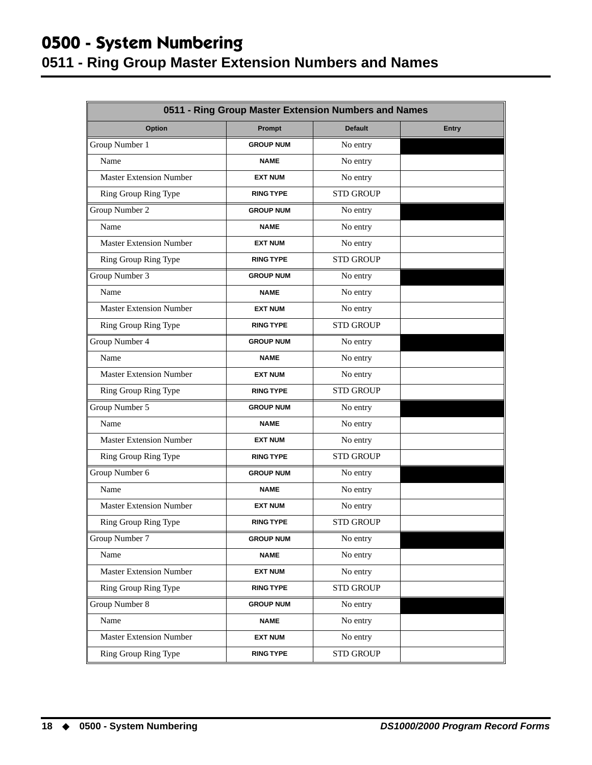#### **0500 - System Numbering**

### <span id="page-21-0"></span>**0511 - Ring Group Master Extension Numbers and Names**

| 0511 - Ring Group Master Extension Numbers and Names |                  |                  |              |  |
|------------------------------------------------------|------------------|------------------|--------------|--|
| Option                                               | Prompt           | <b>Default</b>   | <b>Entry</b> |  |
| Group Number 1                                       | <b>GROUP NUM</b> | No entry         |              |  |
| Name                                                 | <b>NAME</b>      | No entry         |              |  |
| <b>Master Extension Number</b>                       | <b>EXT NUM</b>   | No entry         |              |  |
| Ring Group Ring Type                                 | <b>RING TYPE</b> | <b>STD GROUP</b> |              |  |
| Group Number 2                                       | <b>GROUP NUM</b> | No entry         |              |  |
| Name                                                 | <b>NAME</b>      | No entry         |              |  |
| <b>Master Extension Number</b>                       | <b>EXT NUM</b>   | No entry         |              |  |
| Ring Group Ring Type                                 | <b>RING TYPE</b> | <b>STD GROUP</b> |              |  |
| Group Number 3                                       | <b>GROUP NUM</b> | No entry         |              |  |
| Name                                                 | <b>NAME</b>      | No entry         |              |  |
| <b>Master Extension Number</b>                       | <b>EXT NUM</b>   | No entry         |              |  |
| Ring Group Ring Type                                 | <b>RING TYPE</b> | <b>STD GROUP</b> |              |  |
| Group Number 4                                       | <b>GROUP NUM</b> | No entry         |              |  |
| Name                                                 | <b>NAME</b>      | No entry         |              |  |
| <b>Master Extension Number</b>                       | <b>EXT NUM</b>   | No entry         |              |  |
| Ring Group Ring Type                                 | <b>RING TYPE</b> | <b>STD GROUP</b> |              |  |
| Group Number 5                                       | <b>GROUP NUM</b> | No entry         |              |  |
| Name                                                 | <b>NAME</b>      | No entry         |              |  |
| <b>Master Extension Number</b>                       | <b>EXT NUM</b>   | No entry         |              |  |
| Ring Group Ring Type                                 | <b>RING TYPE</b> | <b>STD GROUP</b> |              |  |
| Group Number 6                                       | <b>GROUP NUM</b> | No entry         |              |  |
| Name                                                 | <b>NAME</b>      | No entry         |              |  |
| <b>Master Extension Number</b>                       | <b>EXT NUM</b>   | No entry         |              |  |
| Ring Group Ring Type                                 | <b>RING TYPE</b> | <b>STD GROUP</b> |              |  |
| Group Number 7                                       | <b>GROUP NUM</b> | No entry         |              |  |
| Name                                                 | NAME             | No entry         |              |  |
| Master Extension Number                              | <b>EXT NUM</b>   | No entry         |              |  |
| Ring Group Ring Type                                 | <b>RING TYPE</b> | <b>STD GROUP</b> |              |  |
| Group Number 8                                       | <b>GROUP NUM</b> | No entry         |              |  |
| Name                                                 | <b>NAME</b>      | No entry         |              |  |
| <b>Master Extension Number</b>                       | <b>EXT NUM</b>   | No entry         |              |  |
| Ring Group Ring Type                                 | <b>RING TYPE</b> | <b>STD GROUP</b> |              |  |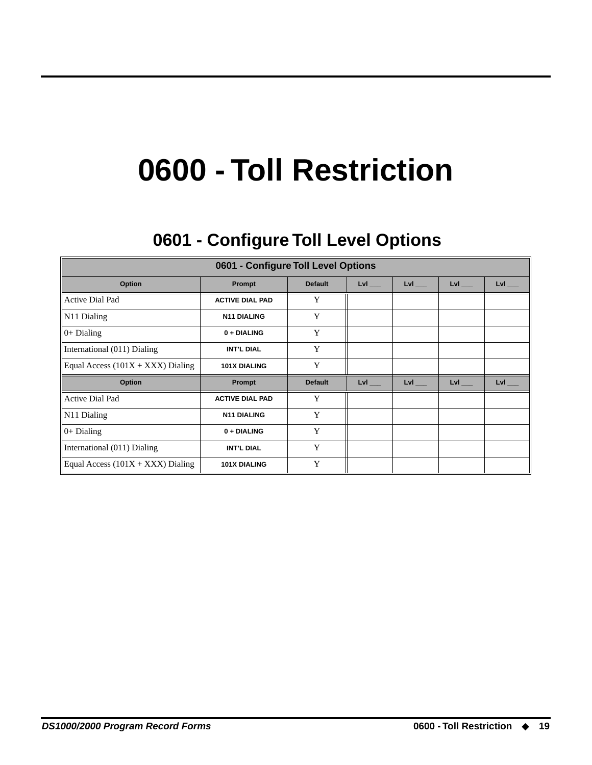## **0600 - Toll Restriction**

## **0601 - Configure Toll Level Options 0601 - Configure Toll Level Options**

<span id="page-22-1"></span><span id="page-22-0"></span>

| 0601 - Configure Toll Level Options |                        |                |            |                     |                |                |
|-------------------------------------|------------------------|----------------|------------|---------------------|----------------|----------------|
| Option                              | Prompt                 | <b>Default</b> | $Lvl$ ___  | $Lvl$ <sub>__</sub> | $Lvl$ $\qquad$ | $Lvl$ $\qquad$ |
| <b>Active Dial Pad</b>              | <b>ACTIVE DIAL PAD</b> | Y              |            |                     |                |                |
| N <sub>11</sub> Dialing             | <b>N11 DIALING</b>     | Y              |            |                     |                |                |
| $ 0+$ Dialing                       | 0 + DIALING            | Y              |            |                     |                |                |
| International (011) Dialing         | <b>INT'L DIAL</b>      | Y              |            |                     |                |                |
| Equal Access $(101X + XXX)$ Dialing | <b>101X DIALING</b>    | Y              |            |                     |                |                |
| Option                              | Prompt                 | <b>Default</b> | <b>LvI</b> | $Lvl$ <sub>__</sub> | LvI            | LvI            |
| <b>Active Dial Pad</b>              | <b>ACTIVE DIAL PAD</b> | Y              |            |                     |                |                |
| N <sub>11</sub> Dialing             | <b>N11 DIALING</b>     | Y              |            |                     |                |                |
| $0+$ Dialing                        | 0 + DIALING            | Y              |            |                     |                |                |
| International (011) Dialing         | <b>INT'L DIAL</b>      | Y              |            |                     |                |                |
| Equal Access $(101X + XXX)$ Dialing | <b>101X DIALING</b>    | Y              |            |                     |                |                |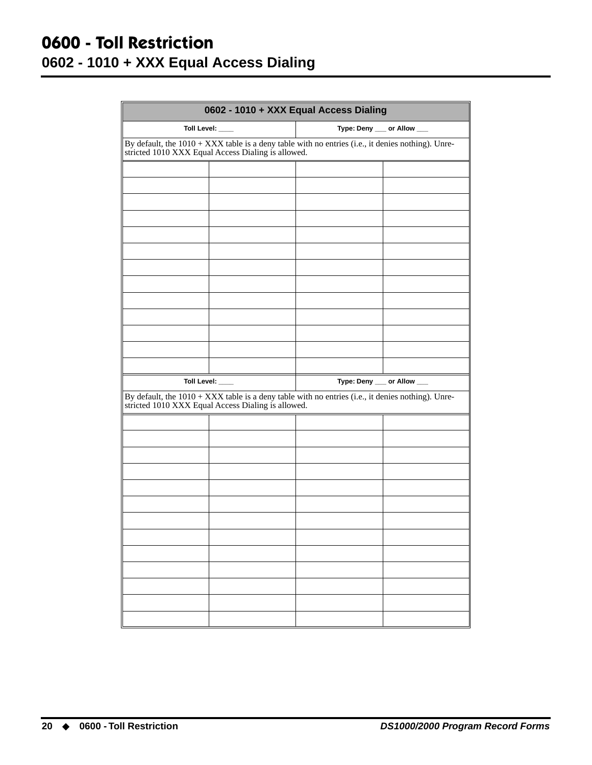#### <span id="page-23-0"></span>**0600 - Toll Restriction 0602 - 1010 + XXX Equal Access Dialing**

| 0602 - 1010 + XXX Equal Access Dialing |                                                                                                                                                         |                                                                                                   |  |  |  |
|----------------------------------------|---------------------------------------------------------------------------------------------------------------------------------------------------------|---------------------------------------------------------------------------------------------------|--|--|--|
|                                        | Toll Level: ___<br>Type: Deny __ or Allow __                                                                                                            |                                                                                                   |  |  |  |
|                                        | By default, the 1010 + XXX table is a deny table with no entries (i.e., it denies nothing). Unre-<br>stricted 1010 XXX Equal Access Dialing is allowed. |                                                                                                   |  |  |  |
|                                        |                                                                                                                                                         |                                                                                                   |  |  |  |
|                                        |                                                                                                                                                         |                                                                                                   |  |  |  |
|                                        |                                                                                                                                                         |                                                                                                   |  |  |  |
|                                        |                                                                                                                                                         |                                                                                                   |  |  |  |
|                                        |                                                                                                                                                         |                                                                                                   |  |  |  |
|                                        |                                                                                                                                                         |                                                                                                   |  |  |  |
|                                        |                                                                                                                                                         |                                                                                                   |  |  |  |
|                                        |                                                                                                                                                         |                                                                                                   |  |  |  |
|                                        |                                                                                                                                                         |                                                                                                   |  |  |  |
|                                        |                                                                                                                                                         |                                                                                                   |  |  |  |
|                                        |                                                                                                                                                         |                                                                                                   |  |  |  |
|                                        |                                                                                                                                                         |                                                                                                   |  |  |  |
|                                        | Toll Level: ___                                                                                                                                         | Type: Deny __ or Allow __                                                                         |  |  |  |
|                                        | stricted 1010 XXX Equal Access Dialing is allowed.                                                                                                      | By default, the 1010 + XXX table is a deny table with no entries (i.e., it denies nothing). Unre- |  |  |  |
|                                        |                                                                                                                                                         |                                                                                                   |  |  |  |
|                                        |                                                                                                                                                         |                                                                                                   |  |  |  |
|                                        |                                                                                                                                                         |                                                                                                   |  |  |  |
|                                        |                                                                                                                                                         |                                                                                                   |  |  |  |
|                                        |                                                                                                                                                         |                                                                                                   |  |  |  |
|                                        |                                                                                                                                                         |                                                                                                   |  |  |  |
|                                        |                                                                                                                                                         |                                                                                                   |  |  |  |
|                                        |                                                                                                                                                         |                                                                                                   |  |  |  |
|                                        |                                                                                                                                                         |                                                                                                   |  |  |  |
|                                        |                                                                                                                                                         |                                                                                                   |  |  |  |
|                                        |                                                                                                                                                         |                                                                                                   |  |  |  |
|                                        |                                                                                                                                                         |                                                                                                   |  |  |  |
|                                        |                                                                                                                                                         |                                                                                                   |  |  |  |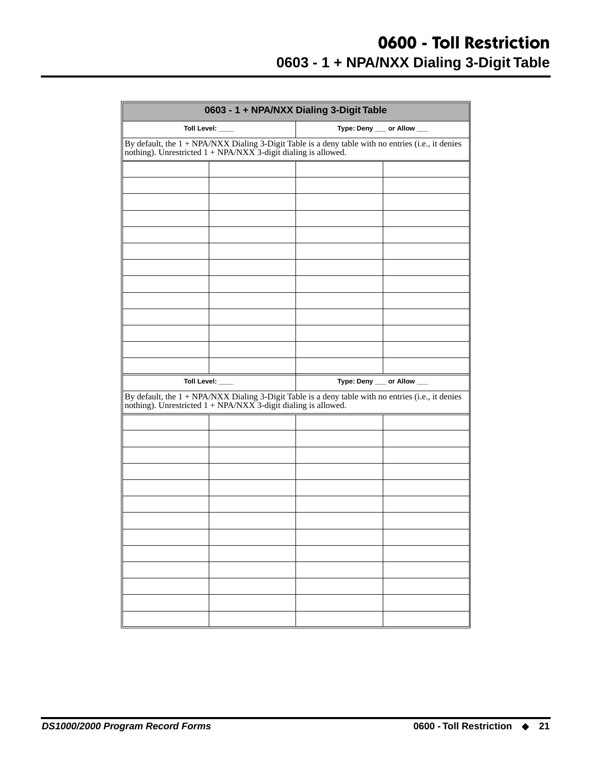#### **0600 - Toll Restriction 0603 - 1 + NPA/NXX Dialing 3-Digit Table**

<span id="page-24-0"></span>

| 0603 - 1 + NPA/NXX Dialing 3-Digit Table |                                                                  |                                                                                                                                                                       |                           |  |
|------------------------------------------|------------------------------------------------------------------|-----------------------------------------------------------------------------------------------------------------------------------------------------------------------|---------------------------|--|
|                                          | Toll Level: ___                                                  | Type: Deny __ or Allow __                                                                                                                                             |                           |  |
|                                          | nothing). Unrestricted $1 + NPA/NXX$ 3-digit dialing is allowed. | By default, the 1 + NPA/NXX Dialing 3-Digit Table is a deny table with no entries (i.e., it denies                                                                    |                           |  |
|                                          |                                                                  |                                                                                                                                                                       |                           |  |
|                                          |                                                                  |                                                                                                                                                                       |                           |  |
|                                          |                                                                  |                                                                                                                                                                       |                           |  |
|                                          |                                                                  |                                                                                                                                                                       |                           |  |
|                                          |                                                                  |                                                                                                                                                                       |                           |  |
|                                          |                                                                  |                                                                                                                                                                       |                           |  |
|                                          |                                                                  |                                                                                                                                                                       |                           |  |
|                                          |                                                                  |                                                                                                                                                                       |                           |  |
|                                          |                                                                  |                                                                                                                                                                       |                           |  |
|                                          |                                                                  |                                                                                                                                                                       |                           |  |
|                                          |                                                                  |                                                                                                                                                                       |                           |  |
|                                          |                                                                  |                                                                                                                                                                       |                           |  |
|                                          |                                                                  |                                                                                                                                                                       |                           |  |
|                                          |                                                                  |                                                                                                                                                                       |                           |  |
|                                          | Toll Level: ___                                                  |                                                                                                                                                                       | Type: Deny __ or Allow __ |  |
|                                          |                                                                  | By default, the $1 + NPA/NXX$ Dialing 3-Digit Table is a deny table with no entries (i.e., it denies nothing). Unrestricted $1 + NPA/NXX$ 3-digit dialing is allowed. |                           |  |
|                                          |                                                                  |                                                                                                                                                                       |                           |  |
|                                          |                                                                  |                                                                                                                                                                       |                           |  |
|                                          |                                                                  |                                                                                                                                                                       |                           |  |
|                                          |                                                                  |                                                                                                                                                                       |                           |  |
|                                          |                                                                  |                                                                                                                                                                       |                           |  |
|                                          |                                                                  |                                                                                                                                                                       |                           |  |
|                                          |                                                                  |                                                                                                                                                                       |                           |  |
|                                          |                                                                  |                                                                                                                                                                       |                           |  |
|                                          |                                                                  |                                                                                                                                                                       |                           |  |
|                                          |                                                                  |                                                                                                                                                                       |                           |  |
|                                          |                                                                  |                                                                                                                                                                       |                           |  |
|                                          |                                                                  |                                                                                                                                                                       |                           |  |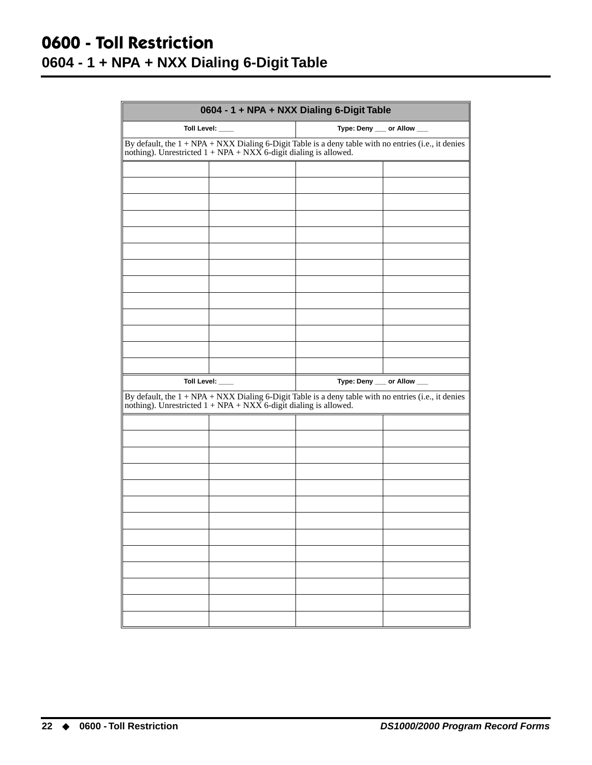### <span id="page-25-0"></span>**0600 - Toll Restriction 0604 - 1 + NPA + NXX Dialing 6-Digit Table**

| 0604 - 1 + NPA + NXX Dialing 6-Digit Table                                                                                                                                   |                                                                    |                                                                                                        |  |  |
|------------------------------------------------------------------------------------------------------------------------------------------------------------------------------|--------------------------------------------------------------------|--------------------------------------------------------------------------------------------------------|--|--|
| Type: Deny __ or Allow __<br>Toll Level: ___                                                                                                                                 |                                                                    |                                                                                                        |  |  |
| By default, the $1 + NPA + NXX$ Dialing 6-Digit Table is a deny table with no entries (i.e., it denies<br>nothing). Unrestricted $1 + NPA + NXX$ 6-digit dialing is allowed. |                                                                    |                                                                                                        |  |  |
|                                                                                                                                                                              |                                                                    |                                                                                                        |  |  |
|                                                                                                                                                                              |                                                                    |                                                                                                        |  |  |
|                                                                                                                                                                              |                                                                    |                                                                                                        |  |  |
|                                                                                                                                                                              |                                                                    |                                                                                                        |  |  |
|                                                                                                                                                                              |                                                                    |                                                                                                        |  |  |
|                                                                                                                                                                              |                                                                    |                                                                                                        |  |  |
|                                                                                                                                                                              |                                                                    |                                                                                                        |  |  |
|                                                                                                                                                                              |                                                                    |                                                                                                        |  |  |
|                                                                                                                                                                              |                                                                    |                                                                                                        |  |  |
|                                                                                                                                                                              |                                                                    |                                                                                                        |  |  |
|                                                                                                                                                                              |                                                                    |                                                                                                        |  |  |
|                                                                                                                                                                              |                                                                    |                                                                                                        |  |  |
|                                                                                                                                                                              |                                                                    |                                                                                                        |  |  |
|                                                                                                                                                                              | Toll Level: ___                                                    | Type: Deny __ or Allow __                                                                              |  |  |
|                                                                                                                                                                              | nothing). Unrestricted $1 + NPA + NXX$ 6-digit dialing is allowed. | By default, the $1 + NPA + NXX$ Dialing 6-Digit Table is a deny table with no entries (i.e., it denies |  |  |
|                                                                                                                                                                              |                                                                    |                                                                                                        |  |  |
|                                                                                                                                                                              |                                                                    |                                                                                                        |  |  |
|                                                                                                                                                                              |                                                                    |                                                                                                        |  |  |
|                                                                                                                                                                              |                                                                    |                                                                                                        |  |  |
|                                                                                                                                                                              |                                                                    |                                                                                                        |  |  |
|                                                                                                                                                                              |                                                                    |                                                                                                        |  |  |
|                                                                                                                                                                              |                                                                    |                                                                                                        |  |  |
|                                                                                                                                                                              |                                                                    |                                                                                                        |  |  |
|                                                                                                                                                                              |                                                                    |                                                                                                        |  |  |
|                                                                                                                                                                              |                                                                    |                                                                                                        |  |  |
|                                                                                                                                                                              |                                                                    |                                                                                                        |  |  |
|                                                                                                                                                                              |                                                                    |                                                                                                        |  |  |
|                                                                                                                                                                              |                                                                    |                                                                                                        |  |  |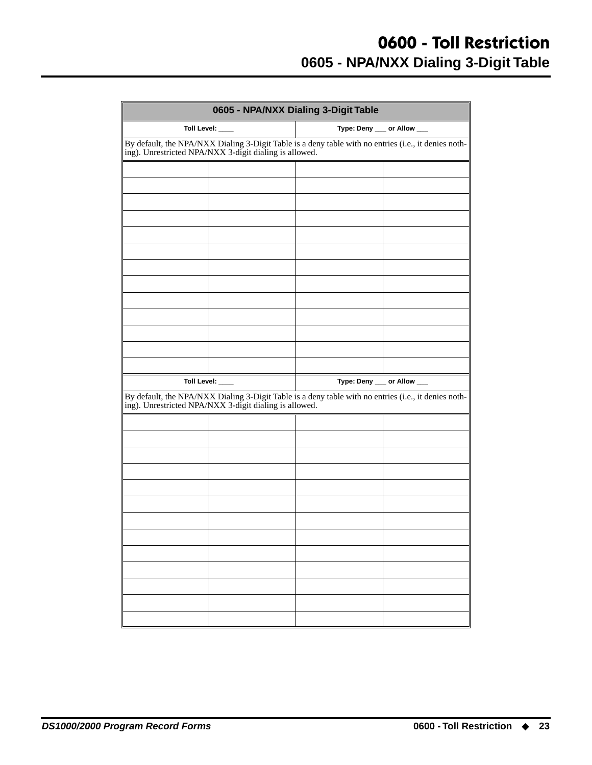### **0600 - Toll Restriction 0605 - NPA/NXX Dialing 3-Digit Table**

<span id="page-26-0"></span>

| 0605 - NPA/NXX Dialing 3-Digit Table                                                                                                                      |                 |                                                                                                                                                           |                           |  |  |
|-----------------------------------------------------------------------------------------------------------------------------------------------------------|-----------------|-----------------------------------------------------------------------------------------------------------------------------------------------------------|---------------------------|--|--|
|                                                                                                                                                           | Toll Level: ___ |                                                                                                                                                           | Type: Deny __ or Allow __ |  |  |
| By default, the NPA/NXX Dialing 3-Digit Table is a deny table with no entries (i.e., it denies nothing). Unrestricted NPA/NXX 3-digit dialing is allowed. |                 |                                                                                                                                                           |                           |  |  |
|                                                                                                                                                           |                 |                                                                                                                                                           |                           |  |  |
|                                                                                                                                                           |                 |                                                                                                                                                           |                           |  |  |
|                                                                                                                                                           |                 |                                                                                                                                                           |                           |  |  |
|                                                                                                                                                           |                 |                                                                                                                                                           |                           |  |  |
|                                                                                                                                                           |                 |                                                                                                                                                           |                           |  |  |
|                                                                                                                                                           |                 |                                                                                                                                                           |                           |  |  |
|                                                                                                                                                           |                 |                                                                                                                                                           |                           |  |  |
|                                                                                                                                                           |                 |                                                                                                                                                           |                           |  |  |
|                                                                                                                                                           |                 |                                                                                                                                                           |                           |  |  |
|                                                                                                                                                           |                 |                                                                                                                                                           |                           |  |  |
|                                                                                                                                                           |                 |                                                                                                                                                           |                           |  |  |
|                                                                                                                                                           |                 |                                                                                                                                                           |                           |  |  |
|                                                                                                                                                           | Toll Level: ___ | Type: Deny __ or Allow __                                                                                                                                 |                           |  |  |
|                                                                                                                                                           |                 | By default, the NPA/NXX Dialing 3-Digit Table is a deny table with no entries (i.e., it denies nothing). Unrestricted NPA/NXX 3-digit dialing is allowed. |                           |  |  |
|                                                                                                                                                           |                 |                                                                                                                                                           |                           |  |  |
|                                                                                                                                                           |                 |                                                                                                                                                           |                           |  |  |
|                                                                                                                                                           |                 |                                                                                                                                                           |                           |  |  |
|                                                                                                                                                           |                 |                                                                                                                                                           |                           |  |  |
|                                                                                                                                                           |                 |                                                                                                                                                           |                           |  |  |
|                                                                                                                                                           |                 |                                                                                                                                                           |                           |  |  |
|                                                                                                                                                           |                 |                                                                                                                                                           |                           |  |  |
|                                                                                                                                                           |                 |                                                                                                                                                           |                           |  |  |
|                                                                                                                                                           |                 |                                                                                                                                                           |                           |  |  |
|                                                                                                                                                           |                 |                                                                                                                                                           |                           |  |  |
|                                                                                                                                                           |                 |                                                                                                                                                           |                           |  |  |
|                                                                                                                                                           |                 |                                                                                                                                                           |                           |  |  |
|                                                                                                                                                           |                 |                                                                                                                                                           |                           |  |  |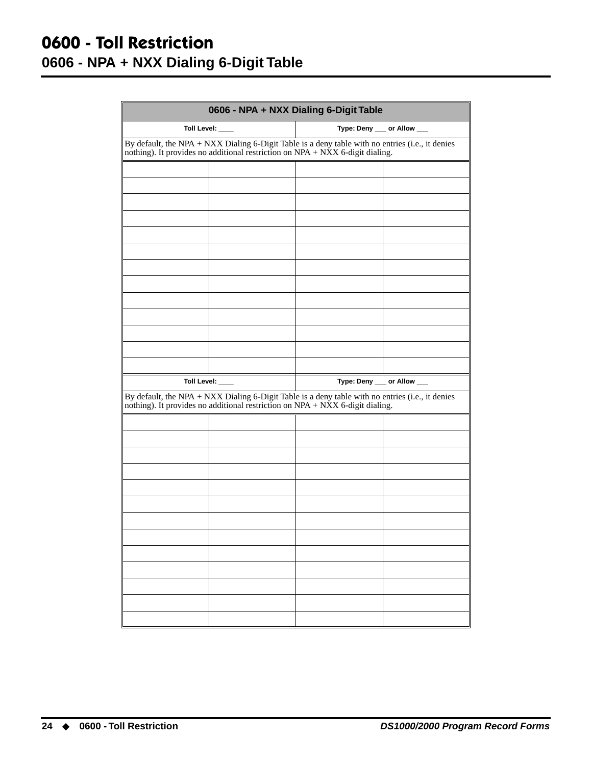### <span id="page-27-0"></span>**0600 - Toll Restriction 0606 - NPA + NXX Dialing 6-Digit Table**

| 0606 - NPA + NXX Dialing 6-Digit Table |                                                                                                                                                                                                      |                           |  |  |  |  |  |  |
|----------------------------------------|------------------------------------------------------------------------------------------------------------------------------------------------------------------------------------------------------|---------------------------|--|--|--|--|--|--|
|                                        | Toll Level: ___                                                                                                                                                                                      | Type: Deny __ or Allow __ |  |  |  |  |  |  |
|                                        | By default, the NPA + NXX Dialing 6-Digit Table is a deny table with no entries (i.e., it denies<br>nothing). It provides no additional restriction on NPA + NXX 6-digit dialing.                    |                           |  |  |  |  |  |  |
|                                        |                                                                                                                                                                                                      |                           |  |  |  |  |  |  |
|                                        |                                                                                                                                                                                                      |                           |  |  |  |  |  |  |
|                                        |                                                                                                                                                                                                      |                           |  |  |  |  |  |  |
|                                        |                                                                                                                                                                                                      |                           |  |  |  |  |  |  |
|                                        |                                                                                                                                                                                                      |                           |  |  |  |  |  |  |
|                                        |                                                                                                                                                                                                      |                           |  |  |  |  |  |  |
|                                        |                                                                                                                                                                                                      |                           |  |  |  |  |  |  |
|                                        |                                                                                                                                                                                                      |                           |  |  |  |  |  |  |
|                                        |                                                                                                                                                                                                      |                           |  |  |  |  |  |  |
|                                        |                                                                                                                                                                                                      |                           |  |  |  |  |  |  |
|                                        |                                                                                                                                                                                                      |                           |  |  |  |  |  |  |
|                                        |                                                                                                                                                                                                      |                           |  |  |  |  |  |  |
|                                        |                                                                                                                                                                                                      |                           |  |  |  |  |  |  |
|                                        | Toll Level: ___<br>By default, the NPA + NXX Dialing 6-Digit Table is a deny table with no entries (i.e., it denies<br>nothing). It provides no additional restriction on NPA + NXX 6-digit dialing. | Type: Deny __ or Allow __ |  |  |  |  |  |  |
|                                        |                                                                                                                                                                                                      |                           |  |  |  |  |  |  |
|                                        |                                                                                                                                                                                                      |                           |  |  |  |  |  |  |
|                                        |                                                                                                                                                                                                      |                           |  |  |  |  |  |  |
|                                        |                                                                                                                                                                                                      |                           |  |  |  |  |  |  |
|                                        |                                                                                                                                                                                                      |                           |  |  |  |  |  |  |
|                                        |                                                                                                                                                                                                      |                           |  |  |  |  |  |  |
|                                        |                                                                                                                                                                                                      |                           |  |  |  |  |  |  |
|                                        |                                                                                                                                                                                                      |                           |  |  |  |  |  |  |
|                                        |                                                                                                                                                                                                      |                           |  |  |  |  |  |  |
|                                        |                                                                                                                                                                                                      |                           |  |  |  |  |  |  |
|                                        |                                                                                                                                                                                                      |                           |  |  |  |  |  |  |
|                                        |                                                                                                                                                                                                      |                           |  |  |  |  |  |  |
|                                        |                                                                                                                                                                                                      |                           |  |  |  |  |  |  |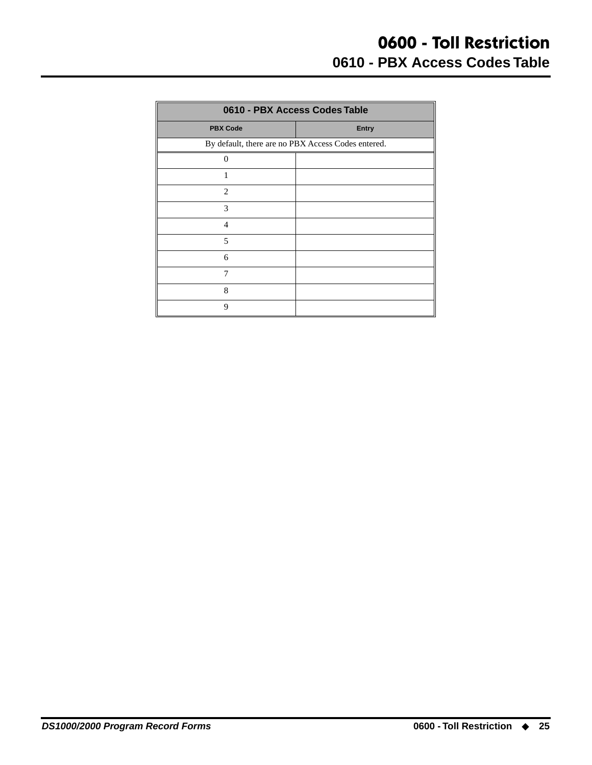<span id="page-28-0"></span>

| 0610 - PBX Access Codes Table |                                                    |  |  |  |  |
|-------------------------------|----------------------------------------------------|--|--|--|--|
| <b>PBX Code</b>               | <b>Entry</b>                                       |  |  |  |  |
|                               | By default, there are no PBX Access Codes entered. |  |  |  |  |
| $\overline{0}$                |                                                    |  |  |  |  |
| 1                             |                                                    |  |  |  |  |
| 2                             |                                                    |  |  |  |  |
| 3                             |                                                    |  |  |  |  |
| $\overline{4}$                |                                                    |  |  |  |  |
| 5                             |                                                    |  |  |  |  |
| 6                             |                                                    |  |  |  |  |
| 7                             |                                                    |  |  |  |  |
| 8                             |                                                    |  |  |  |  |
| 9                             |                                                    |  |  |  |  |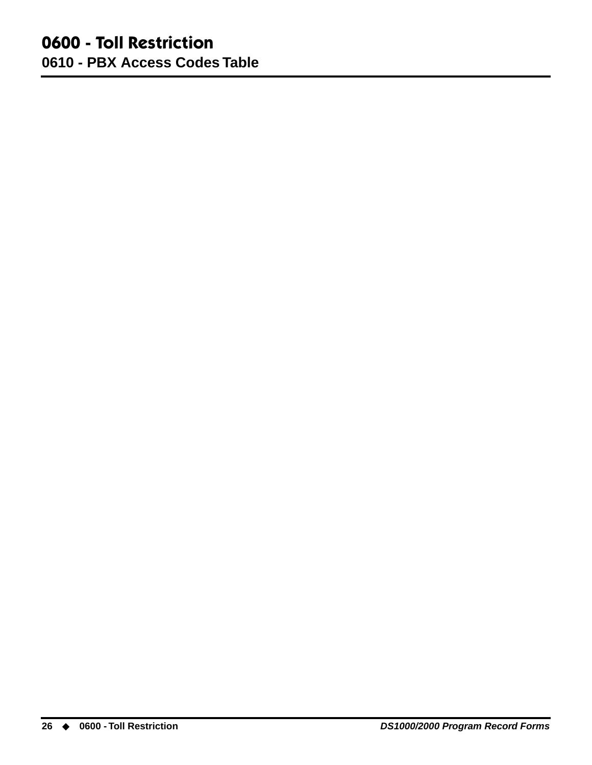#### **0600 - Toll Restriction 0610 - PBX Access Codes Table**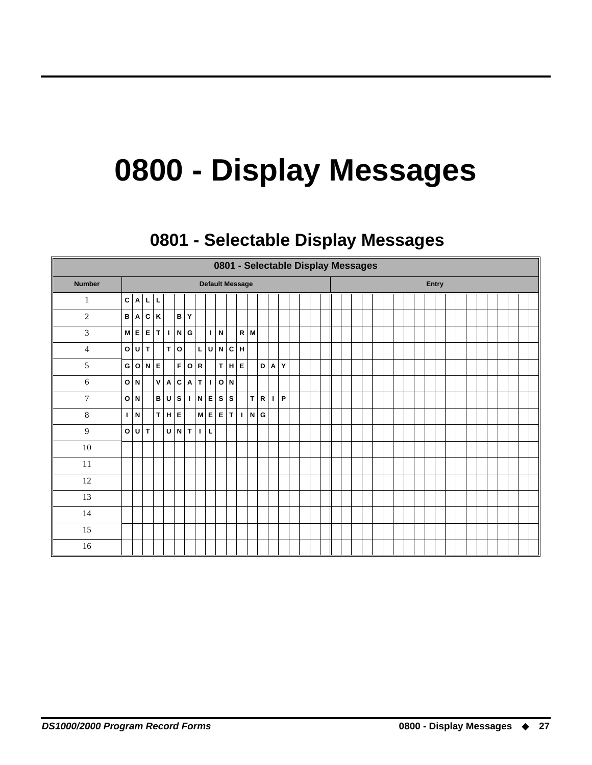## **0800 - Display Messages**

## **0801 - Selectable Display Messages 0801 - Selectable Display Messages**

<span id="page-30-1"></span><span id="page-30-0"></span>

|                  | 0801 - Selectable Display Messages |             |                        |                    |                   |           |       |              |                   |                        |      |                |                  |              |    |                          |  |  |  |  |  |  |       |  |  |  |  |  |
|------------------|------------------------------------|-------------|------------------------|--------------------|-------------------|-----------|-------|--------------|-------------------|------------------------|------|----------------|------------------|--------------|----|--------------------------|--|--|--|--|--|--|-------|--|--|--|--|--|
| <b>Number</b>    |                                    |             |                        |                    |                   |           |       |              |                   | <b>Default Message</b> |      |                |                  |              |    |                          |  |  |  |  |  |  | Entry |  |  |  |  |  |
| 1                |                                    |             | C A L                  | L                  |                   |           |       |              |                   |                        |      |                |                  |              |    |                          |  |  |  |  |  |  |       |  |  |  |  |  |
| $\overline{2}$   |                                    |             | B   A   C              | $\pmb{\mathsf{K}}$ |                   |           | B Y   |              |                   |                        |      |                |                  |              |    |                          |  |  |  |  |  |  |       |  |  |  |  |  |
| 3                |                                    |             | $M \mid E \mid E \mid$ |                    | T I               |           | N G   |              |                   | $  \cdot   N  $        |      |                | $R$ M            |              |    |                          |  |  |  |  |  |  |       |  |  |  |  |  |
| $\overline{4}$   |                                    |             | O U T                  |                    |                   | T O       |       | $\mathsf{L}$ | $\sf U$           |                        | N C  | $\mathsf H$    |                  |              |    |                          |  |  |  |  |  |  |       |  |  |  |  |  |
| 5                |                                    |             | G O N                  | $\mathsf E$        |                   |           | F O R |              |                   |                        | T H  | E              |                  | $\mathbf{D}$ | A  | $\mathsf{T}\mathbf{Y}^1$ |  |  |  |  |  |  |       |  |  |  |  |  |
| 6                |                                    | O N         |                        |                    | V   A   C   A   T |           |       |              | $\mathbf{I}$      |                        | O N  |                |                  |              |    |                          |  |  |  |  |  |  |       |  |  |  |  |  |
| $\boldsymbol{7}$ |                                    | O N         |                        |                    | B U               | ${\bf s}$ |       |              | $I \mid N \mid E$ |                        | ∣s∣s |                |                  | T R          | L. | $\mid \mathsf{P} \mid$   |  |  |  |  |  |  |       |  |  |  |  |  |
| $\,8\,$          | $\mathbf{I}$                       | $\mathbf N$ |                        |                    | T H E             |           |       |              | M E               |                        | E T  | $\blacksquare$ | $N$ <sub>G</sub> |              |    |                          |  |  |  |  |  |  |       |  |  |  |  |  |
| $\overline{9}$   | o                                  | l U l       | $\mathbf{T}$           |                    |                   |           | U N T | $\mathbf{L}$ | $\mathsf L$       |                        |      |                |                  |              |    |                          |  |  |  |  |  |  |       |  |  |  |  |  |
| $10\,$           |                                    |             |                        |                    |                   |           |       |              |                   |                        |      |                |                  |              |    |                          |  |  |  |  |  |  |       |  |  |  |  |  |
| $11\,$           |                                    |             |                        |                    |                   |           |       |              |                   |                        |      |                |                  |              |    |                          |  |  |  |  |  |  |       |  |  |  |  |  |
| $12\,$           |                                    |             |                        |                    |                   |           |       |              |                   |                        |      |                |                  |              |    |                          |  |  |  |  |  |  |       |  |  |  |  |  |
| 13               |                                    |             |                        |                    |                   |           |       |              |                   |                        |      |                |                  |              |    |                          |  |  |  |  |  |  |       |  |  |  |  |  |
| 14               |                                    |             |                        |                    |                   |           |       |              |                   |                        |      |                |                  |              |    |                          |  |  |  |  |  |  |       |  |  |  |  |  |
| 15               |                                    |             |                        |                    |                   |           |       |              |                   |                        |      |                |                  |              |    |                          |  |  |  |  |  |  |       |  |  |  |  |  |
| $16\,$           |                                    |             |                        |                    |                   |           |       |              |                   |                        |      |                |                  |              |    |                          |  |  |  |  |  |  |       |  |  |  |  |  |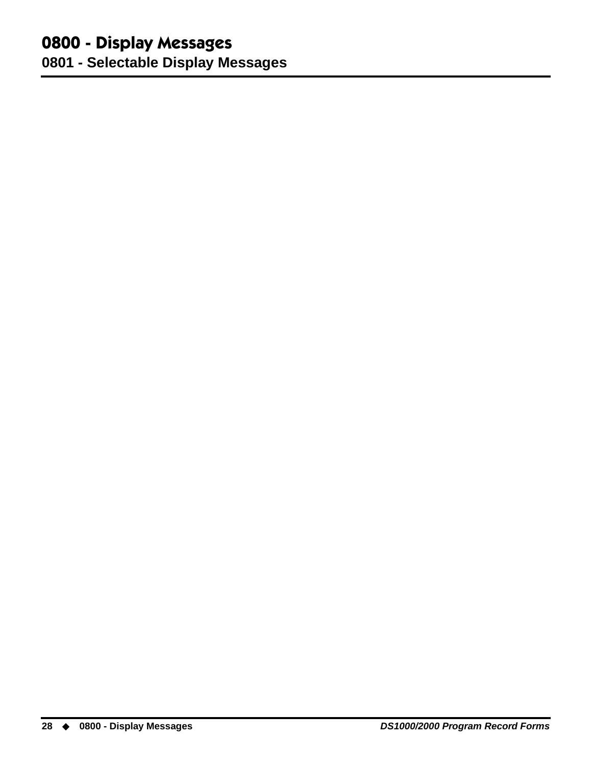## **0800 - Display Messages**

**0801 - Selectable Display Messages**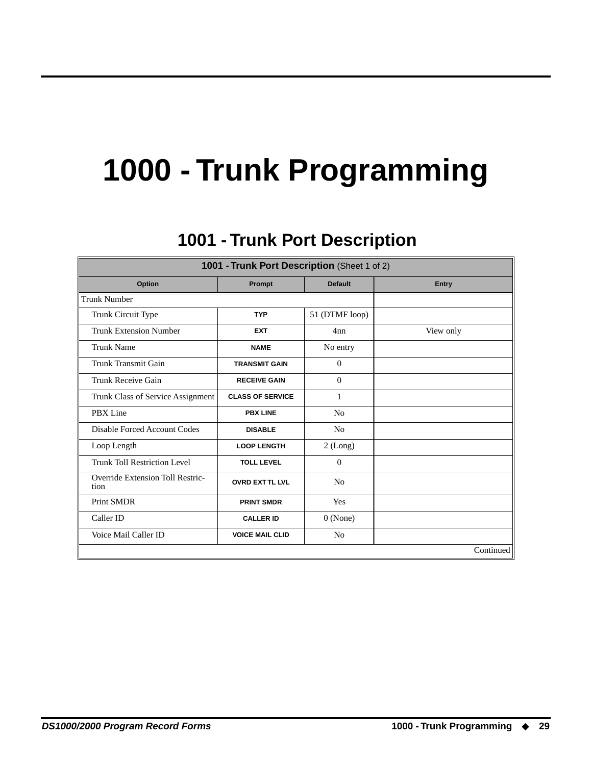## **1000 - Trunk Programming**

## **1001 - Trunk Port Description 1001 - Trunk Port Description**

<span id="page-32-1"></span><span id="page-32-0"></span>

| 1001 - Trunk Port Description (Sheet 1 of 2)       |                         |                |           |  |  |  |  |
|----------------------------------------------------|-------------------------|----------------|-----------|--|--|--|--|
| <b>Default</b><br>Option<br>Prompt<br><b>Entry</b> |                         |                |           |  |  |  |  |
| <b>Trunk Number</b>                                |                         |                |           |  |  |  |  |
| Trunk Circuit Type                                 | <b>TYP</b>              | 51 (DTMF loop) |           |  |  |  |  |
| <b>Trunk Extension Number</b>                      | <b>EXT</b>              | 4nn            | View only |  |  |  |  |
| <b>Trunk Name</b>                                  | <b>NAME</b>             | No entry       |           |  |  |  |  |
| Trunk Transmit Gain                                | <b>TRANSMIT GAIN</b>    | $\theta$       |           |  |  |  |  |
| Trunk Receive Gain                                 | <b>RECEIVE GAIN</b>     | $\Omega$       |           |  |  |  |  |
| Trunk Class of Service Assignment                  | <b>CLASS OF SERVICE</b> | 1              |           |  |  |  |  |
| PBX Line                                           | <b>PBX LINE</b>         | N <sub>0</sub> |           |  |  |  |  |
| Disable Forced Account Codes                       | <b>DISABLE</b>          | N <sub>0</sub> |           |  |  |  |  |
| Loop Length                                        | <b>LOOP LENGTH</b>      | $2$ (Long)     |           |  |  |  |  |
| <b>Trunk Toll Restriction Level</b>                | <b>TOLL LEVEL</b>       | $\Omega$       |           |  |  |  |  |
| <b>Override Extension Toll Restric-</b><br>tion    | <b>OVRD EXT TL LVL</b>  | N <sub>0</sub> |           |  |  |  |  |
| <b>Print SMDR</b>                                  | <b>PRINT SMDR</b>       | Yes            |           |  |  |  |  |
| Caller ID                                          | <b>CALLER ID</b>        | $0$ (None)     |           |  |  |  |  |
| Voice Mail Caller ID                               | <b>VOICE MAIL CLID</b>  | N <sub>0</sub> |           |  |  |  |  |
|                                                    |                         |                | Continued |  |  |  |  |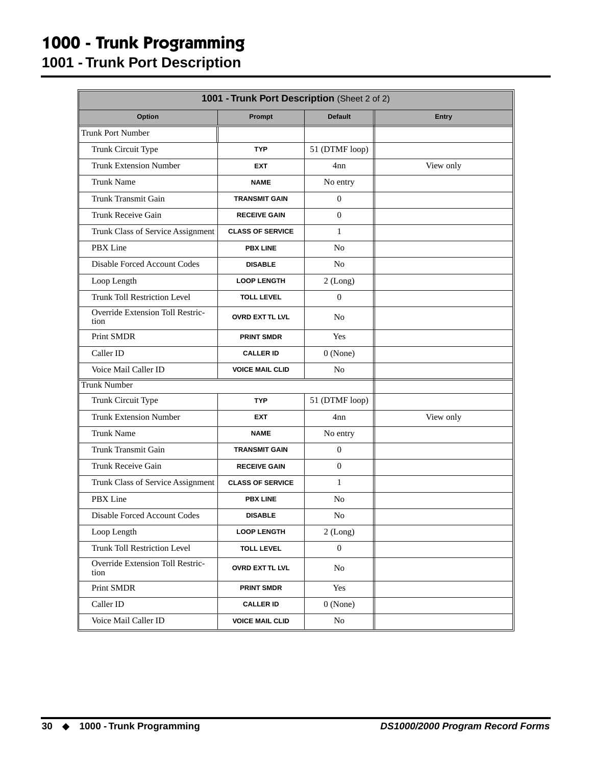## **1000 - Trunk Programming**

**1001 - Trunk Port Description**

| 1001 - Trunk Port Description (Sheet 2 of 2) |                         |                |              |  |  |  |  |
|----------------------------------------------|-------------------------|----------------|--------------|--|--|--|--|
| Option                                       | Prompt                  | <b>Default</b> | <b>Entry</b> |  |  |  |  |
| Trunk Port Number                            |                         |                |              |  |  |  |  |
| Trunk Circuit Type                           | <b>TYP</b>              | 51 (DTMF loop) |              |  |  |  |  |
| <b>Trunk Extension Number</b>                | <b>EXT</b>              | 4nn            | View only    |  |  |  |  |
| <b>Trunk Name</b>                            | <b>NAME</b>             | No entry       |              |  |  |  |  |
| <b>Trunk Transmit Gain</b>                   | <b>TRANSMIT GAIN</b>    | $\overline{0}$ |              |  |  |  |  |
| Trunk Receive Gain                           | <b>RECEIVE GAIN</b>     | $\Omega$       |              |  |  |  |  |
| Trunk Class of Service Assignment            | <b>CLASS OF SERVICE</b> | $\mathbf{1}$   |              |  |  |  |  |
| PBX Line                                     | <b>PBX LINE</b>         | N <sub>o</sub> |              |  |  |  |  |
| <b>Disable Forced Account Codes</b>          | <b>DISABLE</b>          | N <sub>o</sub> |              |  |  |  |  |
| Loop Length                                  | <b>LOOP LENGTH</b>      | 2 (Long)       |              |  |  |  |  |
| <b>Trunk Toll Restriction Level</b>          | <b>TOLL LEVEL</b>       | $\mathbf{0}$   |              |  |  |  |  |
| Override Extension Toll Restric-<br>tion     | <b>OVRD EXT TL LVL</b>  | N <sub>o</sub> |              |  |  |  |  |
| <b>Print SMDR</b>                            | <b>PRINT SMDR</b>       | Yes            |              |  |  |  |  |
| Caller ID                                    | <b>CALLER ID</b>        | $0$ (None)     |              |  |  |  |  |
| Voice Mail Caller ID                         | <b>VOICE MAIL CLID</b>  | N <sub>o</sub> |              |  |  |  |  |
| <b>Trunk Number</b>                          |                         |                |              |  |  |  |  |
| Trunk Circuit Type                           | <b>TYP</b>              | 51 (DTMF loop) |              |  |  |  |  |
| <b>Trunk Extension Number</b>                | <b>EXT</b>              | 4nn            | View only    |  |  |  |  |
| <b>Trunk Name</b>                            | <b>NAME</b>             | No entry       |              |  |  |  |  |
| <b>Trunk Transmit Gain</b>                   | <b>TRANSMIT GAIN</b>    | $\mathbf{0}$   |              |  |  |  |  |
| Trunk Receive Gain                           | <b>RECEIVE GAIN</b>     | $\mathbf{0}$   |              |  |  |  |  |
| Trunk Class of Service Assignment            | <b>CLASS OF SERVICE</b> | $\mathbf{1}$   |              |  |  |  |  |
| PBX Line                                     | <b>PBX LINE</b>         | N <sub>o</sub> |              |  |  |  |  |
| Disable Forced Account Codes                 | <b>DISABLE</b>          | N <sub>o</sub> |              |  |  |  |  |
| Loop Length                                  | <b>LOOP LENGTH</b>      | 2 (Long)       |              |  |  |  |  |
| <b>Trunk Toll Restriction Level</b>          | <b>TOLL LEVEL</b>       | $\mathbf{0}$   |              |  |  |  |  |
| Override Extension Toll Restric-<br>tion     | <b>OVRD EXTTL LVL</b>   | No             |              |  |  |  |  |
| Print SMDR                                   | <b>PRINT SMDR</b>       | Yes            |              |  |  |  |  |
| Caller ID                                    | <b>CALLER ID</b>        | $0$ (None)     |              |  |  |  |  |
| Voice Mail Caller ID                         | <b>VOICE MAIL CLID</b>  | $\rm No$       |              |  |  |  |  |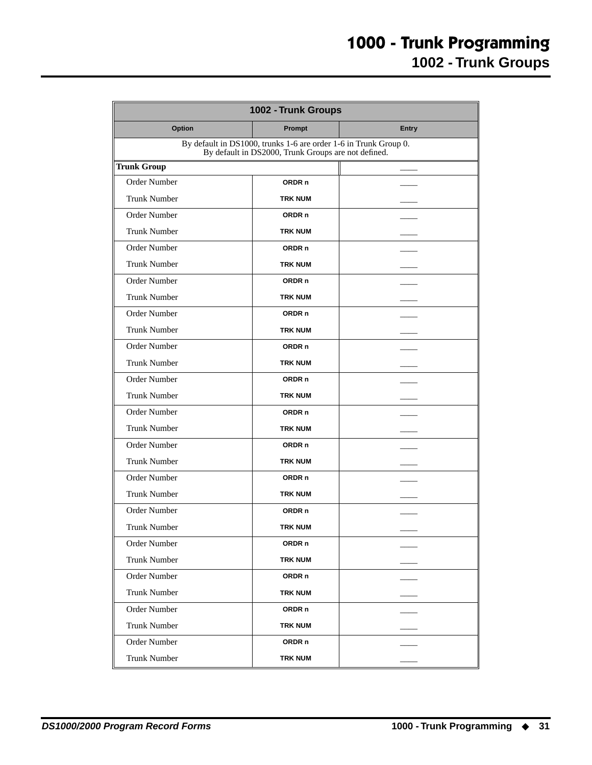<span id="page-34-0"></span>

| 1002 - Trunk Groups                                                                                                     |                   |              |  |  |  |  |
|-------------------------------------------------------------------------------------------------------------------------|-------------------|--------------|--|--|--|--|
| <b>Option</b>                                                                                                           | Prompt            | <b>Entry</b> |  |  |  |  |
| By default in DS1000, trunks 1-6 are order 1-6 in Trunk Group 0.<br>By default in DS2000, Trunk Groups are not defined. |                   |              |  |  |  |  |
| <b>Trunk Group</b>                                                                                                      |                   |              |  |  |  |  |
| <b>Order Number</b>                                                                                                     | ORDR <sub>n</sub> |              |  |  |  |  |
| <b>Trunk Number</b>                                                                                                     | <b>TRK NUM</b>    |              |  |  |  |  |
| Order Number                                                                                                            | ORDR <sub>n</sub> |              |  |  |  |  |
| <b>Trunk Number</b>                                                                                                     | <b>TRK NUM</b>    |              |  |  |  |  |
| Order Number                                                                                                            | ORDR <sub>n</sub> |              |  |  |  |  |
| <b>Trunk Number</b>                                                                                                     | <b>TRK NUM</b>    |              |  |  |  |  |
| Order Number                                                                                                            | ORDR <sub>n</sub> |              |  |  |  |  |
| <b>Trunk Number</b>                                                                                                     | <b>TRK NUM</b>    |              |  |  |  |  |
| Order Number                                                                                                            | ORDR <sub>n</sub> |              |  |  |  |  |
| <b>Trunk Number</b>                                                                                                     | <b>TRK NUM</b>    |              |  |  |  |  |
| Order Number                                                                                                            | ORDR <sub>n</sub> |              |  |  |  |  |
| <b>Trunk Number</b>                                                                                                     | <b>TRK NUM</b>    |              |  |  |  |  |
| <b>Order Number</b>                                                                                                     | ORDR <sub>n</sub> |              |  |  |  |  |
| <b>Trunk Number</b>                                                                                                     | <b>TRK NUM</b>    |              |  |  |  |  |
| <b>Order Number</b>                                                                                                     | ORDR <sub>n</sub> |              |  |  |  |  |
| <b>Trunk Number</b>                                                                                                     | <b>TRK NUM</b>    |              |  |  |  |  |
| Order Number                                                                                                            | ORDR <sub>n</sub> |              |  |  |  |  |
| <b>Trunk Number</b>                                                                                                     | <b>TRK NUM</b>    |              |  |  |  |  |
| Order Number                                                                                                            | ORDR <sub>n</sub> |              |  |  |  |  |
| <b>Trunk Number</b>                                                                                                     | <b>TRK NUM</b>    |              |  |  |  |  |
| Order Number                                                                                                            | ORDR <sub>n</sub> |              |  |  |  |  |
| <b>Trunk Number</b>                                                                                                     | <b>TRK NUM</b>    |              |  |  |  |  |
| Order Number                                                                                                            | ORDR n            |              |  |  |  |  |
| <b>Trunk Number</b>                                                                                                     | <b>TRK NUM</b>    |              |  |  |  |  |
| Order Number                                                                                                            | ORDR n            |              |  |  |  |  |
| <b>Trunk Number</b>                                                                                                     | <b>TRK NUM</b>    |              |  |  |  |  |
| Order Number                                                                                                            | ORDR <sub>n</sub> |              |  |  |  |  |
| <b>Trunk Number</b>                                                                                                     | <b>TRK NUM</b>    |              |  |  |  |  |
| Order Number                                                                                                            | ORDR <sub>n</sub> |              |  |  |  |  |
| <b>Trunk Number</b>                                                                                                     | <b>TRK NUM</b>    |              |  |  |  |  |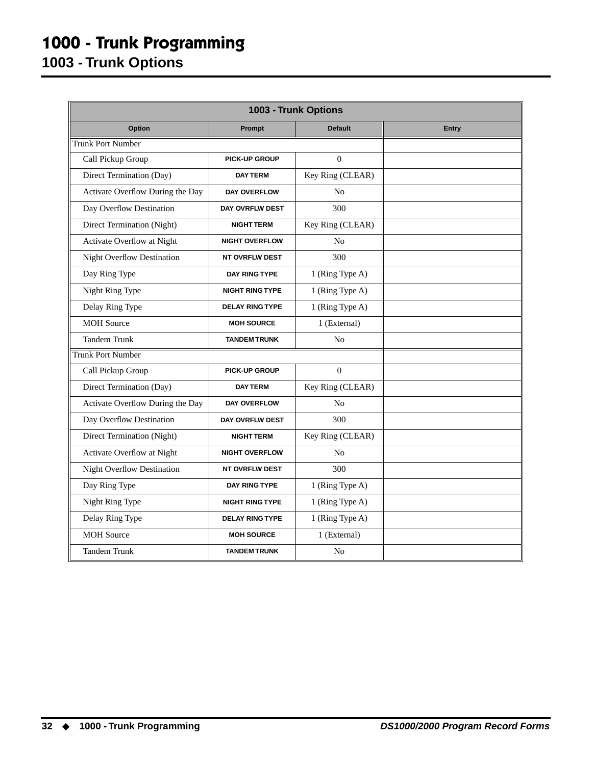### **1000 - Trunk Programming 1003 - Trunk Options**

<span id="page-35-0"></span>

| 1003 - Trunk Options              |                        |                  |       |  |  |  |  |  |
|-----------------------------------|------------------------|------------------|-------|--|--|--|--|--|
| <b>Option</b>                     | Prompt                 | <b>Default</b>   | Entry |  |  |  |  |  |
| <b>Trunk Port Number</b>          |                        |                  |       |  |  |  |  |  |
| Call Pickup Group                 | <b>PICK-UP GROUP</b>   | $\Omega$         |       |  |  |  |  |  |
| Direct Termination (Day)          | <b>DAY TERM</b>        | Key Ring (CLEAR) |       |  |  |  |  |  |
| Activate Overflow During the Day  | DAY OVERFLOW           | N <sub>0</sub>   |       |  |  |  |  |  |
| Day Overflow Destination          | DAY OVRFLW DEST        | 300              |       |  |  |  |  |  |
| Direct Termination (Night)        | <b>NIGHT TERM</b>      | Key Ring (CLEAR) |       |  |  |  |  |  |
| Activate Overflow at Night        | <b>NIGHT OVERFLOW</b>  | N <sub>0</sub>   |       |  |  |  |  |  |
| <b>Night Overflow Destination</b> | <b>NT OVRFLW DEST</b>  | 300              |       |  |  |  |  |  |
| Day Ring Type                     | <b>DAY RING TYPE</b>   | 1 (Ring Type A)  |       |  |  |  |  |  |
| Night Ring Type                   | <b>NIGHT RING TYPE</b> | 1 (Ring Type A)  |       |  |  |  |  |  |
| Delay Ring Type                   | <b>DELAY RING TYPE</b> | 1 (Ring Type A)  |       |  |  |  |  |  |
| <b>MOH</b> Source                 | <b>MOH SOURCE</b>      | 1 (External)     |       |  |  |  |  |  |
| <b>Tandem Trunk</b>               | <b>TANDEM TRUNK</b>    | N <sub>0</sub>   |       |  |  |  |  |  |
| <b>Trunk Port Number</b>          |                        |                  |       |  |  |  |  |  |
| Call Pickup Group                 | <b>PICK-UP GROUP</b>   | $\Omega$         |       |  |  |  |  |  |
| Direct Termination (Day)          | <b>DAY TERM</b>        | Key Ring (CLEAR) |       |  |  |  |  |  |
| Activate Overflow During the Day  | DAY OVERFLOW           | N <sub>0</sub>   |       |  |  |  |  |  |
| Day Overflow Destination          | DAY OVRFLW DEST        | 300              |       |  |  |  |  |  |
| Direct Termination (Night)        | <b>NIGHT TERM</b>      | Key Ring (CLEAR) |       |  |  |  |  |  |
| Activate Overflow at Night        | <b>NIGHT OVERFLOW</b>  | N <sub>0</sub>   |       |  |  |  |  |  |
| <b>Night Overflow Destination</b> | <b>NT OVRFLW DEST</b>  | 300              |       |  |  |  |  |  |
| Day Ring Type                     | <b>DAY RING TYPE</b>   | 1 (Ring Type A)  |       |  |  |  |  |  |
| Night Ring Type                   | <b>NIGHT RING TYPE</b> | 1 (Ring Type A)  |       |  |  |  |  |  |
| Delay Ring Type                   | <b>DELAY RING TYPE</b> | 1 (Ring Type A)  |       |  |  |  |  |  |
| <b>MOH</b> Source                 | <b>MOH SOURCE</b>      | 1 (External)     |       |  |  |  |  |  |
| <b>Tandem Trunk</b>               | <b>TANDEM TRUNK</b>    | N <sub>o</sub>   |       |  |  |  |  |  |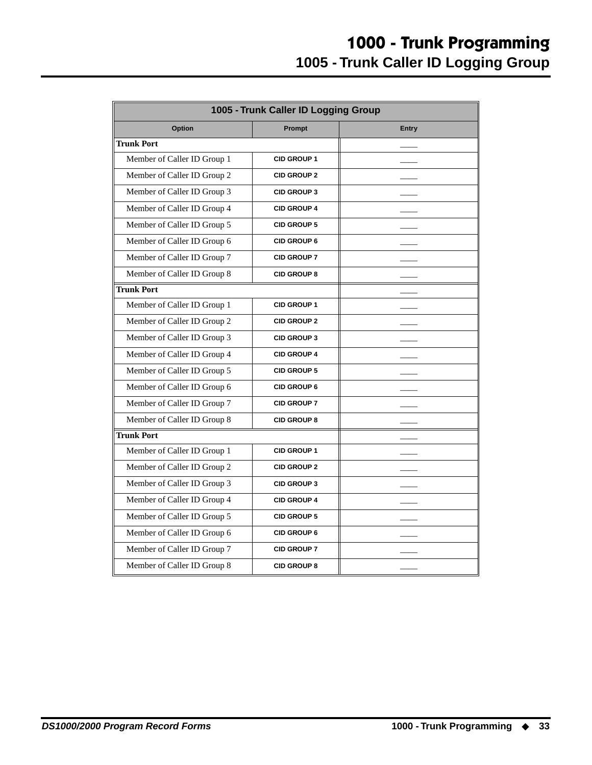<span id="page-36-0"></span>

|                             | 1005 - Trunk Caller ID Logging Group |              |
|-----------------------------|--------------------------------------|--------------|
| Option                      | Prompt                               | <b>Entry</b> |
| Trunk Port                  |                                      |              |
| Member of Caller ID Group 1 | <b>CID GROUP 1</b>                   |              |
| Member of Caller ID Group 2 | <b>CID GROUP 2</b>                   |              |
| Member of Caller ID Group 3 | <b>CID GROUP 3</b>                   |              |
| Member of Caller ID Group 4 | <b>CID GROUP 4</b>                   |              |
| Member of Caller ID Group 5 | <b>CID GROUP 5</b>                   |              |
| Member of Caller ID Group 6 | <b>CID GROUP 6</b>                   |              |
| Member of Caller ID Group 7 | <b>CID GROUP 7</b>                   |              |
| Member of Caller ID Group 8 | <b>CID GROUP 8</b>                   |              |
| <b>Trunk Port</b>           |                                      |              |
| Member of Caller ID Group 1 | <b>CID GROUP 1</b>                   |              |
| Member of Caller ID Group 2 | <b>CID GROUP 2</b>                   |              |
| Member of Caller ID Group 3 | <b>CID GROUP 3</b>                   |              |
| Member of Caller ID Group 4 | <b>CID GROUP 4</b>                   |              |
| Member of Caller ID Group 5 | <b>CID GROUP 5</b>                   |              |
| Member of Caller ID Group 6 | <b>CID GROUP 6</b>                   |              |
| Member of Caller ID Group 7 | <b>CID GROUP 7</b>                   |              |
| Member of Caller ID Group 8 | <b>CID GROUP 8</b>                   |              |
| <b>Trunk Port</b>           |                                      |              |
| Member of Caller ID Group 1 | <b>CID GROUP 1</b>                   |              |
| Member of Caller ID Group 2 | <b>CID GROUP 2</b>                   |              |
| Member of Caller ID Group 3 | <b>CID GROUP 3</b>                   |              |
| Member of Caller ID Group 4 | <b>CID GROUP 4</b>                   |              |
| Member of Caller ID Group 5 | <b>CID GROUP 5</b>                   |              |
| Member of Caller ID Group 6 | <b>CID GROUP 6</b>                   |              |
| Member of Caller ID Group 7 | <b>CID GROUP 7</b>                   |              |
| Member of Caller ID Group 8 | <b>CID GROUP 8</b>                   |              |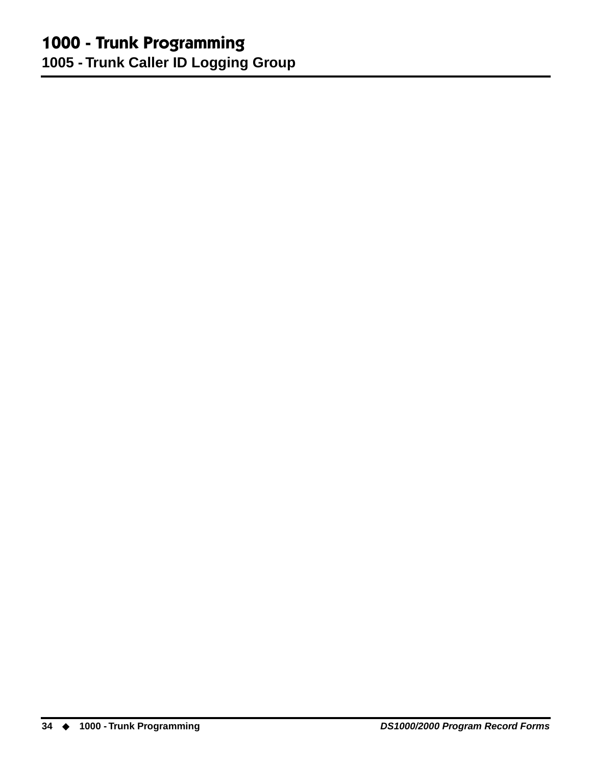## **1000 - Trunk Programming**

**1005 - Trunk Caller ID Logging Group**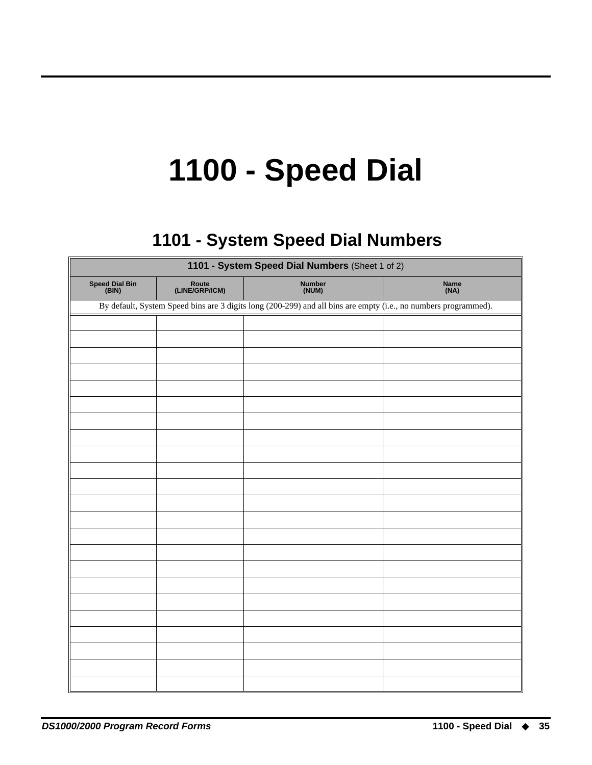# **1100 - Speed Dial**

## **1101 - System Speed Dial Numbers 1101 - System Speed Dial Numbers**

<span id="page-38-1"></span><span id="page-38-0"></span>

|                         | 1101 - System Speed Dial Numbers (Sheet 1 of 2)                                                                 |                        |              |  |  |  |  |
|-------------------------|-----------------------------------------------------------------------------------------------------------------|------------------------|--------------|--|--|--|--|
| Speed Dial Bin<br>(BIN) | Route<br>(LINE/GRP/ICM)                                                                                         | <b>Number</b><br>(NUM) | Name<br>(NA) |  |  |  |  |
|                         | By default, System Speed bins are 3 digits long (200-299) and all bins are empty (i.e., no numbers programmed). |                        |              |  |  |  |  |
|                         |                                                                                                                 |                        |              |  |  |  |  |
|                         |                                                                                                                 |                        |              |  |  |  |  |
|                         |                                                                                                                 |                        |              |  |  |  |  |
|                         |                                                                                                                 |                        |              |  |  |  |  |
|                         |                                                                                                                 |                        |              |  |  |  |  |
|                         |                                                                                                                 |                        |              |  |  |  |  |
|                         |                                                                                                                 |                        |              |  |  |  |  |
|                         |                                                                                                                 |                        |              |  |  |  |  |
|                         |                                                                                                                 |                        |              |  |  |  |  |
|                         |                                                                                                                 |                        |              |  |  |  |  |
|                         |                                                                                                                 |                        |              |  |  |  |  |
|                         |                                                                                                                 |                        |              |  |  |  |  |
|                         |                                                                                                                 |                        |              |  |  |  |  |
|                         |                                                                                                                 |                        |              |  |  |  |  |
|                         |                                                                                                                 |                        |              |  |  |  |  |
|                         |                                                                                                                 |                        |              |  |  |  |  |
|                         |                                                                                                                 |                        |              |  |  |  |  |
|                         |                                                                                                                 |                        |              |  |  |  |  |
|                         |                                                                                                                 |                        |              |  |  |  |  |
|                         |                                                                                                                 |                        |              |  |  |  |  |
|                         |                                                                                                                 |                        |              |  |  |  |  |
|                         |                                                                                                                 |                        |              |  |  |  |  |
|                         |                                                                                                                 |                        |              |  |  |  |  |
|                         |                                                                                                                 |                        |              |  |  |  |  |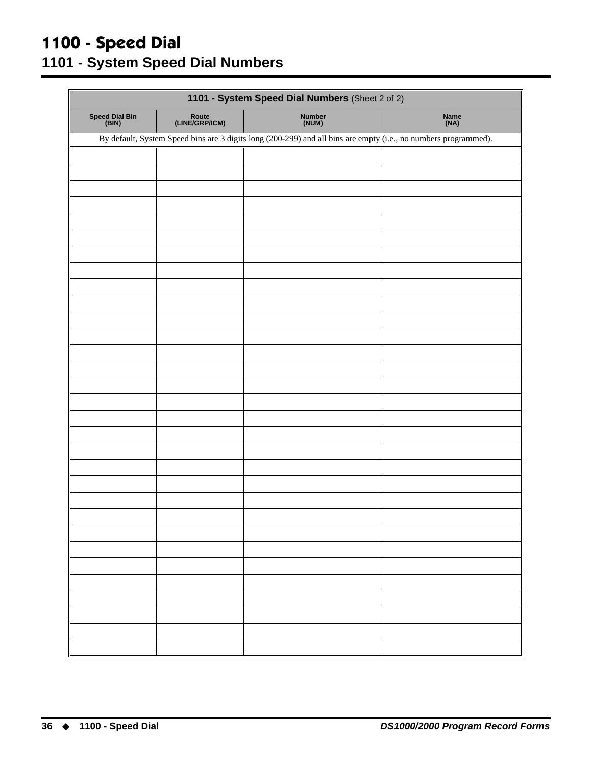#### **1100 - Speed Dial 1101 - System Speed Dial Numbers**

| 1101 - System Speed Dial Numbers (Sheet 2 of 2) |                         |                                                                                                                 |              |  |  |  |
|-------------------------------------------------|-------------------------|-----------------------------------------------------------------------------------------------------------------|--------------|--|--|--|
| Speed Dial Bin<br>(BIN)                         | Route<br>(LINE/GRP/ICM) | Number<br>(NUM)                                                                                                 | Name<br>(NA) |  |  |  |
|                                                 |                         | By default, System Speed bins are 3 digits long (200-299) and all bins are empty (i.e., no numbers programmed). |              |  |  |  |
|                                                 |                         |                                                                                                                 |              |  |  |  |
|                                                 |                         |                                                                                                                 |              |  |  |  |
|                                                 |                         |                                                                                                                 |              |  |  |  |
|                                                 |                         |                                                                                                                 |              |  |  |  |
|                                                 |                         |                                                                                                                 |              |  |  |  |
|                                                 |                         |                                                                                                                 |              |  |  |  |
|                                                 |                         |                                                                                                                 |              |  |  |  |
|                                                 |                         |                                                                                                                 |              |  |  |  |
|                                                 |                         |                                                                                                                 |              |  |  |  |
|                                                 |                         |                                                                                                                 |              |  |  |  |
|                                                 |                         |                                                                                                                 |              |  |  |  |
|                                                 |                         |                                                                                                                 |              |  |  |  |
|                                                 |                         |                                                                                                                 |              |  |  |  |
|                                                 |                         |                                                                                                                 |              |  |  |  |
|                                                 |                         |                                                                                                                 |              |  |  |  |
|                                                 |                         |                                                                                                                 |              |  |  |  |
|                                                 |                         |                                                                                                                 |              |  |  |  |
|                                                 |                         |                                                                                                                 |              |  |  |  |
|                                                 |                         |                                                                                                                 |              |  |  |  |
|                                                 |                         |                                                                                                                 |              |  |  |  |
|                                                 |                         |                                                                                                                 |              |  |  |  |
|                                                 |                         |                                                                                                                 |              |  |  |  |
|                                                 |                         |                                                                                                                 |              |  |  |  |
|                                                 |                         |                                                                                                                 |              |  |  |  |
|                                                 |                         |                                                                                                                 |              |  |  |  |
|                                                 |                         |                                                                                                                 |              |  |  |  |
|                                                 |                         |                                                                                                                 |              |  |  |  |
|                                                 |                         |                                                                                                                 |              |  |  |  |
|                                                 |                         |                                                                                                                 |              |  |  |  |
|                                                 |                         |                                                                                                                 |              |  |  |  |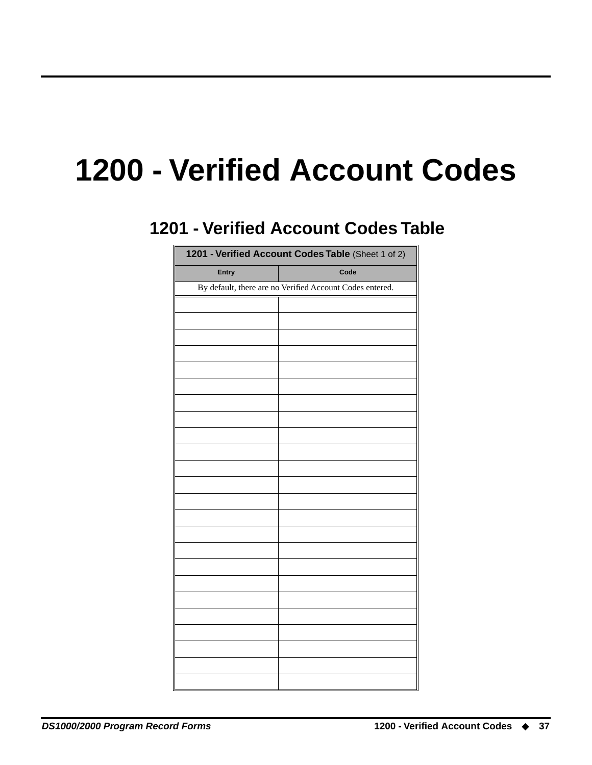## <span id="page-40-1"></span><span id="page-40-0"></span>**1200 - Verified Account Codes**

## **1201 - Verified Account Codes Table 1201 - Verified Account Codes Table**

| 1201 - Verified Account Codes Table (Sheet 1 of 2) |                                                          |  |  |  |  |
|----------------------------------------------------|----------------------------------------------------------|--|--|--|--|
| Entry                                              | Code                                                     |  |  |  |  |
|                                                    | By default, there are no Verified Account Codes entered. |  |  |  |  |
|                                                    |                                                          |  |  |  |  |
|                                                    |                                                          |  |  |  |  |
|                                                    |                                                          |  |  |  |  |
|                                                    |                                                          |  |  |  |  |
|                                                    |                                                          |  |  |  |  |
|                                                    |                                                          |  |  |  |  |
|                                                    |                                                          |  |  |  |  |
|                                                    |                                                          |  |  |  |  |
|                                                    |                                                          |  |  |  |  |
|                                                    |                                                          |  |  |  |  |
|                                                    |                                                          |  |  |  |  |
|                                                    |                                                          |  |  |  |  |
|                                                    |                                                          |  |  |  |  |
|                                                    |                                                          |  |  |  |  |
|                                                    |                                                          |  |  |  |  |
|                                                    |                                                          |  |  |  |  |
|                                                    |                                                          |  |  |  |  |
|                                                    |                                                          |  |  |  |  |
|                                                    |                                                          |  |  |  |  |
|                                                    |                                                          |  |  |  |  |
|                                                    |                                                          |  |  |  |  |
|                                                    |                                                          |  |  |  |  |
|                                                    |                                                          |  |  |  |  |
|                                                    |                                                          |  |  |  |  |
|                                                    |                                                          |  |  |  |  |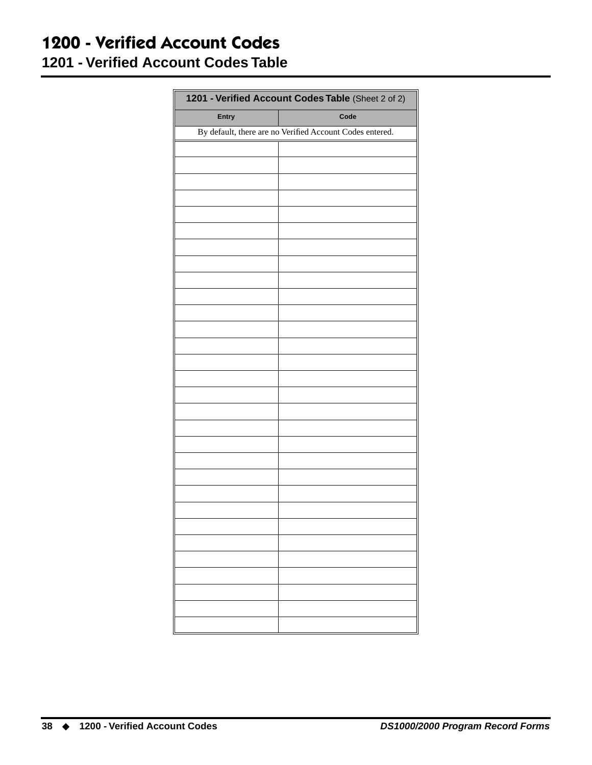#### **1200 - Verified Account Codes 1201 - Verified Account Codes Table**

| 1201 - Verified Account Codes Table (Sheet 2 of 2) |                                                          |  |  |  |  |  |
|----------------------------------------------------|----------------------------------------------------------|--|--|--|--|--|
| Entry                                              | Code                                                     |  |  |  |  |  |
|                                                    | By default, there are no Verified Account Codes entered. |  |  |  |  |  |
|                                                    |                                                          |  |  |  |  |  |
|                                                    |                                                          |  |  |  |  |  |
|                                                    |                                                          |  |  |  |  |  |
|                                                    |                                                          |  |  |  |  |  |
|                                                    |                                                          |  |  |  |  |  |
|                                                    |                                                          |  |  |  |  |  |
|                                                    |                                                          |  |  |  |  |  |
|                                                    |                                                          |  |  |  |  |  |
|                                                    |                                                          |  |  |  |  |  |
|                                                    |                                                          |  |  |  |  |  |
|                                                    |                                                          |  |  |  |  |  |
|                                                    |                                                          |  |  |  |  |  |
|                                                    |                                                          |  |  |  |  |  |
|                                                    |                                                          |  |  |  |  |  |
|                                                    |                                                          |  |  |  |  |  |
|                                                    |                                                          |  |  |  |  |  |
|                                                    |                                                          |  |  |  |  |  |
|                                                    |                                                          |  |  |  |  |  |
|                                                    |                                                          |  |  |  |  |  |
|                                                    |                                                          |  |  |  |  |  |
|                                                    |                                                          |  |  |  |  |  |
|                                                    |                                                          |  |  |  |  |  |
|                                                    |                                                          |  |  |  |  |  |
|                                                    |                                                          |  |  |  |  |  |
|                                                    |                                                          |  |  |  |  |  |
|                                                    |                                                          |  |  |  |  |  |
|                                                    |                                                          |  |  |  |  |  |
|                                                    |                                                          |  |  |  |  |  |
|                                                    |                                                          |  |  |  |  |  |
|                                                    |                                                          |  |  |  |  |  |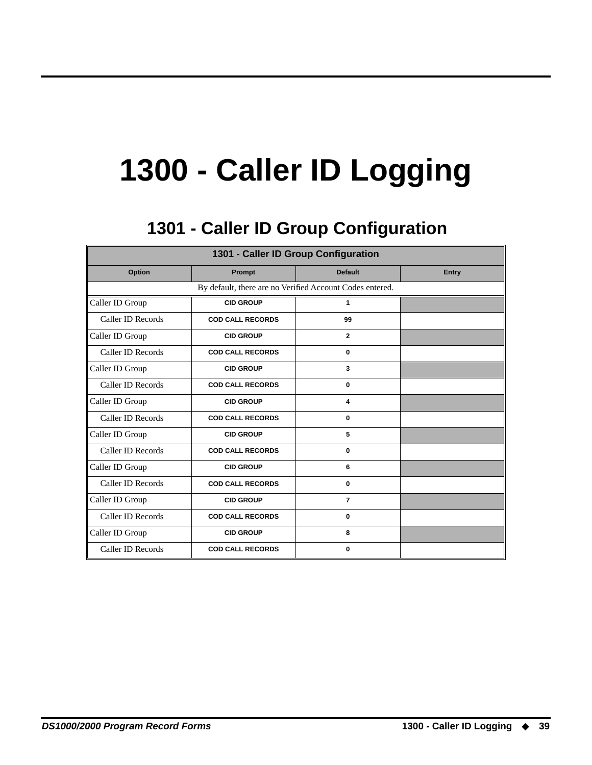# **1300 - Caller ID Logging**

## **1301 - Caller ID Group Configuration 1301 - Caller ID Group Configuration**

<span id="page-42-1"></span><span id="page-42-0"></span>

| 1301 - Caller ID Group Configuration                     |                         |                |              |  |  |  |  |  |
|----------------------------------------------------------|-------------------------|----------------|--------------|--|--|--|--|--|
| Option                                                   | Prompt                  | <b>Default</b> | <b>Entry</b> |  |  |  |  |  |
| By default, there are no Verified Account Codes entered. |                         |                |              |  |  |  |  |  |
| Caller ID Group                                          | <b>CID GROUP</b>        | 1              |              |  |  |  |  |  |
| Caller ID Records                                        | <b>COD CALL RECORDS</b> | 99             |              |  |  |  |  |  |
| Caller ID Group                                          | <b>CID GROUP</b>        | $\overline{2}$ |              |  |  |  |  |  |
| Caller ID Records                                        | <b>COD CALL RECORDS</b> | $\bf{0}$       |              |  |  |  |  |  |
| Caller ID Group                                          | <b>CID GROUP</b>        | 3              |              |  |  |  |  |  |
| Caller ID Records                                        | <b>COD CALL RECORDS</b> | 0              |              |  |  |  |  |  |
| Caller ID Group                                          | <b>CID GROUP</b>        | 4              |              |  |  |  |  |  |
| Caller ID Records                                        | <b>COD CALL RECORDS</b> | $\bf{0}$       |              |  |  |  |  |  |
| Caller ID Group                                          | <b>CID GROUP</b>        | 5              |              |  |  |  |  |  |
| Caller ID Records                                        | <b>COD CALL RECORDS</b> | $\bf{0}$       |              |  |  |  |  |  |
| Caller ID Group                                          | <b>CID GROUP</b>        | 6              |              |  |  |  |  |  |
| Caller ID Records                                        | <b>COD CALL RECORDS</b> | $\bf{0}$       |              |  |  |  |  |  |
| Caller ID Group                                          | <b>CID GROUP</b>        | $\overline{7}$ |              |  |  |  |  |  |
| Caller ID Records                                        | <b>COD CALL RECORDS</b> | $\bf{0}$       |              |  |  |  |  |  |
| Caller ID Group                                          | <b>CID GROUP</b>        | 8              |              |  |  |  |  |  |
| Caller ID Records                                        | <b>COD CALL RECORDS</b> | 0              |              |  |  |  |  |  |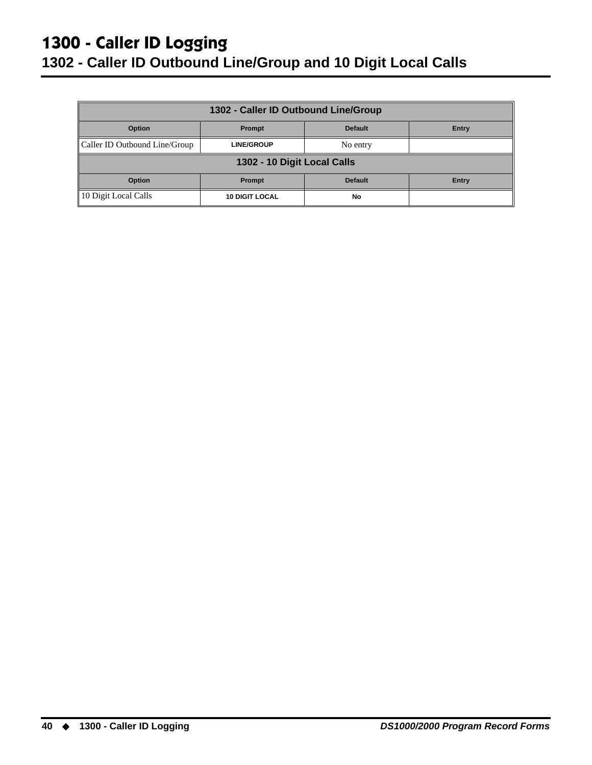## **1300 - Caller ID Logging**

#### <span id="page-43-0"></span>**1302 - Caller ID Outbound Line/Group and 10 Digit Local Calls**

| 1302 - Caller ID Outbound Line/Group        |                       |                |       |  |  |  |
|---------------------------------------------|-----------------------|----------------|-------|--|--|--|
| Option<br><b>Default</b><br>Prompt<br>Entry |                       |                |       |  |  |  |
| Caller ID Outbound Line/Group               | <b>LINE/GROUP</b>     | No entry       |       |  |  |  |
| 1302 - 10 Digit Local Calls                 |                       |                |       |  |  |  |
| Option                                      | Prompt                | <b>Default</b> | Entry |  |  |  |
| 10 Digit Local Calls                        | <b>10 DIGIT LOCAL</b> | No             |       |  |  |  |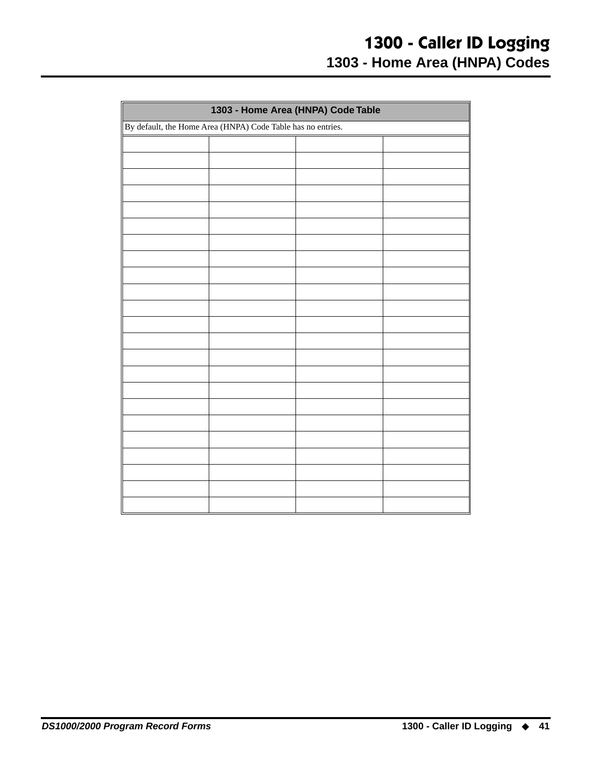<span id="page-44-0"></span>

| 1303 - Home Area (HNPA) Code Table                          |  |  |  |  |
|-------------------------------------------------------------|--|--|--|--|
| By default, the Home Area (HNPA) Code Table has no entries. |  |  |  |  |
|                                                             |  |  |  |  |
|                                                             |  |  |  |  |
|                                                             |  |  |  |  |
|                                                             |  |  |  |  |
|                                                             |  |  |  |  |
|                                                             |  |  |  |  |
|                                                             |  |  |  |  |
|                                                             |  |  |  |  |
|                                                             |  |  |  |  |
|                                                             |  |  |  |  |
|                                                             |  |  |  |  |
|                                                             |  |  |  |  |
|                                                             |  |  |  |  |
|                                                             |  |  |  |  |
|                                                             |  |  |  |  |
|                                                             |  |  |  |  |
|                                                             |  |  |  |  |
|                                                             |  |  |  |  |
|                                                             |  |  |  |  |
|                                                             |  |  |  |  |
|                                                             |  |  |  |  |
|                                                             |  |  |  |  |
|                                                             |  |  |  |  |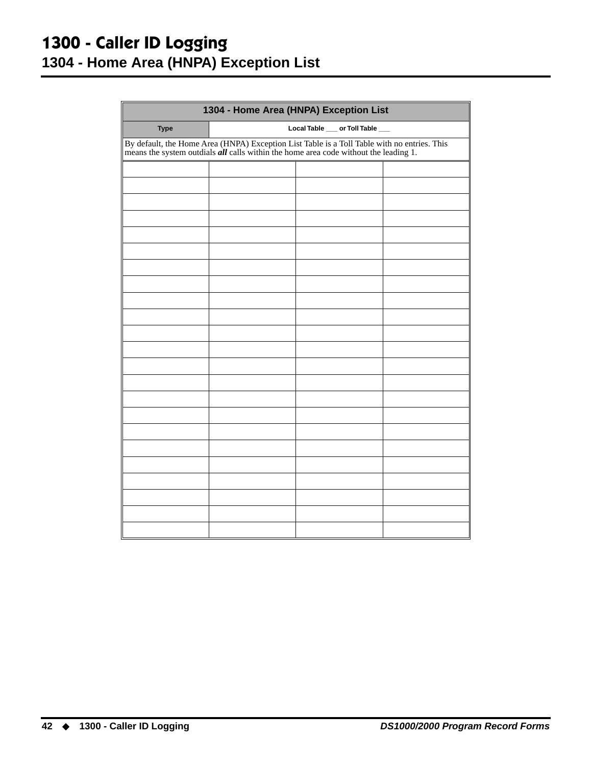#### <span id="page-45-0"></span>**1300 - Caller ID Logging 1304 - Home Area (HNPA) Exception List**

| 1304 - Home Area (HNPA) Exception List |                                                                                                                                                                                             |                                 |  |  |  |  |
|----------------------------------------|---------------------------------------------------------------------------------------------------------------------------------------------------------------------------------------------|---------------------------------|--|--|--|--|
| <b>Type</b>                            |                                                                                                                                                                                             | Local Table __ or Toll Table __ |  |  |  |  |
|                                        | By default, the Home Area (HNPA) Exception List Table is a Toll Table with no entries. This<br>means the system outdials $\vec{all}$ calls within the home area code without the leading 1. |                                 |  |  |  |  |
|                                        |                                                                                                                                                                                             |                                 |  |  |  |  |
|                                        |                                                                                                                                                                                             |                                 |  |  |  |  |
|                                        |                                                                                                                                                                                             |                                 |  |  |  |  |
|                                        |                                                                                                                                                                                             |                                 |  |  |  |  |
|                                        |                                                                                                                                                                                             |                                 |  |  |  |  |
|                                        |                                                                                                                                                                                             |                                 |  |  |  |  |
|                                        |                                                                                                                                                                                             |                                 |  |  |  |  |
|                                        |                                                                                                                                                                                             |                                 |  |  |  |  |
|                                        |                                                                                                                                                                                             |                                 |  |  |  |  |
|                                        |                                                                                                                                                                                             |                                 |  |  |  |  |
|                                        |                                                                                                                                                                                             |                                 |  |  |  |  |
|                                        |                                                                                                                                                                                             |                                 |  |  |  |  |
|                                        |                                                                                                                                                                                             |                                 |  |  |  |  |
|                                        |                                                                                                                                                                                             |                                 |  |  |  |  |
|                                        |                                                                                                                                                                                             |                                 |  |  |  |  |
|                                        |                                                                                                                                                                                             |                                 |  |  |  |  |
|                                        |                                                                                                                                                                                             |                                 |  |  |  |  |
|                                        |                                                                                                                                                                                             |                                 |  |  |  |  |
|                                        |                                                                                                                                                                                             |                                 |  |  |  |  |
|                                        |                                                                                                                                                                                             |                                 |  |  |  |  |
|                                        |                                                                                                                                                                                             |                                 |  |  |  |  |
|                                        |                                                                                                                                                                                             |                                 |  |  |  |  |
|                                        |                                                                                                                                                                                             |                                 |  |  |  |  |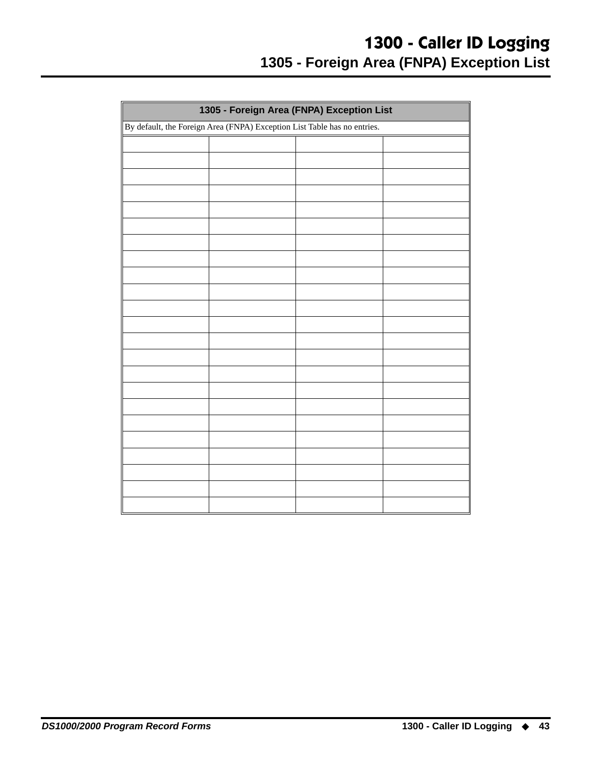#### **1300 - Caller ID Logging 1305 - Foreign Area (FNPA) Exception List**

<span id="page-46-0"></span>

|  | 1305 - Foreign Area (FNPA) Exception List                                |  |  |  |  |  |
|--|--------------------------------------------------------------------------|--|--|--|--|--|
|  | By default, the Foreign Area (FNPA) Exception List Table has no entries. |  |  |  |  |  |
|  |                                                                          |  |  |  |  |  |
|  |                                                                          |  |  |  |  |  |
|  |                                                                          |  |  |  |  |  |
|  |                                                                          |  |  |  |  |  |
|  |                                                                          |  |  |  |  |  |
|  |                                                                          |  |  |  |  |  |
|  |                                                                          |  |  |  |  |  |
|  |                                                                          |  |  |  |  |  |
|  |                                                                          |  |  |  |  |  |
|  |                                                                          |  |  |  |  |  |
|  |                                                                          |  |  |  |  |  |
|  |                                                                          |  |  |  |  |  |
|  |                                                                          |  |  |  |  |  |
|  |                                                                          |  |  |  |  |  |
|  |                                                                          |  |  |  |  |  |
|  |                                                                          |  |  |  |  |  |
|  |                                                                          |  |  |  |  |  |
|  |                                                                          |  |  |  |  |  |
|  |                                                                          |  |  |  |  |  |
|  |                                                                          |  |  |  |  |  |
|  |                                                                          |  |  |  |  |  |
|  |                                                                          |  |  |  |  |  |
|  |                                                                          |  |  |  |  |  |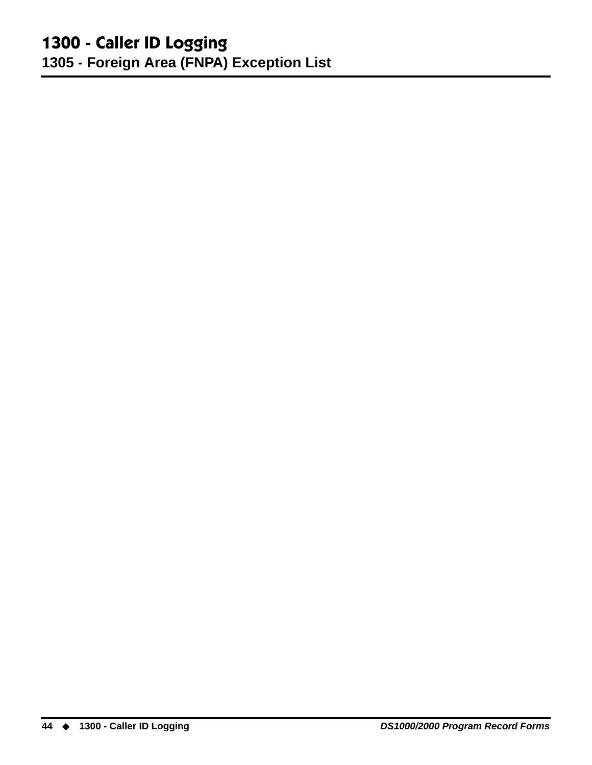#### **1300 - Caller ID Logging 1305 - Foreign Area (FNPA) Exception List**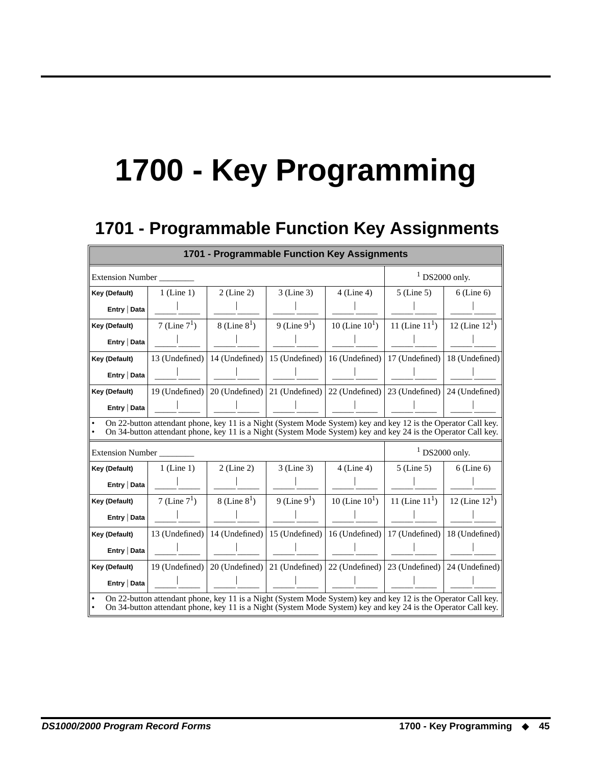# **1700 - Key Programming**

### **1701 - Programmable Function Key Assignments 1701 - Programmable Function Key Assignments**

<span id="page-48-1"></span><span id="page-48-0"></span>

| 1701 - Programmable Function Key Assignments                                                                                                                                                                                         |                 |                   |                                   |                     |                                                                                                                                                                                                                                |                   |
|--------------------------------------------------------------------------------------------------------------------------------------------------------------------------------------------------------------------------------------|-----------------|-------------------|-----------------------------------|---------------------|--------------------------------------------------------------------------------------------------------------------------------------------------------------------------------------------------------------------------------|-------------------|
| <b>Extension Number</b>                                                                                                                                                                                                              |                 |                   |                                   |                     |                                                                                                                                                                                                                                | $1$ DS2000 only.  |
| Key (Default)                                                                                                                                                                                                                        | $1$ (Line 1)    | $2$ (Line 2)      | 3 (Line 3)                        | $4$ (Line 4)        | $5$ (Line 5)                                                                                                                                                                                                                   | $6$ (Line $6$ )   |
| Entry   Data                                                                                                                                                                                                                         |                 |                   |                                   |                     |                                                                                                                                                                                                                                |                   |
| Key (Default)                                                                                                                                                                                                                        | 7 (Line $7^1$ ) | $8$ (Line $8^1$ ) | 9 (Line $9^1$ )                   | 10 (Line $10^1$ )   | 11 (Line $111$ )                                                                                                                                                                                                               | 12 (Line $12^1$ ) |
| Entry   Data                                                                                                                                                                                                                         |                 |                   |                                   |                     |                                                                                                                                                                                                                                |                   |
| Key (Default)                                                                                                                                                                                                                        | 13 (Undefined)  | 14 (Undefined)    | 15 (Undefined)                    | 16 (Undefined)      | 17 (Undefined)                                                                                                                                                                                                                 | 18 (Undefined)    |
| Entry   Data                                                                                                                                                                                                                         |                 |                   |                                   |                     |                                                                                                                                                                                                                                |                   |
| Key (Default)                                                                                                                                                                                                                        | 19 (Undefined)  |                   | $20$ (Undefined)   21 (Undefined) |                     | 22 (Undefined)   23 (Undefined)                                                                                                                                                                                                | 24 (Undefined)    |
| Entry   Data                                                                                                                                                                                                                         |                 |                   |                                   |                     |                                                                                                                                                                                                                                |                   |
|                                                                                                                                                                                                                                      |                 |                   |                                   |                     | On 22-button attendant phone, key 11 is a Night (System Mode System) key and key 12 is the Operator Call key.<br>On 34-button attendant phone, key 11 is a Night (System Mode System) key and key 24 is the Operator Call key. |                   |
| <b>Extension Number</b>                                                                                                                                                                                                              |                 |                   |                                   |                     |                                                                                                                                                                                                                                | $1$ DS2000 only.  |
| Key (Default)                                                                                                                                                                                                                        | $1$ (Line 1)    | $2$ (Line 2)      | $3$ (Line 3)                      | $4$ (Line 4)        | $5$ (Line 5)                                                                                                                                                                                                                   | $6$ (Line 6)      |
| Entry   Data                                                                                                                                                                                                                         |                 |                   |                                   |                     |                                                                                                                                                                                                                                |                   |
| Key (Default)                                                                                                                                                                                                                        | 7 (Line $7^1$ ) | $8$ (Line $8^1$ ) | 9 (Line $9^1$ )                   | 10 (Line $10^{1}$ ) | 11 (Line $111$ )                                                                                                                                                                                                               | 12 (Line $12^1$ ) |
| Entry   Data                                                                                                                                                                                                                         |                 |                   |                                   |                     |                                                                                                                                                                                                                                |                   |
| Key (Default)                                                                                                                                                                                                                        | 13 (Undefined)  |                   | 14 (Undefined) $ 15$ (Undefined)  |                     | 16 (Undefined)   17 (Undefined)                                                                                                                                                                                                | 18 (Undefined)    |
| Entry   Data                                                                                                                                                                                                                         |                 |                   |                                   |                     |                                                                                                                                                                                                                                |                   |
| Key (Default)                                                                                                                                                                                                                        | 19 (Undefined)  | 20 (Undefined)    | 21 (Undefined)                    | 22 (Undefined)      | 23 (Undefined)                                                                                                                                                                                                                 | 24 (Undefined)    |
| Entry   Data                                                                                                                                                                                                                         |                 |                   |                                   |                     |                                                                                                                                                                                                                                |                   |
| On 22-button attendant phone, key 11 is a Night (System Mode System) key and key 12 is the Operator Call key.<br>On 34-button attendant phone, key 11 is a Night (System Mode System) key and key 24 is the Operator Call key.<br>∥• |                 |                   |                                   |                     |                                                                                                                                                                                                                                |                   |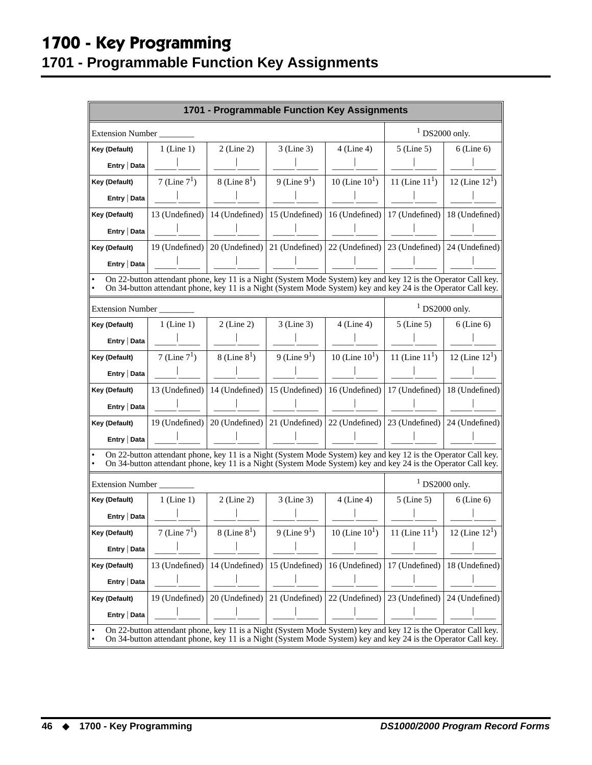### **1700 - Key Programming 1701 - Programmable Function Key Assignments**

|                         | 1701 - Programmable Function Key Assignments |                   |                                                                                                                                                                                                                                |                     |                                  |                  |  |
|-------------------------|----------------------------------------------|-------------------|--------------------------------------------------------------------------------------------------------------------------------------------------------------------------------------------------------------------------------|---------------------|----------------------------------|------------------|--|
| <b>Extension Number</b> |                                              |                   |                                                                                                                                                                                                                                |                     |                                  | $1$ DS2000 only. |  |
| Key (Default)           | $1$ (Line 1)                                 | $2$ (Line 2)      | $3$ (Line 3)                                                                                                                                                                                                                   | $4$ (Line 4)        | $5$ (Line $5$ )                  | $6$ (Line 6)     |  |
| Entry   Data            |                                              |                   |                                                                                                                                                                                                                                |                     |                                  |                  |  |
| Key (Default)           | 7 (Line $7^1$ )                              | $8$ (Line $8^1$ ) | 9 (Line $9^1$ )                                                                                                                                                                                                                | 10 (Line $10^{1}$ ) | 11 (Line $111$ )                 | 12 (Line $121$ ) |  |
| Entry   Data            |                                              |                   |                                                                                                                                                                                                                                |                     |                                  |                  |  |
| Key (Default)           |                                              |                   | 13 (Undefined)   14 (Undefined)   15 (Undefined)                                                                                                                                                                               |                     | 16 (Undefined)   17 (Undefined)  | 18 (Undefined)   |  |
| Entry   Data            |                                              |                   |                                                                                                                                                                                                                                |                     |                                  |                  |  |
| Key (Default)           |                                              |                   | 19 (Undefined) $\vert$ 20 (Undefined) $\vert$ 21 (Undefined) $\vert$ 22 (Undefined) $\vert$ 23 (Undefined) $\vert$ 24 (Undefined)                                                                                              |                     |                                  |                  |  |
| Entry   Data            |                                              |                   |                                                                                                                                                                                                                                |                     |                                  |                  |  |
|                         |                                              |                   | On 22-button attendant phone, key 11 is a Night (System Mode System) key and key 12 is the Operator Call key.<br>On 34-button attendant phone, key 11 is a Night (System Mode System) key and key 24 is the Operator Call key. |                     |                                  |                  |  |
| Extension Number        |                                              |                   |                                                                                                                                                                                                                                |                     |                                  | $1$ DS2000 only. |  |
| Key (Default)           | $1$ (Line 1)                                 | $2$ (Line 2)      | 3 (Line 3)                                                                                                                                                                                                                     | $4$ (Line 4)        | $5$ (Line $5$ )                  | $6$ (Line 6)     |  |
| Entry   Data            |                                              |                   |                                                                                                                                                                                                                                |                     |                                  |                  |  |
| Key (Default)           | 7 (Line $7^1$ )                              | 8 (Line $8^1$ )   | 9 (Line $9^1$ )                                                                                                                                                                                                                | 10 (Line $10^{1}$ ) | 11 (Line $111$ )                 | 12 (Line $121$ ) |  |
| Entry   Data            |                                              |                   |                                                                                                                                                                                                                                |                     |                                  |                  |  |
| Key (Default)           |                                              |                   | 13 (Undefined)   14 (Undefined)   15 (Undefined)   16 (Undefined)   17 (Undefined)                                                                                                                                             |                     |                                  | 18 (Undefined)   |  |
| Entry   Data            |                                              |                   |                                                                                                                                                                                                                                |                     |                                  |                  |  |
| Key (Default)           | 19 (Undefined)                               |                   | $20$ (Undefined)   21 (Undefined)                                                                                                                                                                                              |                     | 22 (Undefined) $ 23$ (Undefined) | 24 (Undefined)   |  |
| Entry   Data            |                                              |                   |                                                                                                                                                                                                                                |                     |                                  |                  |  |
|                         |                                              |                   | On 22-button attendant phone, key 11 is a Night (System Mode System) key and key 12 is the Operator Call key.<br>On 34-button attendant phone, key 11 is a Night (System Mode System) key and key 24 is the Operator Call key. |                     |                                  |                  |  |
| <b>Extension Number</b> |                                              |                   |                                                                                                                                                                                                                                |                     |                                  | $1$ DS2000 only. |  |
| Key (Default)           | $1$ (Line 1)                                 | $2$ (Line 2)      | $3$ (Line 3)                                                                                                                                                                                                                   | $4$ (Line 4)        | $5$ (Line 5)                     | $6$ (Line 6)     |  |
| Entry   Data            |                                              |                   |                                                                                                                                                                                                                                |                     |                                  |                  |  |
| Key (Default)           | 7 (Line $71$ )                               | $8$ (Line $8^1$ ) | 9 (Line $91$ )                                                                                                                                                                                                                 | 10 (Line $10^{1}$ ) | 11 (Line $111$ )                 | 12 (Line $121$ ) |  |
| Entry   Data            |                                              |                   |                                                                                                                                                                                                                                |                     |                                  |                  |  |
| Key (Default)           | 13 (Undefined)                               | 14 (Undefined)    | 15 (Undefined)                                                                                                                                                                                                                 | 16 (Undefined)      | 17 (Undefined)                   | 18 (Undefined)   |  |
| Entry   Data            |                                              |                   |                                                                                                                                                                                                                                |                     |                                  |                  |  |
| Key (Default)           | 19 (Undefined)                               | 20 (Undefined)    | 21 (Undefined)                                                                                                                                                                                                                 | 22 (Undefined)      | 23 (Undefined)                   | 24 (Undefined)   |  |
| Entry   Data            |                                              |                   |                                                                                                                                                                                                                                |                     |                                  |                  |  |
|                         |                                              |                   | On 22-button attendant phone, key 11 is a Night (System Mode System) key and key 12 is the Operator Call key.<br>On 34-button attendant phone, key 11 is a Night (System Mode System) key and key 24 is the Operator Call key. |                     |                                  |                  |  |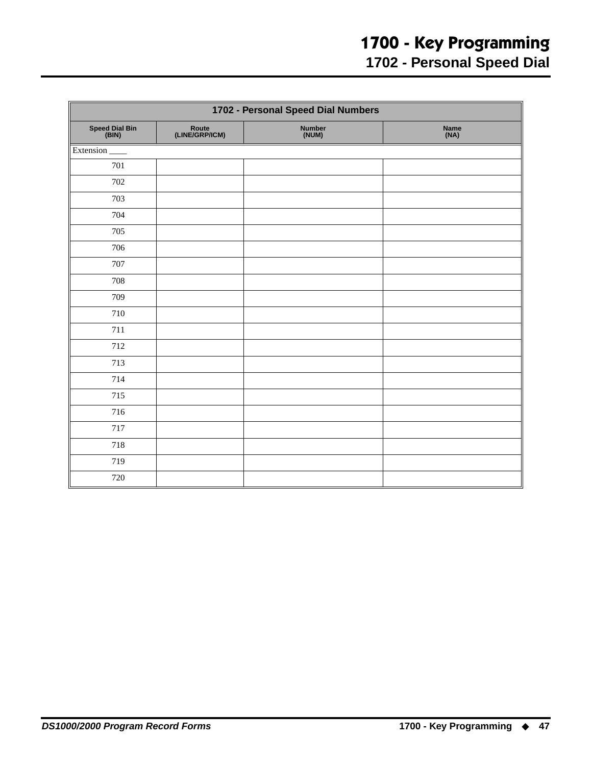## **1700 - Key Programming**

**1702 - Personal Speed Dial**

<span id="page-50-0"></span>

| 1702 - Personal Speed Dial Numbers |                         |                 |              |  |  |
|------------------------------------|-------------------------|-----------------|--------------|--|--|
| Speed Dial Bin<br>(BIN)            | Route<br>(LINE/GRP/ICM) | Number<br>(NUM) | Name<br>(NA) |  |  |
| Extension                          |                         |                 |              |  |  |
| 701                                |                         |                 |              |  |  |
| 702                                |                         |                 |              |  |  |
| 703                                |                         |                 |              |  |  |
| 704                                |                         |                 |              |  |  |
| 705                                |                         |                 |              |  |  |
| 706                                |                         |                 |              |  |  |
| 707                                |                         |                 |              |  |  |
| 708                                |                         |                 |              |  |  |
| 709                                |                         |                 |              |  |  |
| 710                                |                         |                 |              |  |  |
| 711                                |                         |                 |              |  |  |
| 712                                |                         |                 |              |  |  |
| 713                                |                         |                 |              |  |  |
| 714                                |                         |                 |              |  |  |
| 715                                |                         |                 |              |  |  |
| 716                                |                         |                 |              |  |  |
| 717                                |                         |                 |              |  |  |
| 718                                |                         |                 |              |  |  |
| 719                                |                         |                 |              |  |  |
| 720                                |                         |                 |              |  |  |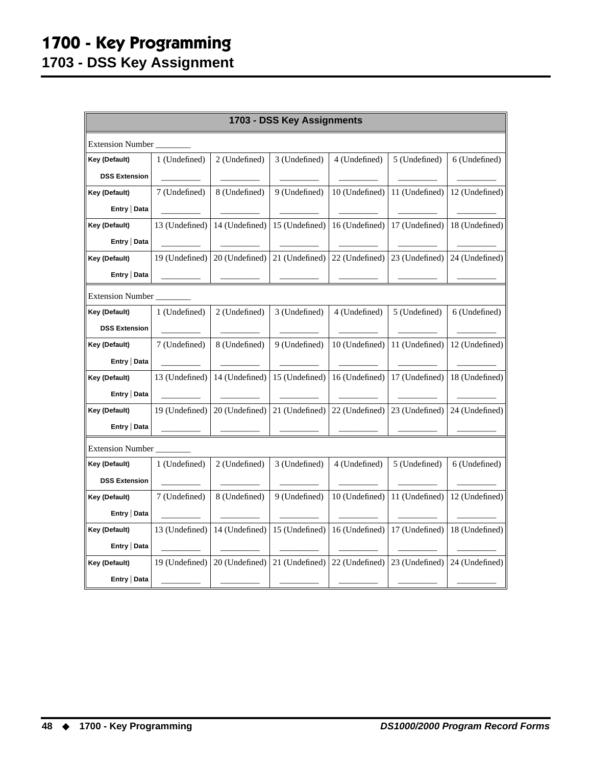### **1700 - Key Programming 1703 - DSS Key Assignment**

<span id="page-51-0"></span>

| 1703 - DSS Key Assignments |                         |                |                |                |                |                |  |  |  |
|----------------------------|-------------------------|----------------|----------------|----------------|----------------|----------------|--|--|--|
|                            | <b>Extension Number</b> |                |                |                |                |                |  |  |  |
| Key (Default)              | 1 (Undefined)           | 2 (Undefined)  | 3 (Undefined)  | 4 (Undefined)  | 5 (Undefined)  | 6 (Undefined)  |  |  |  |
| <b>DSS Extension</b>       |                         |                |                |                |                |                |  |  |  |
| Key (Default)              | 7 (Undefined)           | 8 (Undefined)  | 9 (Undefined)  | 10 (Undefined) | 11 (Undefined) | 12 (Undefined) |  |  |  |
| Entry   Data               |                         |                |                |                |                |                |  |  |  |
| Key (Default)              | 13 (Undefined)          | 14 (Undefined) | 15 (Undefined) | 16 (Undefined) | 17 (Undefined) | 18 (Undefined) |  |  |  |
| Entry   Data               |                         |                |                |                |                |                |  |  |  |
| Key (Default)              | 19 (Undefined)          | 20 (Undefined) | 21 (Undefined) | 22 (Undefined) | 23 (Undefined) | 24 (Undefined) |  |  |  |
| Entry   Data               |                         |                |                |                |                |                |  |  |  |
| <b>Extension Number</b>    |                         |                |                |                |                |                |  |  |  |
| Key (Default)              | 1 (Undefined)           | 2 (Undefined)  | 3 (Undefined)  | 4 (Undefined)  | 5 (Undefined)  | 6 (Undefined)  |  |  |  |
| <b>DSS Extension</b>       |                         |                |                |                |                |                |  |  |  |
| Key (Default)              | 7 (Undefined)           | 8 (Undefined)  | 9 (Undefined)  | 10 (Undefined) | 11 (Undefined) | 12 (Undefined) |  |  |  |
| Entry   Data               |                         |                |                |                |                |                |  |  |  |
| Key (Default)              | 13 (Undefined)          | 14 (Undefined) | 15 (Undefined) | 16 (Undefined) | 17 (Undefined) | 18 (Undefined) |  |  |  |
| Entry   Data               |                         |                |                |                |                |                |  |  |  |
| Key (Default)              | 19 (Undefined)          | 20 (Undefined) | 21 (Undefined) | 22 (Undefined) | 23 (Undefined) | 24 (Undefined) |  |  |  |
| Entry   Data               |                         |                |                |                |                |                |  |  |  |
| <b>Extension Number</b>    |                         |                |                |                |                |                |  |  |  |
| Key (Default)              | 1 (Undefined)           | 2 (Undefined)  | 3 (Undefined)  | 4 (Undefined)  | 5 (Undefined)  | 6 (Undefined)  |  |  |  |
| <b>DSS Extension</b>       |                         |                |                |                |                |                |  |  |  |
| Key (Default)              | 7 (Undefined)           | 8 (Undefined)  | 9 (Undefined)  | 10 (Undefined) | 11 (Undefined) | 12 (Undefined) |  |  |  |
| Entry   Data               |                         |                |                |                |                |                |  |  |  |
| Key (Default)              | 13 (Undefined)          | 14 (Undefined) | 15 (Undefined) | 16 (Undefined) | 17 (Undefined) | 18 (Undefined) |  |  |  |
| Entry   Data               |                         |                |                |                |                |                |  |  |  |
| Key (Default)              | 19 (Undefined)          | 20 (Undefined) | 21 (Undefined) | 22 (Undefined) | 23 (Undefined) | 24 (Undefined) |  |  |  |
| Entry   Data               |                         |                |                |                |                |                |  |  |  |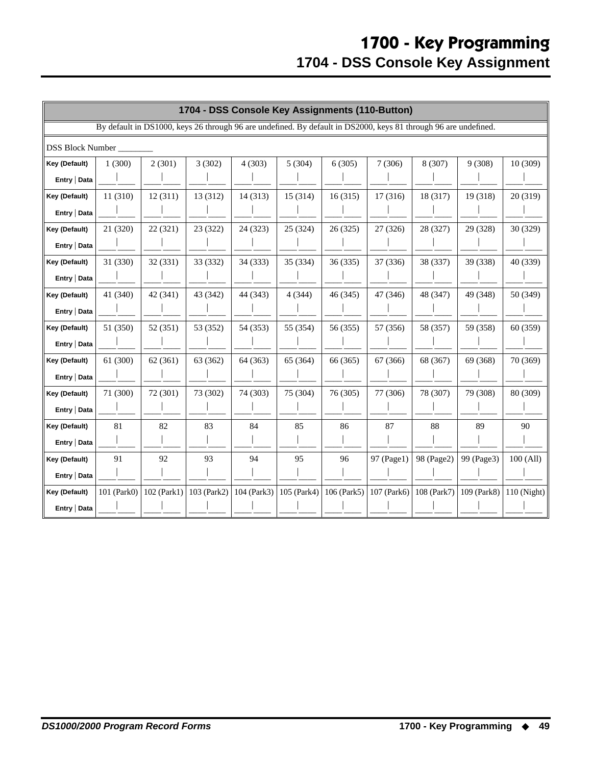<span id="page-52-0"></span>

|                         | 1704 - DSS Console Key Assignments (110-Button) |               |             |             |                                                                                                                 |               |             |             |             |             |
|-------------------------|-------------------------------------------------|---------------|-------------|-------------|-----------------------------------------------------------------------------------------------------------------|---------------|-------------|-------------|-------------|-------------|
|                         |                                                 |               |             |             | By default in DS1000, keys 26 through 96 are undefined. By default in DS2000, keys 81 through 96 are undefined. |               |             |             |             |             |
| <b>DSS Block Number</b> |                                                 |               |             |             |                                                                                                                 |               |             |             |             |             |
| Key (Default)           | 1(300)                                          | 2(301)        | 3(302)      | 4(303)      | 5(304)                                                                                                          | 6(305)        | 7(306)      | 8 (307)     | 9(308)      | 10(309)     |
| Entry   Data            |                                                 |               |             |             |                                                                                                                 |               |             |             |             |             |
| Key (Default)           | 11 (310)                                        | 12(311)       | 13 (312)    | 14(313)     | 15 (314)                                                                                                        | 16(315)       | 17 (316)    | 18 (317)    | 19 (318)    | 20 (319)    |
| Entry   Data            |                                                 |               |             |             |                                                                                                                 |               |             |             |             |             |
| Key (Default)           | 21 (320)                                        | 22 (321)      | 23 (322)    | 24 (323)    | 25 (324)                                                                                                        | 26 (325)      | 27 (326)    | 28 (327)    | 29 (328)    | 30 (329)    |
| Entry   Data            |                                                 |               |             |             |                                                                                                                 |               |             |             |             |             |
| Key (Default)           | 31 (330)                                        | 32 (331)      | 33 (332)    | 34 (333)    | 35 (334)                                                                                                        | 36 (335)      | 37 (336)    | 38 (337)    | 39 (338)    | 40 (339)    |
| Entry   Data            |                                                 |               |             |             |                                                                                                                 |               |             |             |             |             |
| Key (Default)           | 41 (340)                                        | 42 (341)      | 43 (342)    | 44 (343)    | 4(344)                                                                                                          | 46 (345)      | 47 (346)    | 48 (347)    | 49 (348)    | 50 (349)    |
| Entry   Data            |                                                 |               |             |             |                                                                                                                 |               |             |             |             |             |
| Key (Default)           | 51 (350)                                        | 52(351)       | 53 (352)    | 54 (353)    | 55 (354)                                                                                                        | 56 (355)      | 57 (356)    | 58 (357)    | 59 (358)    | 60 (359)    |
| Entry   Data            |                                                 |               |             |             |                                                                                                                 |               |             |             |             |             |
| Key (Default)           | 61 (300)                                        | 62(361)       | 63 (362)    | 64 (363)    | 65 (364)                                                                                                        | 66 (365)      | 67 (366)    | 68 (367)    | 69 (368)    | 70 (369)    |
| Entry   Data            |                                                 |               |             |             |                                                                                                                 |               |             |             |             |             |
| Key (Default)           | 71 (300)                                        | 72 (301)      | 73 (302)    | 74 (303)    | 75 (304)                                                                                                        | 76 (305)      | 77 (306)    | 78 (307)    | 79 (308)    | 80 (309)    |
| Entry   Data            |                                                 |               |             |             |                                                                                                                 |               |             |             |             |             |
| Key (Default)           | 81                                              | 82            | 83          | 84          | 85                                                                                                              | 86            | 87          | 88          | 89          | 90          |
| Entry   Data            |                                                 |               |             |             |                                                                                                                 |               |             |             |             |             |
| Key (Default)           | 91                                              | 92            | 93          | 94          | 95                                                                                                              | 96            | 97 (Page1)  | 98 (Page2)  | 99 (Page3)  | 100 (All)   |
| Entry   Data            |                                                 |               |             |             |                                                                                                                 |               |             |             |             |             |
| Key (Default)           | 101 (Park0)                                     | $102$ (Park1) | 103 (Park2) | 104 (Park3) | 105 (Park4)                                                                                                     | $106$ (Park5) | 107 (Park6) | 108 (Park7) | 109 (Park8) | 110 (Night) |
| Entry   Data            |                                                 |               |             |             |                                                                                                                 |               |             |             |             |             |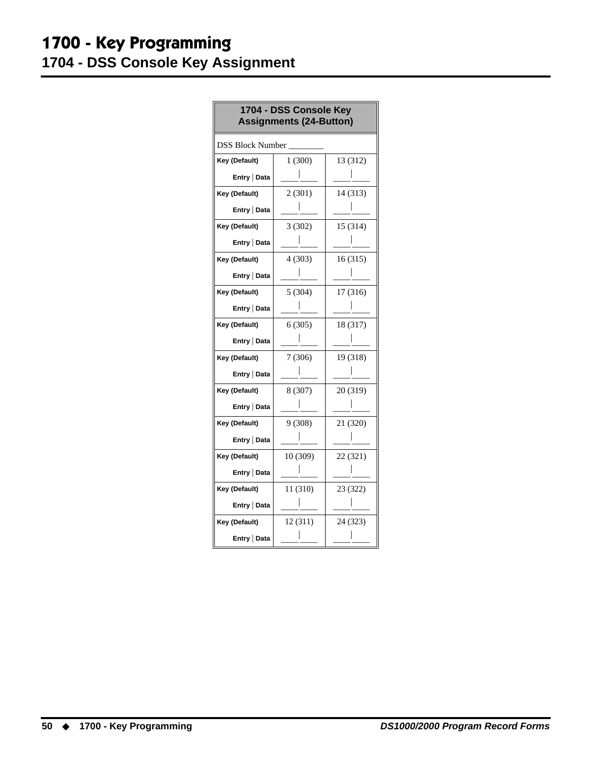### **1700 - Key Programming 1704 - DSS Console Key Assignment**

| 1704 - DSS Console Key<br><b>Assignments (24-Button)</b> |          |          |  |  |
|----------------------------------------------------------|----------|----------|--|--|
| <b>DSS Block Number</b>                                  |          |          |  |  |
| Key (Default)                                            | 1(300)   | 13 (312) |  |  |
| Entry   Data                                             |          |          |  |  |
| Key (Default)                                            | 2(301)   | 14 (313) |  |  |
| Entry   Data                                             |          |          |  |  |
| Key (Default)                                            | 3(302)   | 15 (314) |  |  |
| Entry   Data                                             |          |          |  |  |
| Key (Default)                                            | 4(303)   | 16(315)  |  |  |
| Entry   Data                                             |          |          |  |  |
| Key (Default)                                            | 5(304)   | 17 (316) |  |  |
| Entry   Data                                             |          |          |  |  |
| Key (Default)                                            | 6(305)   | 18 (317) |  |  |
| Entry   Data                                             |          |          |  |  |
| Key (Default)                                            | 7(306)   | 19 (318) |  |  |
| Entry   Data                                             |          |          |  |  |
| Key (Default)                                            | 8 (307)  | 20 (319) |  |  |
| Entry   Data                                             |          |          |  |  |
| Key (Default)                                            | 9(308)   | 21 (320) |  |  |
| Entry   Data                                             |          |          |  |  |
| Key (Default)                                            | 10(309)  | 22 (321) |  |  |
| Entry   Data                                             |          |          |  |  |
| Key (Default)                                            | 11 (310) | 23 (322) |  |  |
| Entry   Data                                             |          |          |  |  |
| Key (Default)                                            | 12 (311) | 24 (323) |  |  |
| Entry   Data                                             |          |          |  |  |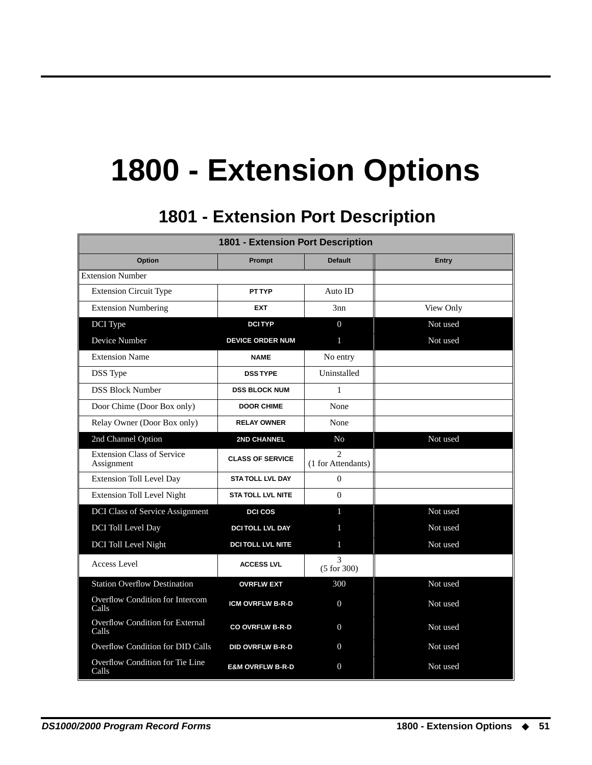## **1800 - Extension Options**

## **1801 - Extension Port Description 1801 - Extension Port Description**

<span id="page-54-1"></span><span id="page-54-0"></span>

| <b>1801 - Extension Port Description</b>        |                             |                                                   |              |  |  |  |
|-------------------------------------------------|-----------------------------|---------------------------------------------------|--------------|--|--|--|
| Option                                          | Prompt                      | <b>Default</b>                                    | <b>Entry</b> |  |  |  |
| <b>Extension Number</b>                         |                             |                                                   |              |  |  |  |
| <b>Extension Circuit Type</b>                   | <b>PT TYP</b>               | Auto ID                                           |              |  |  |  |
| <b>Extension Numbering</b>                      | <b>EXT</b>                  | 3nn                                               | View Only    |  |  |  |
| DCI Type                                        | <b>DCITYP</b>               | $\overline{0}$                                    | Not used     |  |  |  |
| Device Number                                   | <b>DEVICE ORDER NUM</b>     | $\mathbf{1}$                                      | Not used     |  |  |  |
| <b>Extension Name</b>                           | <b>NAME</b>                 | No entry                                          |              |  |  |  |
| <b>DSS</b> Type                                 | <b>DSS TYPE</b>             | Uninstalled                                       |              |  |  |  |
| <b>DSS Block Number</b>                         | <b>DSS BLOCK NUM</b>        | $\mathbf{1}$                                      |              |  |  |  |
| Door Chime (Door Box only)                      | <b>DOOR CHIME</b>           | None                                              |              |  |  |  |
| Relay Owner (Door Box only)                     | <b>RELAY OWNER</b>          | None                                              |              |  |  |  |
| 2nd Channel Option                              | 2ND CHANNEL                 | N <sub>o</sub>                                    | Not used     |  |  |  |
| <b>Extension Class of Service</b><br>Assignment | <b>CLASS OF SERVICE</b>     | $\mathcal{D}_{\mathcal{L}}$<br>(1 for Attendants) |              |  |  |  |
| <b>Extension Toll Level Day</b>                 | <b>STA TOLL LVL DAY</b>     | $\Omega$                                          |              |  |  |  |
| <b>Extension Toll Level Night</b>               | <b>STA TOLL LVL NITE</b>    | $\Omega$                                          |              |  |  |  |
| <b>DCI Class of Service Assignment</b>          | <b>DCI COS</b>              | 1                                                 | Not used     |  |  |  |
| DCI Toll Level Day                              | <b>DCITOLL LVL DAY</b>      |                                                   | Not used     |  |  |  |
| DCI Toll Level Night                            | <b>DCITOLL LVL NITE</b>     | $\mathbf{1}$                                      | Not used     |  |  |  |
| Access Level                                    | <b>ACCESS LVL</b>           | 3<br>(5 for 300)                                  |              |  |  |  |
| <b>Station Overflow Destination</b>             | <b>OVRFLW EXT</b>           | 300                                               | Not used     |  |  |  |
| Overflow Condition for Intercom<br>Calls        | <b>ICM OVRFLW B-R-D</b>     | $\Omega$                                          | Not used     |  |  |  |
| Overflow Condition for External<br>Calls        | <b>CO OVRFLW B-R-D</b>      | $\overline{0}$                                    | Not used     |  |  |  |
| Overflow Condition for DID Calls                | <b>DID OVRFLW B-R-D</b>     | $\Omega$                                          | Not used     |  |  |  |
| Overflow Condition for Tie Line<br>Calls        | <b>E&amp;M OVRFLW B-R-D</b> | $\Omega$                                          | Not used     |  |  |  |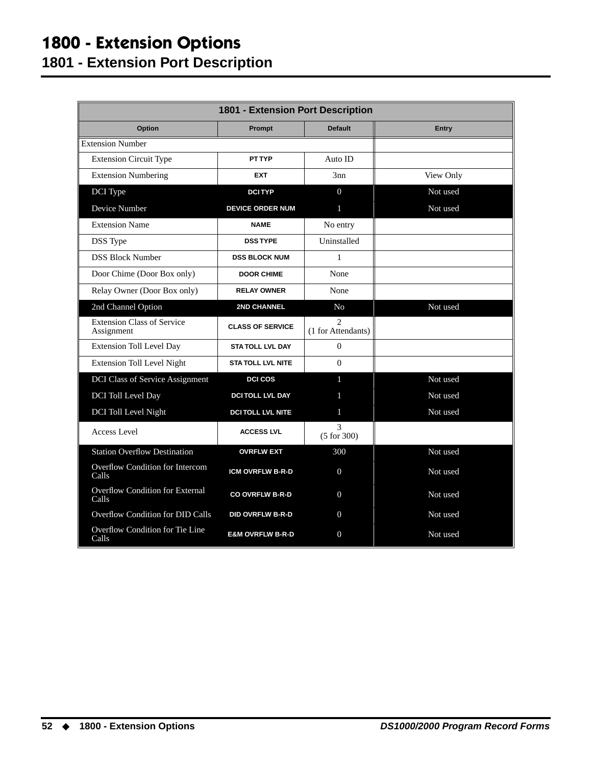### **1800 - Extension Options 1801 - Extension Port Description**

| <b>1801 - Extension Port Description</b>        |                             |                                                   |              |  |
|-------------------------------------------------|-----------------------------|---------------------------------------------------|--------------|--|
| Option                                          | Prompt                      | <b>Default</b>                                    | <b>Entry</b> |  |
| <b>Extension Number</b>                         |                             |                                                   |              |  |
| <b>Extension Circuit Type</b>                   | <b>PT TYP</b>               | Auto ID                                           |              |  |
| <b>Extension Numbering</b>                      | <b>EXT</b>                  | 3nn                                               | View Only    |  |
| DCI Type                                        | <b>DCITYP</b>               | $\overline{0}$                                    | Not used     |  |
| Device Number                                   | <b>DEVICE ORDER NUM</b>     | 1                                                 | Not used     |  |
| <b>Extension Name</b>                           | <b>NAME</b>                 | No entry                                          |              |  |
| DSS Type                                        | <b>DSSTYPE</b>              | Uninstalled                                       |              |  |
| <b>DSS Block Number</b>                         | <b>DSS BLOCK NUM</b>        | $\mathbf{1}$                                      |              |  |
| Door Chime (Door Box only)                      | <b>DOOR CHIME</b>           | None                                              |              |  |
| Relay Owner (Door Box only)                     | <b>RELAY OWNER</b>          | None                                              |              |  |
| 2nd Channel Option                              | <b>2ND CHANNEL</b>          | N <sub>o</sub>                                    | Not used     |  |
| <b>Extension Class of Service</b><br>Assignment | <b>CLASS OF SERVICE</b>     | $\mathcal{D}_{\mathcal{L}}$<br>(1 for Attendants) |              |  |
| <b>Extension Toll Level Day</b>                 | <b>STA TOLL LVL DAY</b>     | $\Omega$                                          |              |  |
| <b>Extension Toll Level Night</b>               | <b>STA TOLL LVL NITE</b>    | $\Omega$                                          |              |  |
| <b>DCI Class of Service Assignment</b>          | <b>DCI COS</b>              | 1                                                 | Not used     |  |
| DCI Toll Level Day                              | <b>DCITOLL LVL DAY</b>      |                                                   | Not used     |  |
| DCI Toll Level Night                            | <b>DCITOLL LVL NITE</b>     | 1                                                 | Not used     |  |
| Access Level                                    | <b>ACCESS LVL</b>           | 3<br>(5 for 300)                                  |              |  |
| <b>Station Overflow Destination</b>             | <b>OVRFLW EXT</b>           | 300                                               | Not used     |  |
| Overflow Condition for Intercom<br>Calls        | <b>ICM OVRFLW B-R-D</b>     | $\mathbf{0}$                                      | Not used     |  |
| Overflow Condition for External<br>Calls        | <b>CO OVRFLW B-R-D</b>      | $\mathbf{0}$                                      | Not used     |  |
| Overflow Condition for DID Calls                | <b>DID OVRFLW B-R-D</b>     | $\Omega$                                          | Not used     |  |
| Overflow Condition for Tie Line<br>Calls        | <b>E&amp;M OVRFLW B-R-D</b> | $\mathbf{0}$                                      | Not used     |  |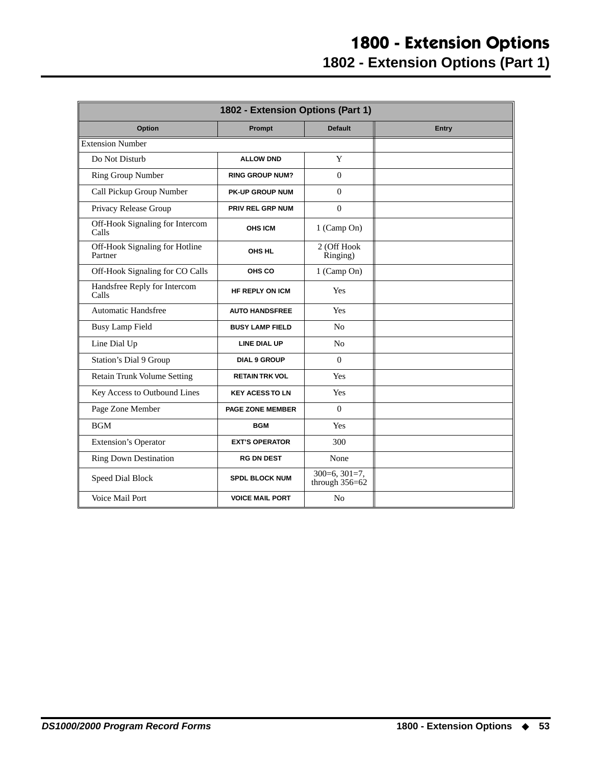<span id="page-56-0"></span>

| 1802 - Extension Options (Part 1)         |                         |                                     |       |
|-------------------------------------------|-------------------------|-------------------------------------|-------|
| Option                                    | Prompt                  | <b>Default</b>                      | Entry |
| <b>Extension Number</b>                   |                         |                                     |       |
| Do Not Disturb                            | <b>ALLOW DND</b>        | Y                                   |       |
| Ring Group Number                         | <b>RING GROUP NUM?</b>  | $\Omega$                            |       |
| Call Pickup Group Number                  | <b>PK-UP GROUP NUM</b>  | $\Omega$                            |       |
| Privacy Release Group                     | <b>PRIV REL GRP NUM</b> | $\Omega$                            |       |
| Off-Hook Signaling for Intercom<br>Calls  | <b>OHS ICM</b>          | 1 (Camp On)                         |       |
| Off-Hook Signaling for Hotline<br>Partner | OHS HL                  | 2 (Off Hook<br>Ringing)             |       |
| Off-Hook Signaling for CO Calls           | OHS CO                  | 1 (Camp On)                         |       |
| Handsfree Reply for Intercom<br>Calls     | <b>HF REPLY ON ICM</b>  | Yes                                 |       |
| <b>Automatic Handsfree</b>                | <b>AUTO HANDSFREE</b>   | Yes                                 |       |
| <b>Busy Lamp Field</b>                    | <b>BUSY LAMP FIELD</b>  | N <sub>o</sub>                      |       |
| Line Dial Up                              | <b>LINE DIAL UP</b>     | N <sub>o</sub>                      |       |
| Station's Dial 9 Group                    | <b>DIAL 9 GROUP</b>     | $\Omega$                            |       |
| Retain Trunk Volume Setting               | <b>RETAIN TRK VOL</b>   | Yes                                 |       |
| Key Access to Outbound Lines              | <b>KEY ACESS TO LN</b>  | Yes                                 |       |
| Page Zone Member                          | <b>PAGE ZONE MEMBER</b> | $\Omega$                            |       |
| <b>BGM</b>                                | <b>BGM</b>              | Yes                                 |       |
| <b>Extension's Operator</b>               | <b>EXT'S OPERATOR</b>   | 300                                 |       |
| <b>Ring Down Destination</b>              | <b>RG DN DEST</b>       | None                                |       |
| Speed Dial Block                          | <b>SPDL BLOCK NUM</b>   | $300=6, 301=7,$<br>through $356=62$ |       |
| Voice Mail Port                           | <b>VOICE MAIL PORT</b>  | N <sub>0</sub>                      |       |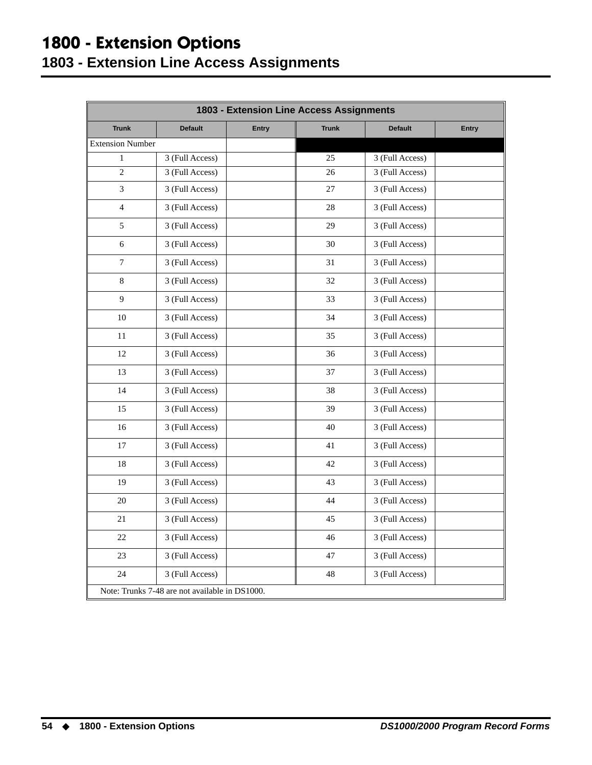## **1800 - Extension Options**

#### <span id="page-57-0"></span>**1803 - Extension Line Access Assignments**

| 1803 - Extension Line Access Assignments |                                                |              |              |                 |              |
|------------------------------------------|------------------------------------------------|--------------|--------------|-----------------|--------------|
| <b>Trunk</b>                             | <b>Default</b>                                 | <b>Entry</b> | <b>Trunk</b> | <b>Default</b>  | <b>Entry</b> |
| <b>Extension Number</b>                  |                                                |              |              |                 |              |
| $\mathbf{1}$                             | 3 (Full Access)                                |              | 25           | 3 (Full Access) |              |
| $\overline{c}$                           | 3 (Full Access)                                |              | 26           | 3 (Full Access) |              |
| 3                                        | 3 (Full Access)                                |              | 27           | 3 (Full Access) |              |
| $\overline{4}$                           | 3 (Full Access)                                |              | 28           | 3 (Full Access) |              |
| 5                                        | 3 (Full Access)                                |              | 29           | 3 (Full Access) |              |
| 6                                        | 3 (Full Access)                                |              | 30           | 3 (Full Access) |              |
| 7                                        | 3 (Full Access)                                |              | 31           | 3 (Full Access) |              |
| 8                                        | 3 (Full Access)                                |              | 32           | 3 (Full Access) |              |
| 9                                        | 3 (Full Access)                                |              | 33           | 3 (Full Access) |              |
| 10                                       | 3 (Full Access)                                |              | 34           | 3 (Full Access) |              |
| 11                                       | 3 (Full Access)                                |              | 35           | 3 (Full Access) |              |
| 12                                       | 3 (Full Access)                                |              | 36           | 3 (Full Access) |              |
| 13                                       | 3 (Full Access)                                |              | 37           | 3 (Full Access) |              |
| 14                                       | 3 (Full Access)                                |              | 38           | 3 (Full Access) |              |
| 15                                       | 3 (Full Access)                                |              | 39           | 3 (Full Access) |              |
| 16                                       | 3 (Full Access)                                |              | 40           | 3 (Full Access) |              |
| 17                                       | 3 (Full Access)                                |              | 41           | 3 (Full Access) |              |
| 18                                       | 3 (Full Access)                                |              | 42           | 3 (Full Access) |              |
| 19                                       | 3 (Full Access)                                |              | 43           | 3 (Full Access) |              |
| 20                                       | 3 (Full Access)                                |              | 44           | 3 (Full Access) |              |
| 21                                       | 3 (Full Access)                                |              | 45           | 3 (Full Access) |              |
| 22                                       | 3 (Full Access)                                |              | 46           | 3 (Full Access) |              |
| 23                                       | 3 (Full Access)                                |              | 47           | 3 (Full Access) |              |
| 24                                       | 3 (Full Access)                                |              | 48           | 3 (Full Access) |              |
|                                          | Note: Trunks 7-48 are not available in DS1000. |              |              |                 |              |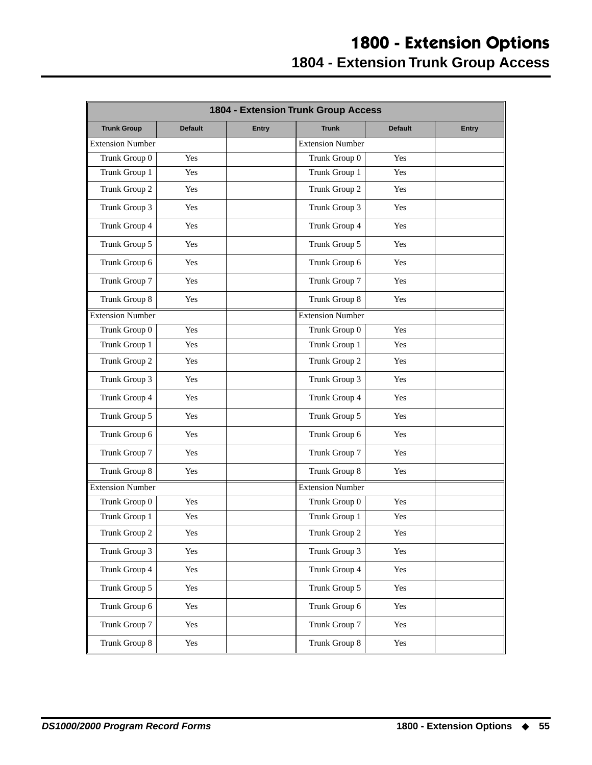### **1800 - Extension Options 1804 - Extension Trunk Group Access**

<span id="page-58-0"></span>

|                         | 1804 - Extension Trunk Group Access |              |                         |                |              |
|-------------------------|-------------------------------------|--------------|-------------------------|----------------|--------------|
| <b>Trunk Group</b>      | <b>Default</b>                      | <b>Entry</b> | <b>Trunk</b>            | <b>Default</b> | <b>Entry</b> |
| <b>Extension Number</b> |                                     |              | Extension Number        |                |              |
| Trunk Group 0           | Yes                                 |              | Trunk Group 0           | Yes            |              |
| Trunk Group 1           | Yes                                 |              | Trunk Group 1           | Yes            |              |
| Trunk Group 2           | Yes                                 |              | Trunk Group 2           | Yes            |              |
| Trunk Group 3           | Yes                                 |              | Trunk Group 3           | Yes            |              |
| Trunk Group 4           | Yes                                 |              | Trunk Group 4           | Yes            |              |
| Trunk Group 5           | Yes                                 |              | Trunk Group 5           | Yes            |              |
| Trunk Group 6           | Yes                                 |              | Trunk Group 6           | Yes            |              |
| Trunk Group 7           | Yes                                 |              | Trunk Group 7           | Yes            |              |
| Trunk Group 8           | Yes                                 |              | Trunk Group 8           | Yes            |              |
| <b>Extension Number</b> |                                     |              | <b>Extension Number</b> |                |              |
| Trunk Group 0           | Yes                                 |              | Trunk Group 0           | Yes            |              |
| Trunk Group 1           | Yes                                 |              | Trunk Group 1           | Yes            |              |
| Trunk Group 2           | Yes                                 |              | Trunk Group 2           | Yes            |              |
| Trunk Group 3           | Yes                                 |              | Trunk Group 3           | Yes            |              |
| Trunk Group 4           | Yes                                 |              | Trunk Group 4           | Yes            |              |
| Trunk Group 5           | Yes                                 |              | Trunk Group 5           | Yes            |              |
| Trunk Group 6           | Yes                                 |              | Trunk Group 6           | Yes            |              |
| Trunk Group 7           | Yes                                 |              | Trunk Group 7           | Yes            |              |
| Trunk Group 8           | Yes                                 |              | Trunk Group 8           | Yes            |              |
| <b>Extension Number</b> |                                     |              | <b>Extension Number</b> |                |              |
| Trunk Group 0           | Yes                                 |              | Trunk Group 0           | Yes            |              |
| Trunk Group 1           | Yes                                 |              | Trunk Group 1           | Yes            |              |
| Trunk Group 2           | Yes                                 |              | Trunk Group 2           | Yes            |              |
| Trunk Group 3           | Yes                                 |              | Trunk Group 3           | Yes            |              |
| Trunk Group 4           | Yes                                 |              | Trunk Group 4           | Yes            |              |
| Trunk Group 5           | Yes                                 |              | Trunk Group 5           | Yes            |              |
| Trunk Group 6           | Yes                                 |              | Trunk Group 6           | Yes            |              |
| Trunk Group 7           | Yes                                 |              | Trunk Group 7           | Yes            |              |
| Trunk Group 8           | Yes                                 |              | Trunk Group 8           | Yes            |              |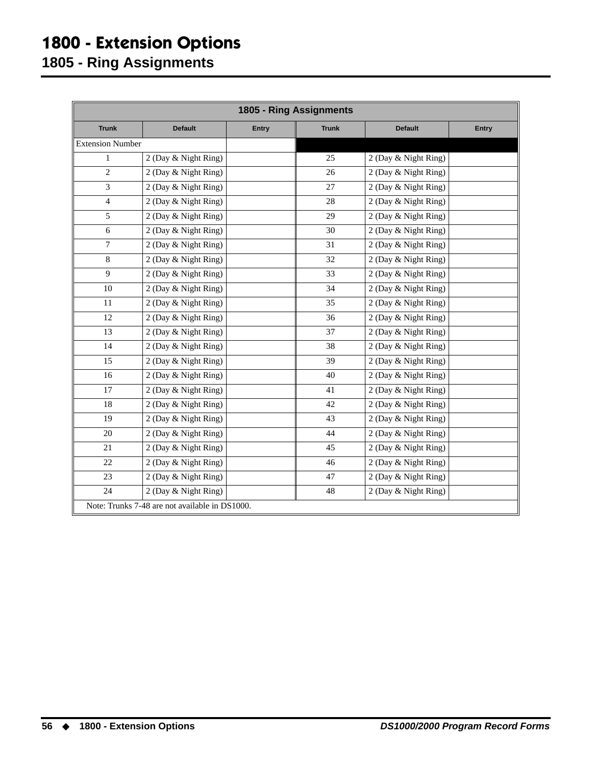## **1800 - Extension Options**

<span id="page-59-0"></span>**1805 - Ring Assignments**

| 1805 - Ring Assignments |                                                |              |              |                      |       |
|-------------------------|------------------------------------------------|--------------|--------------|----------------------|-------|
| <b>Trunk</b>            | <b>Default</b>                                 | <b>Entry</b> | <b>Trunk</b> | <b>Default</b>       | Entry |
| <b>Extension Number</b> |                                                |              |              |                      |       |
| $\mathbf{1}$            | 2 (Day & Night Ring)                           |              | 25           | 2 (Day & Night Ring) |       |
| $\overline{2}$          | 2 (Day & Night Ring)                           |              | 26           | 2 (Day & Night Ring) |       |
| 3                       | 2 (Day & Night Ring)                           |              | 27           | 2 (Day & Night Ring) |       |
| $\overline{4}$          | 2 (Day & Night Ring)                           |              | 28           | 2 (Day & Night Ring) |       |
| 5                       | 2 (Day & Night Ring)                           |              | 29           | 2 (Day & Night Ring) |       |
| 6                       | 2 (Day & Night Ring)                           |              | 30           | 2 (Day & Night Ring) |       |
| $\overline{7}$          | 2 (Day & Night Ring)                           |              | 31           | 2 (Day & Night Ring) |       |
| 8                       | 2 (Day & Night Ring)                           |              | 32           | 2 (Day & Night Ring) |       |
| 9                       | 2 (Day & Night Ring)                           |              | 33           | 2 (Day & Night Ring) |       |
| 10                      | 2 (Day & Night Ring)                           |              | 34           | 2 (Day & Night Ring) |       |
| 11                      | 2 (Day & Night Ring)                           |              | 35           | 2 (Day & Night Ring) |       |
| 12                      | 2 (Day & Night Ring)                           |              | 36           | 2 (Day & Night Ring) |       |
| 13                      | 2 (Day & Night Ring)                           |              | 37           | 2 (Day & Night Ring) |       |
| 14                      | 2 (Day & Night Ring)                           |              | 38           | 2 (Day & Night Ring) |       |
| 15                      | 2 (Day & Night Ring)                           |              | 39           | 2 (Day & Night Ring) |       |
| 16                      | 2 (Day & Night Ring)                           |              | 40           | 2 (Day & Night Ring) |       |
| 17                      | 2 (Day & Night Ring)                           |              | 41           | 2 (Day & Night Ring) |       |
| 18                      | 2 (Day & Night Ring)                           |              | 42           | 2 (Day & Night Ring) |       |
| 19                      | 2 (Day & Night Ring)                           |              | 43           | 2 (Day & Night Ring) |       |
| $20\,$                  | 2 (Day & Night Ring)                           |              | 44           | 2 (Day & Night Ring) |       |
| 21                      | 2 (Day & Night Ring)                           |              | 45           | 2 (Day & Night Ring) |       |
| 22                      | 2 (Day & Night Ring)                           |              | 46           | 2 (Day & Night Ring) |       |
| 23                      | 2 (Day & Night Ring)                           |              | 47           | 2 (Day & Night Ring) |       |
| 24                      | 2 (Day & Night Ring)                           |              | 48           | 2 (Day & Night Ring) |       |
|                         | Note: Trunks 7-48 are not available in DS1000. |              |              |                      |       |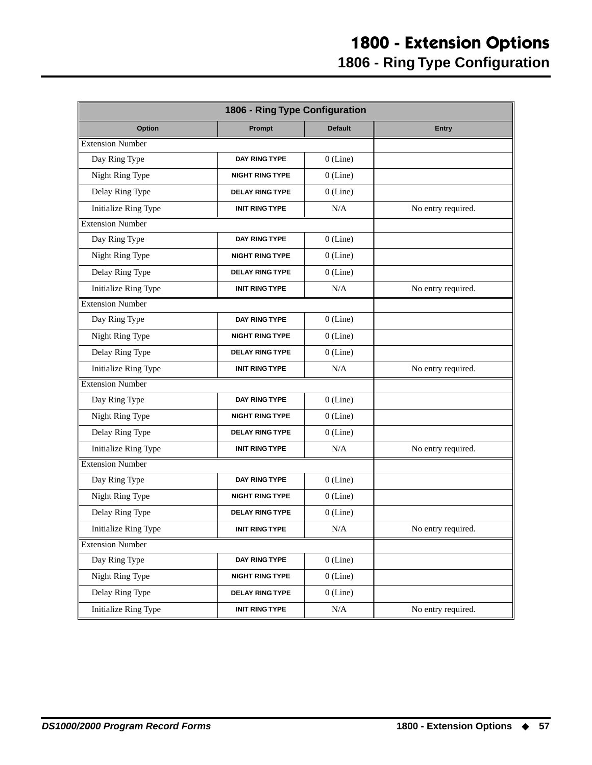<span id="page-60-0"></span>

| Option                      | Prompt                 | <b>Default</b> | <b>Entry</b>       |
|-----------------------------|------------------------|----------------|--------------------|
| <b>Extension Number</b>     |                        |                |                    |
| Day Ring Type               | <b>DAY RING TYPE</b>   | $0$ (Line)     |                    |
| Night Ring Type             | <b>NIGHT RING TYPE</b> | $0$ (Line)     |                    |
| Delay Ring Type             | <b>DELAY RING TYPE</b> | $0$ (Line)     |                    |
| <b>Initialize Ring Type</b> | <b>INIT RING TYPE</b>  | N/A            | No entry required. |
| <b>Extension Number</b>     |                        |                |                    |
| Day Ring Type               | DAY RING TYPE          | $0$ (Line)     |                    |
| Night Ring Type             | <b>NIGHT RING TYPE</b> | $0$ (Line)     |                    |
| Delay Ring Type             | <b>DELAY RING TYPE</b> | $0$ (Line)     |                    |
| Initialize Ring Type        | INIT RING TYPE         | N/A            | No entry required. |
| <b>Extension Number</b>     |                        |                |                    |
| Day Ring Type               | <b>DAY RING TYPE</b>   | $0$ (Line)     |                    |
| Night Ring Type             | <b>NIGHT RING TYPE</b> | $0$ (Line)     |                    |
| Delay Ring Type             | <b>DELAY RING TYPE</b> | $0$ (Line)     |                    |
| <b>Initialize Ring Type</b> | <b>INIT RING TYPE</b>  | N/A            | No entry required. |
| <b>Extension Number</b>     |                        |                |                    |
| Day Ring Type               | DAY RING TYPE          | $0$ (Line)     |                    |
| Night Ring Type             | <b>NIGHT RING TYPE</b> | $0$ (Line)     |                    |
| Delay Ring Type             | <b>DELAY RING TYPE</b> | $0$ (Line)     |                    |
| <b>Initialize Ring Type</b> | <b>INIT RING TYPE</b>  | N/A            | No entry required. |
| <b>Extension Number</b>     |                        |                |                    |
| Day Ring Type               | <b>DAY RING TYPE</b>   | $0$ (Line)     |                    |
| Night Ring Type             | <b>NIGHT RING TYPE</b> | $0$ (Line)     |                    |
| Delay Ring Type             | <b>DELAY RING TYPE</b> | $0$ (Line)     |                    |
| Initialize Ring Type        | <b>INIT RING TYPE</b>  | N/A            | No entry required. |
| <b>Extension Number</b>     |                        |                |                    |
| Day Ring Type               | DAY RING TYPE          | $0$ (Line)     |                    |
| Night Ring Type             | <b>NIGHT RING TYPE</b> | $0$ (Line)     |                    |
| Delay Ring Type             | <b>DELAY RING TYPE</b> | $0$ (Line)     |                    |
| <b>Initialize Ring Type</b> | <b>INIT RING TYPE</b>  | $\rm N/A$      | No entry required. |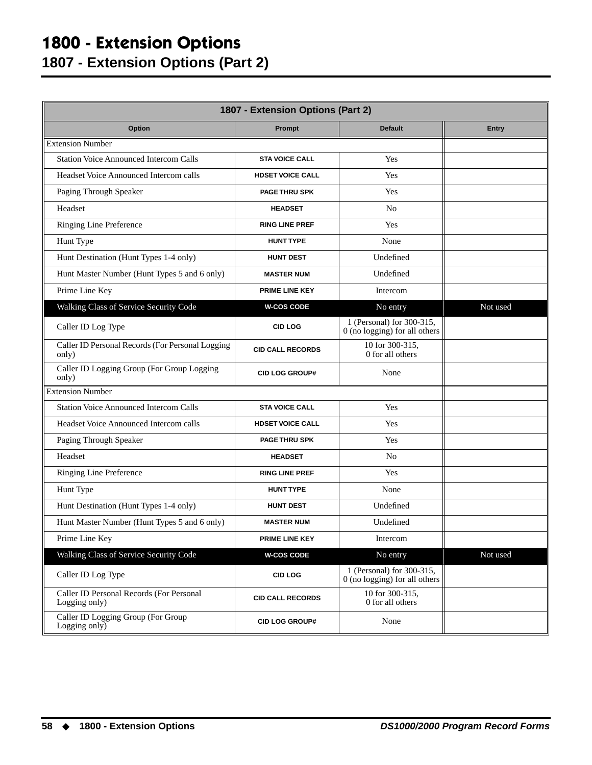## **1800 - Extension Options**

**1807 - Extension Options (Part 2)**

<span id="page-61-0"></span>

| 1807 - Extension Options (Part 2)                         |                         |                                                              |              |  |
|-----------------------------------------------------------|-------------------------|--------------------------------------------------------------|--------------|--|
| Option                                                    | Prompt                  | <b>Default</b>                                               | <b>Entry</b> |  |
| <b>Extension Number</b>                                   |                         |                                                              |              |  |
| <b>Station Voice Announced Intercom Calls</b>             | <b>STA VOICE CALL</b>   | Yes                                                          |              |  |
| Headset Voice Announced Intercom calls                    | <b>HDSET VOICE CALL</b> | Yes                                                          |              |  |
| Paging Through Speaker                                    | <b>PAGE THRU SPK</b>    | Yes                                                          |              |  |
| Headset                                                   | <b>HEADSET</b>          | No                                                           |              |  |
| Ringing Line Preference                                   | <b>RING LINE PREF</b>   | Yes                                                          |              |  |
| Hunt Type                                                 | <b>HUNT TYPE</b>        | None                                                         |              |  |
| Hunt Destination (Hunt Types 1-4 only)                    | <b>HUNT DEST</b>        | Undefined                                                    |              |  |
| Hunt Master Number (Hunt Types 5 and 6 only)              | <b>MASTER NUM</b>       | Undefined                                                    |              |  |
| Prime Line Key                                            | PRIME LINE KEY          | Intercom                                                     |              |  |
| Walking Class of Service Security Code                    | <b>W-COS CODE</b>       | No entry                                                     | Not used     |  |
| Caller ID Log Type                                        | <b>CID LOG</b>          | 1 (Personal) for 300-315,<br>0 (no logging) for all others   |              |  |
| Caller ID Personal Records (For Personal Logging<br>only) | <b>CID CALL RECORDS</b> | 10 for 300-315,<br>0 for all others                          |              |  |
| Caller ID Logging Group (For Group Logging<br>only)       | <b>CID LOG GROUP#</b>   | None                                                         |              |  |
| <b>Extension Number</b>                                   |                         |                                                              |              |  |
| <b>Station Voice Announced Intercom Calls</b>             | <b>STA VOICE CALL</b>   | Yes                                                          |              |  |
| Headset Voice Announced Intercom calls                    | <b>HDSET VOICE CALL</b> | Yes                                                          |              |  |
| Paging Through Speaker                                    | <b>PAGE THRU SPK</b>    | Yes                                                          |              |  |
| Headset                                                   | <b>HEADSET</b>          | N <sub>o</sub>                                               |              |  |
| Ringing Line Preference                                   | <b>RING LINE PREF</b>   | Yes                                                          |              |  |
| Hunt Type                                                 | <b>HUNT TYPE</b>        | None                                                         |              |  |
| Hunt Destination (Hunt Types 1-4 only)                    | <b>HUNT DEST</b>        | Undefined                                                    |              |  |
| Hunt Master Number (Hunt Types 5 and 6 only)              | <b>MASTER NUM</b>       | Undefined                                                    |              |  |
| Prime Line Key                                            | PRIME LINE KEY          | Intercom                                                     |              |  |
| Walking Class of Service Security Code                    | <b>W-COS CODE</b>       | No entry                                                     | Not used     |  |
| Caller ID Log Type                                        | <b>CID LOG</b>          | 1 (Personal) for 300-315,<br>$0$ (no logging) for all others |              |  |
| Caller ID Personal Records (For Personal<br>Logging only) | <b>CID CALL RECORDS</b> | 10 for 300-315,<br>0 for all others                          |              |  |
| Caller ID Logging Group (For Group<br>Logging only)       | <b>CID LOG GROUP#</b>   | None                                                         |              |  |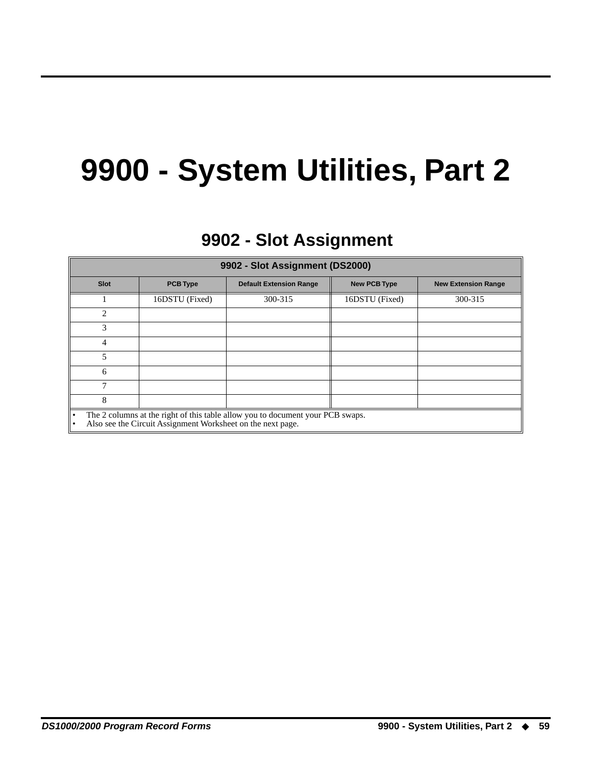## **9900 - System Utilities, Part 2**

## **9902 - Slot Assignment 9902 - Slot Assignment**

<span id="page-62-1"></span><span id="page-62-0"></span>

| 9902 - Slot Assignment (DS2000)                                                                                                                            |                 |                                |                     |                            |
|------------------------------------------------------------------------------------------------------------------------------------------------------------|-----------------|--------------------------------|---------------------|----------------------------|
| Slot                                                                                                                                                       | <b>PCB Type</b> | <b>Default Extension Range</b> | <b>New PCB Type</b> | <b>New Extension Range</b> |
|                                                                                                                                                            | 16DSTU (Fixed)  | 300-315                        | 16DSTU (Fixed)      | 300-315                    |
| $\mathfrak{D}$                                                                                                                                             |                 |                                |                     |                            |
| 3                                                                                                                                                          |                 |                                |                     |                            |
| 4                                                                                                                                                          |                 |                                |                     |                            |
| 5                                                                                                                                                          |                 |                                |                     |                            |
| 6                                                                                                                                                          |                 |                                |                     |                            |
|                                                                                                                                                            |                 |                                |                     |                            |
| 8                                                                                                                                                          |                 |                                |                     |                            |
| The 2 columns at the right of this table allow you to document your PCB swaps.<br>ه ا<br>Also see the Circuit Assignment Worksheet on the next page.<br>I۰ |                 |                                |                     |                            |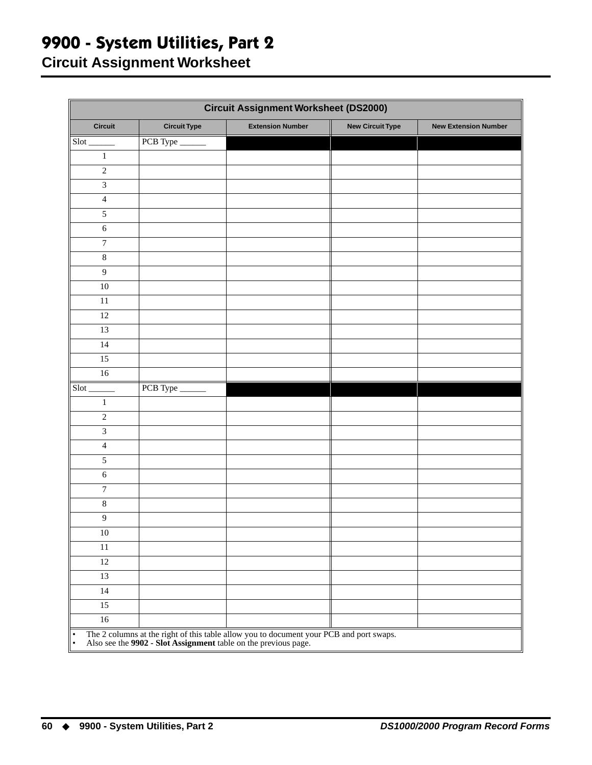## **9900 - System Utilities, Part 2**

**Circuit Assignment Worksheet**

<span id="page-63-0"></span>

| <b>Circuit Assignment Worksheet (DS2000)</b> |                     |                                                                                                                                                            |                         |                             |
|----------------------------------------------|---------------------|------------------------------------------------------------------------------------------------------------------------------------------------------------|-------------------------|-----------------------------|
| <b>Circuit</b>                               | <b>Circuit Type</b> | <b>Extension Number</b>                                                                                                                                    | <b>New Circuit Type</b> | <b>New Extension Number</b> |
| $Slot$ <sub>______</sub>                     | PCB Type            |                                                                                                                                                            |                         |                             |
| $1\,$                                        |                     |                                                                                                                                                            |                         |                             |
| $\overline{2}$                               |                     |                                                                                                                                                            |                         |                             |
| $\mathfrak{Z}$                               |                     |                                                                                                                                                            |                         |                             |
| $\overline{4}$                               |                     |                                                                                                                                                            |                         |                             |
| $\sqrt{5}$                                   |                     |                                                                                                                                                            |                         |                             |
| $\sqrt{6}$                                   |                     |                                                                                                                                                            |                         |                             |
| $\boldsymbol{7}$                             |                     |                                                                                                                                                            |                         |                             |
| $\,8\,$                                      |                     |                                                                                                                                                            |                         |                             |
| $\overline{9}$                               |                     |                                                                                                                                                            |                         |                             |
| $10\,$                                       |                     |                                                                                                                                                            |                         |                             |
| 11                                           |                     |                                                                                                                                                            |                         |                             |
| 12                                           |                     |                                                                                                                                                            |                         |                             |
| 13                                           |                     |                                                                                                                                                            |                         |                             |
| 14                                           |                     |                                                                                                                                                            |                         |                             |
| 15                                           |                     |                                                                                                                                                            |                         |                             |
| 16                                           |                     |                                                                                                                                                            |                         |                             |
| Slot                                         | PCB Type            |                                                                                                                                                            |                         |                             |
| $\mathbf{1}$                                 |                     |                                                                                                                                                            |                         |                             |
| $\sqrt{2}$                                   |                     |                                                                                                                                                            |                         |                             |
| $\mathfrak{Z}$                               |                     |                                                                                                                                                            |                         |                             |
| $\overline{4}$                               |                     |                                                                                                                                                            |                         |                             |
| 5                                            |                     |                                                                                                                                                            |                         |                             |
| 6                                            |                     |                                                                                                                                                            |                         |                             |
| $\boldsymbol{7}$                             |                     |                                                                                                                                                            |                         |                             |
| $\,8\,$                                      |                     |                                                                                                                                                            |                         |                             |
| $\overline{9}$                               |                     |                                                                                                                                                            |                         |                             |
| 10                                           |                     |                                                                                                                                                            |                         |                             |
| $11\,$                                       |                     |                                                                                                                                                            |                         |                             |
| $12\,$                                       |                     |                                                                                                                                                            |                         |                             |
| 13                                           |                     |                                                                                                                                                            |                         |                             |
| $14$                                         |                     |                                                                                                                                                            |                         |                             |
| 15                                           |                     |                                                                                                                                                            |                         |                             |
| $16\,$                                       |                     |                                                                                                                                                            |                         |                             |
| $\bullet$<br>$\bullet$                       |                     | The 2 columns at the right of this table allow you to document your PCB and port swaps.<br>Also see the 9902 - Slot Assignment table on the previous page. |                         |                             |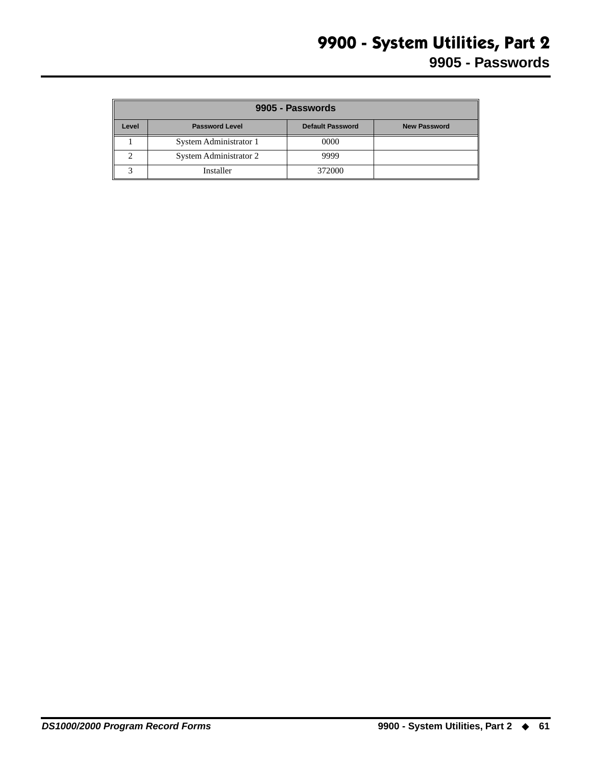<span id="page-64-0"></span>

|       | 9905 - Passwords       |                         |                     |  |  |  |
|-------|------------------------|-------------------------|---------------------|--|--|--|
| Level | <b>Password Level</b>  | <b>Default Password</b> | <b>New Password</b> |  |  |  |
|       | System Administrator 1 | 0000                    |                     |  |  |  |
|       | System Administrator 2 | 9999                    |                     |  |  |  |
|       | Installer              | 372000                  |                     |  |  |  |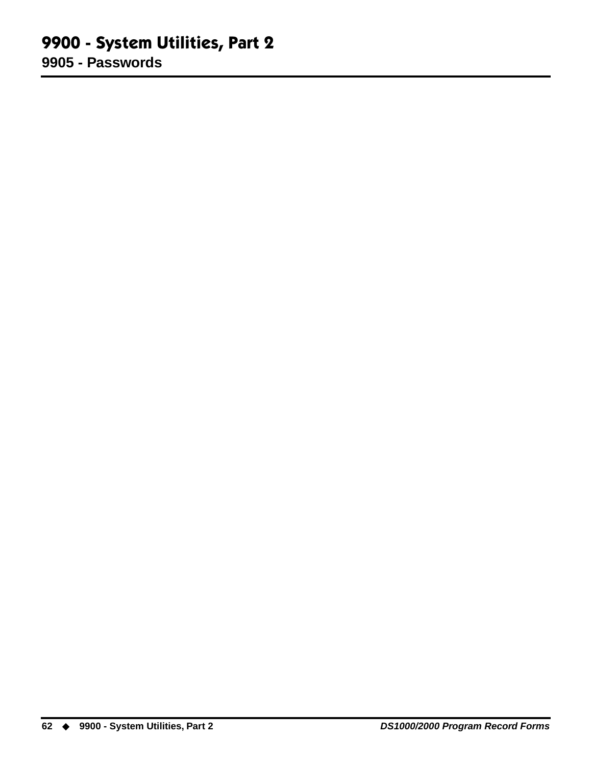#### **9900 - System Utilities, Part 2 9905 - Passwords**